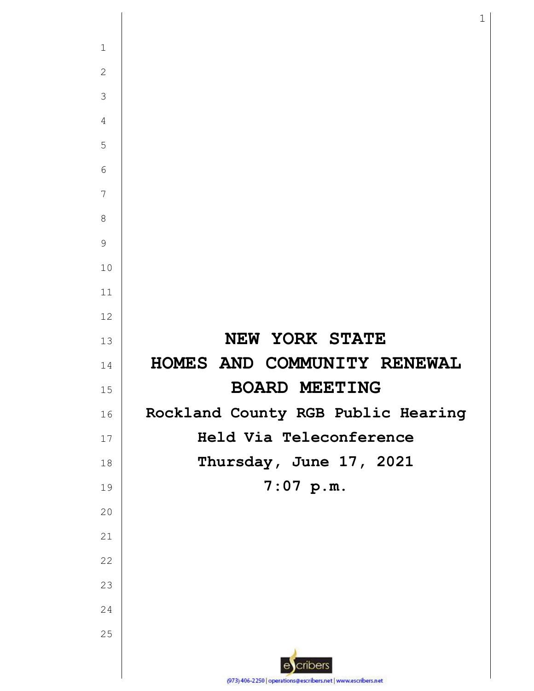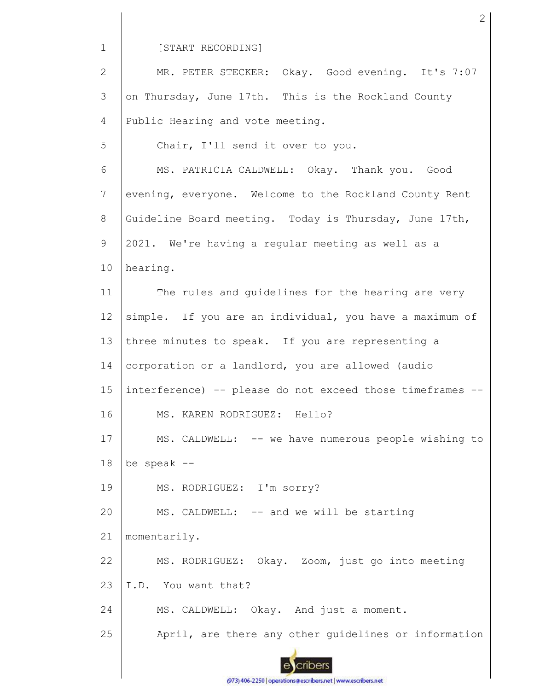1

5

## [START RECORDING]

2 3 4 MR. PETER STECKER: Okay. Good evening. It's 7:07 on Thursday, June 17th. This is the Rockland County Public Hearing and vote meeting.

Chair, I'll send it over to you.

6 7 8 9 10 MS. PATRICIA CALDWELL: Okay. Thank you. Good evening, everyone. Welcome to the Rockland County Rent Guideline Board meeting. Today is Thursday, June 17th, 2021. We're having a regular meeting as well as a hearing.

11 12 13 14 15 16 17 18 19 20 21 The rules and guidelines for the hearing are very simple. If you are an individual, you have a maximum of three minutes to speak. If you are representing a corporation or a landlord, you are allowed (audio interference) -- please do not exceed those timeframes -- MS. KAREN RODRIGUEZ: Hello? MS. CALDWELL: -- we have numerous people wishing to be speak -- MS. RODRIGUEZ: I'm sorry? MS. CALDWELL: -- and we will be starting momentarily.

22 23 MS. RODRIGUEZ: Okay. Zoom, just go into meeting I.D. You want that?

24 MS. CALDWELL: Okay. And just a moment.

25 April, are there any other guidelines or information



(973) 406-2250 | operations@escribers.net | www.escribers.net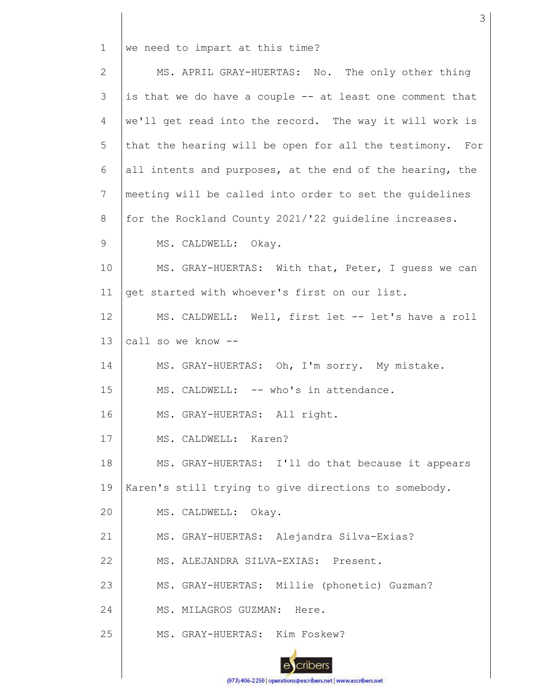1 we need to impart at this time?

2 3 4 5 6 7 8 9 10 11 12 13 14 15 16 17 18 19 20 21 22 23 24 25 MS. APRIL GRAY-HUERTAS: No. The only other thing is that we do have a couple -- at least one comment that we'll get read into the record. The way it will work is that the hearing will be open for all the testimony. For all intents and purposes, at the end of the hearing, the meeting will be called into order to set the guidelines for the Rockland County 2021/'22 guideline increases. MS. CALDWELL: Okay. MS. GRAY-HUERTAS: With that, Peter, I guess we can get started with whoever's first on our list. MS. CALDWELL: Well, first let -- let's have a roll call so we know -- MS. GRAY-HUERTAS: Oh, I'm sorry. My mistake. MS. CALDWELL: -- who's in attendance. MS. GRAY-HUERTAS: All right. MS. CALDWELL: Karen? MS. GRAY-HUERTAS: I'll do that because it appears Karen's still trying to give directions to somebody. MS. CALDWELL: Okay. MS. GRAY-HUERTAS: Alejandra Silva-Exias? MS. ALEJANDRA SILVA-EXIAS: Present. MS. GRAY-HUERTAS: Millie (phonetic) Guzman? MS. MILAGROS GUZMAN: Here. MS. GRAY-HUERTAS: Kim Foskew?

3

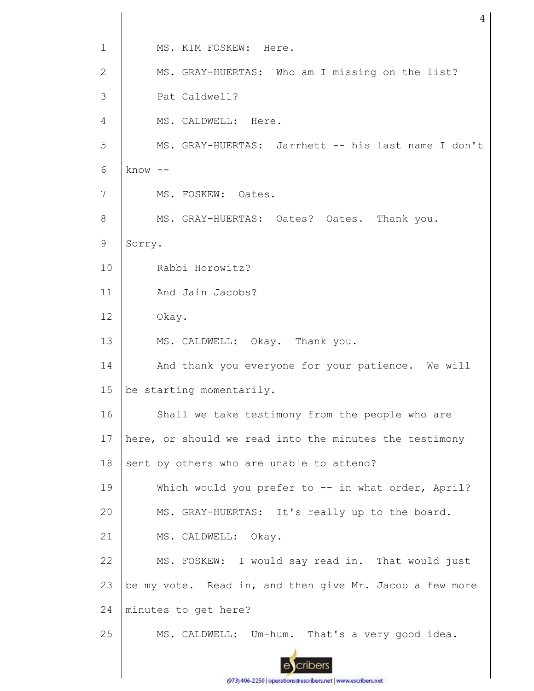1 MS. KIM FOSKEW: Here. MS. GRAY-HUERTAS: Who am I missing on the list? 2 3 Pat Caldwell? 4 MS. CALDWELL: Here. 5 MS. GRAY-HUERTAS: Jarrhett -- his last name I don't 6 know -- 7 MS. FOSKEW: Oates. MS. GRAY-HUERTAS: Oates? Oates. Thank you. 8 9 Sorry. 10 Rabbi Horowitz? 11 And Jain Jacobs? 12 Okay. 13 MS. CALDWELL: Okay. Thank you. 14 And thank you everyone for your patience. We will 15 be starting momentarily. 16 Shall we take testimony from the people who are 17 here, or should we read into the minutes the testimony 18 sent by others who are unable to attend? Which would you prefer to -- in what order, April? 19 20 MS. GRAY-HUERTAS: It's really up to the board. 21 MS. CALDWELL: Okay. MS. FOSKEW: I would say read in. That would just 22 23 be my vote. Read in, and then give Mr. Jacob a few more 24 minutes to get here? 25 MS. CALDWELL: Um-hum. That's a very good idea. cribers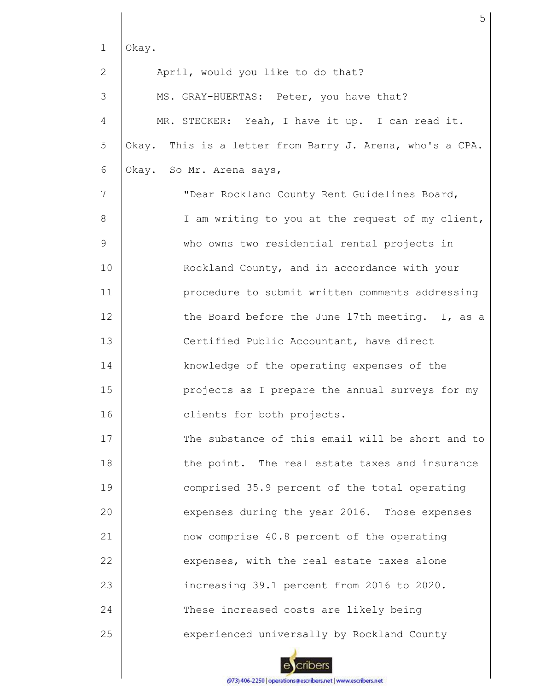| $\mathbf{1}$ | Okay.                                                    |
|--------------|----------------------------------------------------------|
| 2            | April, would you like to do that?                        |
| 3            | MS. GRAY-HUERTAS: Peter, you have that?                  |
| 4            | MR. STECKER: Yeah, I have it up. I can read it.          |
| 5            | Okay. This is a letter from Barry J. Arena, who's a CPA. |
| 6            | Okay. So Mr. Arena says,                                 |
| 7            | "Dear Rockland County Rent Guidelines Board,             |
| 8            | I am writing to you at the request of my client,         |
| 9            | who owns two residential rental projects in              |
| 10           | Rockland County, and in accordance with your             |
| 11           | procedure to submit written comments addressing          |
| 12           | the Board before the June 17th meeting. I, as a          |
| 13           | Certified Public Accountant, have direct                 |
| 14           | knowledge of the operating expenses of the               |
| 15           | projects as I prepare the annual surveys for my          |
| 16           | clients for both projects.                               |
| 17           | The substance of this email will be short and to         |
| 18           | the point. The real estate taxes and insurance           |
| 19           | comprised 35.9 percent of the total operating            |
| 20           | expenses during the year 2016. Those expenses            |
| 21           | now comprise 40.8 percent of the operating               |
| 22           | expenses, with the real estate taxes alone               |
| 23           | increasing 39.1 percent from 2016 to 2020.               |
| 24           | These increased costs are likely being                   |
| 25           | experienced universally by Rockland County               |

ecribers (973) 406-2250 | operations@escribers.net | www.escribers.net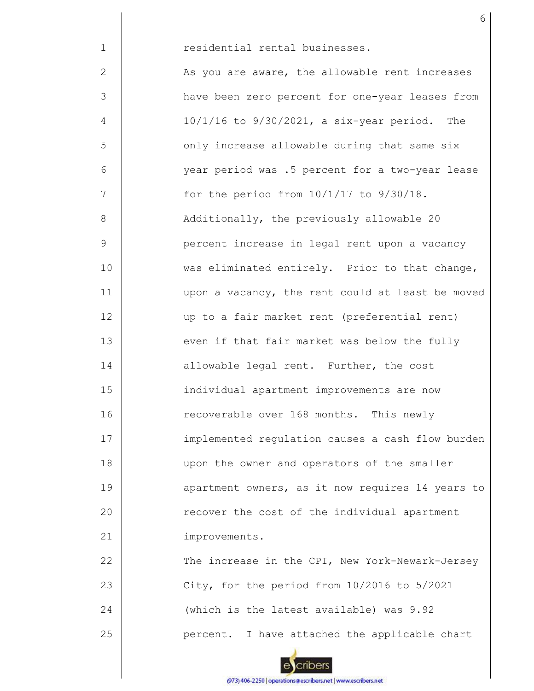| $\mathbf{1}$ | residential rental businesses.                    |
|--------------|---------------------------------------------------|
| 2            | As you are aware, the allowable rent increases    |
| 3            | have been zero percent for one-year leases from   |
| 4            | $10/1/16$ to $9/30/2021$ , a six-year period. The |
| 5            | only increase allowable during that same six      |
| 6            | year period was .5 percent for a two-year lease   |
| 7            | for the period from $10/1/17$ to $9/30/18$ .      |
| 8            | Additionally, the previously allowable 20         |
| 9            | percent increase in legal rent upon a vacancy     |
| 10           | was eliminated entirely. Prior to that change,    |
| 11           | upon a vacancy, the rent could at least be moved  |
| 12           | up to a fair market rent (preferential rent)      |
| 13           | even if that fair market was below the fully      |
| 14           | allowable legal rent. Further, the cost           |
| 15           | individual apartment improvements are now         |
| 16           | recoverable over 168 months. This newly           |
| 17           | implemented regulation causes a cash flow burden  |
| 18           | upon the owner and operators of the smaller       |
| 19           | apartment owners, as it now requires 14 years to  |
| 20           | recover the cost of the individual apartment      |
| 21           | improvements.                                     |
| 22           | The increase in the CPI, New York-Newark-Jersey   |
| 23           | City, for the period from 10/2016 to 5/2021       |
| 24           | (which is the latest available) was 9.92          |
| 25           | percent. I have attached the applicable chart     |

6

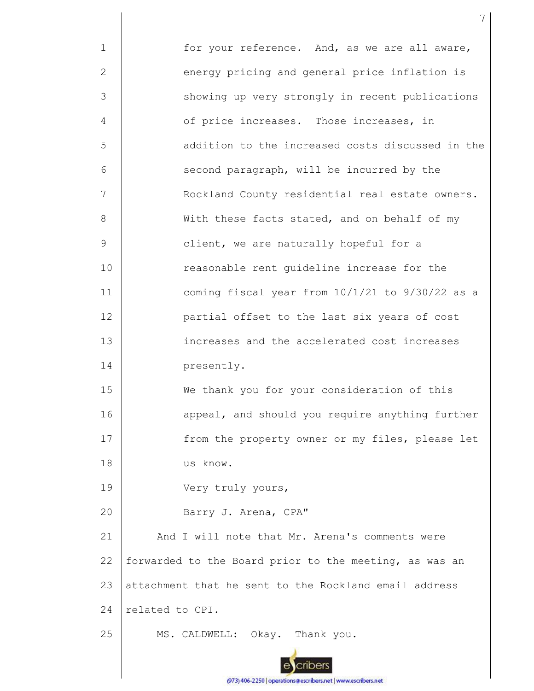1 2 3 4 5 6 7 8 9 10 11 12 13 14 15 16 17 18 19 20 21 22 23 24 25 for your reference. And, as we are all aware, energy pricing and general price inflation is showing up very strongly in recent publications of price increases. Those increases, in addition to the increased costs discussed in the second paragraph, will be incurred by the Rockland County residential real estate owners. With these facts stated, and on behalf of my client, we are naturally hopeful for a reasonable rent guideline increase for the coming fiscal year from 10/1/21 to 9/30/22 as a partial offset to the last six years of cost increases and the accelerated cost increases presently. We thank you for your consideration of this appeal, and should you require anything further from the property owner or my files, please let us know. Very truly yours, Barry J. Arena, CPA" And I will note that Mr. Arena's comments were forwarded to the Board prior to the meeting, as was an attachment that he sent to the Rockland email address related to CPI. MS. CALDWELL: Okay. Thank you.

7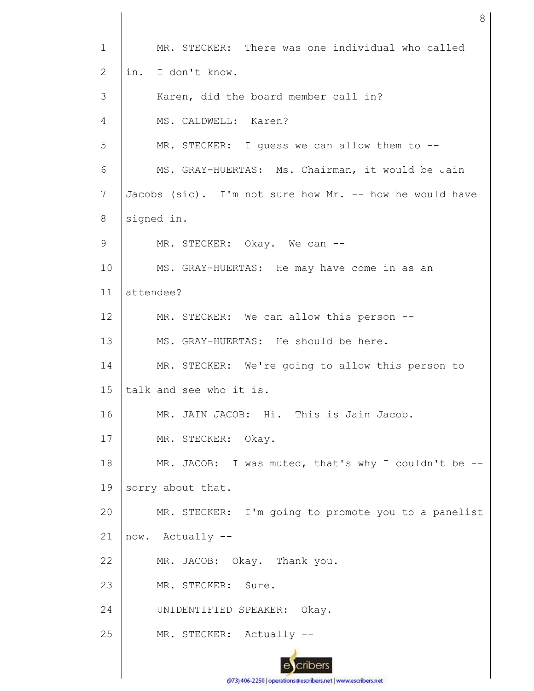1 2 3 4 5 6 7 8 9 10 11 12 13 14 15 16 17 18 19 20 21 22 23 24 25 MR. STECKER: There was one individual who called in. I don't know. Karen, did the board member call in? MS. CALDWELL: Karen? MR. STECKER: I guess we can allow them to --MS. GRAY-HUERTAS: Ms. Chairman, it would be Jain Jacobs (sic). I'm not sure how Mr. -- how he would have signed in. MR. STECKER: Okay. We can --MS. GRAY-HUERTAS: He may have come in as an attendee? MR. STECKER: We can allow this person --MS. GRAY-HUERTAS: He should be here. MR. STECKER: We're going to allow this person to talk and see who it is. MR. JAIN JACOB: Hi. This is Jain Jacob. MR. STECKER: Okay. MR. JACOB: I was muted, that's why I couldn't be - sorry about that. MR. STECKER: I'm going to promote you to a panelist now. Actually -- MR. JACOB: Okay. Thank you. MR. STECKER: Sure. UNIDENTIFIED SPEAKER: Okay. MR. STECKER: Actually --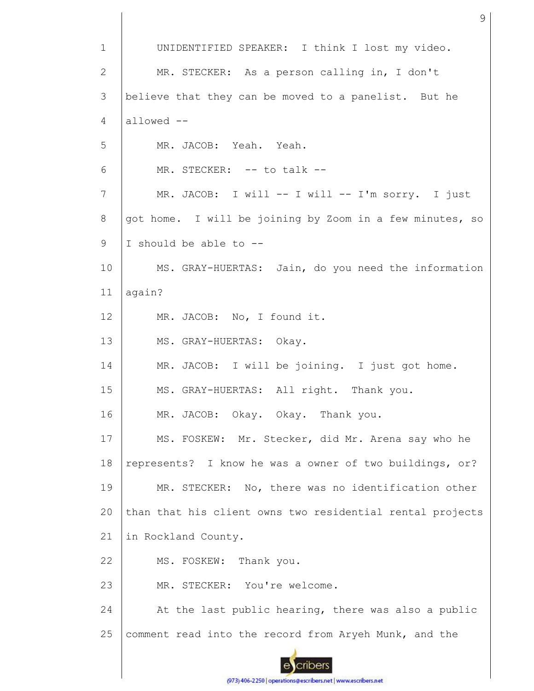1 UNIDENTIFIED SPEAKER: I think I lost my video. 2 MR. STECKER: As a person calling in, I don't 3 believe that they can be moved to a panelist. But he allowed -- 4 5 MR. JACOB: Yeah. Yeah. 6 MR. STECKER: -- to talk --7 MR. JACOB: I will -- I will -- I'm sorry. I just 8 got home. I will be joining by Zoom in a few minutes, so 9 I should be able to -- 10 MS. GRAY-HUERTAS: Jain, do you need the information 11 again? 12 MR. JACOB: No, I found it. 13 MS. GRAY-HUERTAS: Okay. 14 MR. JACOB: I will be joining. I just got home. 15 MS. GRAY-HUERTAS: All right. Thank you. 16 MR. JACOB: Okay. Okay. Thank you. 17 MS. FOSKEW: Mr. Stecker, did Mr. Arena say who he 18 represents? I know he was a owner of two buildings, or? MR. STECKER: No, there was no identification other 19 than that his client owns two residential rental projects 20 21 in Rockland County. 22 MS. FOSKEW: Thank you. 23 MR. STECKER: You're welcome. At the last public hearing, there was also a public 24 25 comment read into the record from Aryeh Munk, and the cribers

9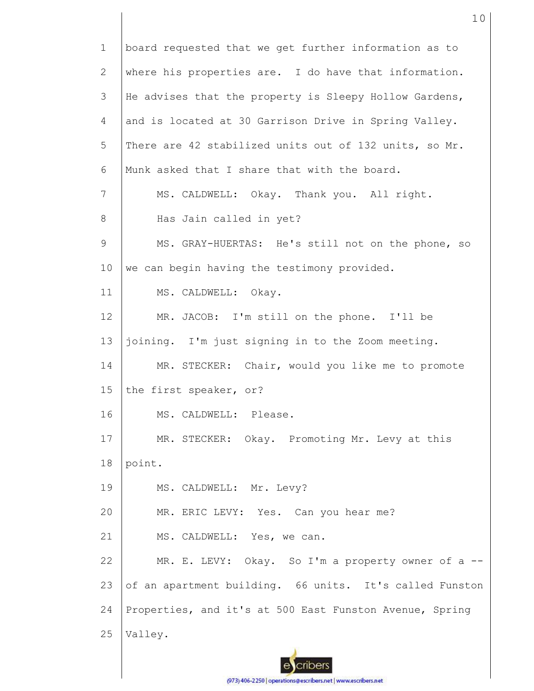1 2 3 4 5 6 7 8 9 10 11 12 13 14 15 16 17 18 19 20 21 22 23 24 25 board requested that we get further information as to where his properties are. I do have that information. He advises that the property is Sleepy Hollow Gardens, and is located at 30 Garrison Drive in Spring Valley. There are 42 stabilized units out of 132 units, so Mr. Munk asked that I share that with the board. MS. CALDWELL: Okay. Thank you. All right. Has Jain called in yet? MS. GRAY-HUERTAS: He's still not on the phone, so we can begin having the testimony provided. MS. CALDWELL: Okay. MR. JACOB: I'm still on the phone. I'll be joining. I'm just signing in to the Zoom meeting. MR. STECKER: Chair, would you like me to promote the first speaker, or? MS. CALDWELL: Please. MR. STECKER: Okay. Promoting Mr. Levy at this point. MS. CALDWELL: Mr. Levy? MR. ERIC LEVY: Yes. Can you hear me? MS. CALDWELL: Yes, we can. MR. E. LEVY: Okay. So I'm a property owner of a -of an apartment building. 66 units. It's called Funston Properties, and it's at 500 East Funston Avenue, Spring Valley.

(973) 406-2250 | operations@escribers.net | www.escribers.net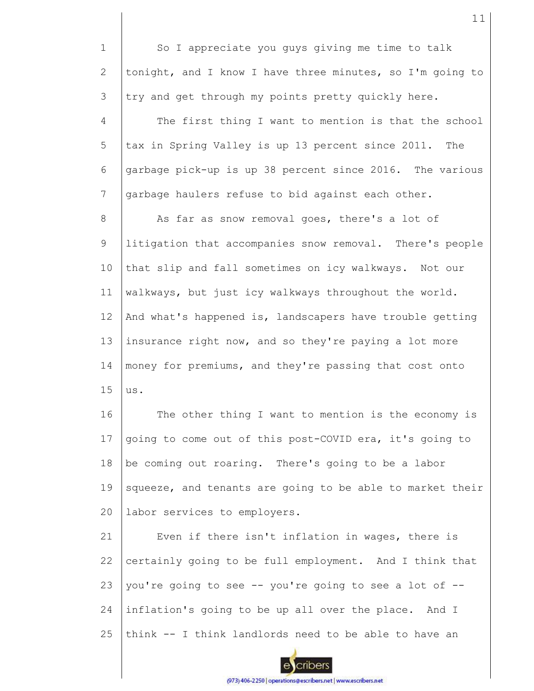1 2 3 4 5 6 7 8 9 10 11 12 13 14 15 16 17 18 19 20 21 22 23 24 So I appreciate you guys giving me time to talk tonight, and I know I have three minutes, so I'm going to try and get through my points pretty quickly here. The first thing I want to mention is that the school tax in Spring Valley is up 13 percent since 2011. The garbage pick-up is up 38 percent since 2016. The various garbage haulers refuse to bid against each other. As far as snow removal goes, there's a lot of litigation that accompanies snow removal. There's people that slip and fall sometimes on icy walkways. Not our walkways, but just icy walkways throughout the world. And what's happened is, landscapers have trouble getting insurance right now, and so they're paying a lot more money for premiums, and they're passing that cost onto us. The other thing I want to mention is the economy is going to come out of this post-COVID era, it's going to be coming out roaring. There's going to be a labor squeeze, and tenants are going to be able to market their labor services to employers. Even if there isn't inflation in wages, there is certainly going to be full employment. And I think that you're going to see -- you're going to see a lot of - inflation's going to be up all over the place. And I think -- I think landlords need to be able to have an



25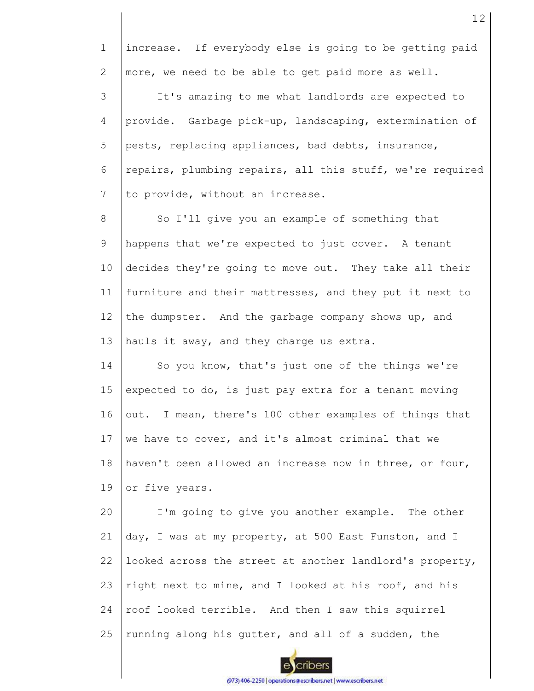1 2 3 4 5 6 7 8 9 10 11 12 13 14 15 16 17 18 19 20 21 22 23 24 25 increase. If everybody else is going to be getting paid more, we need to be able to get paid more as well. It's amazing to me what landlords are expected to provide. Garbage pick-up, landscaping, extermination of pests, replacing appliances, bad debts, insurance, repairs, plumbing repairs, all this stuff, we're required to provide, without an increase. So I'll give you an example of something that happens that we're expected to just cover. A tenant decides they're going to move out. They take all their furniture and their mattresses, and they put it next to the dumpster. And the garbage company shows up, and hauls it away, and they charge us extra. So you know, that's just one of the things we're expected to do, is just pay extra for a tenant moving out. I mean, there's 100 other examples of things that we have to cover, and it's almost criminal that we haven't been allowed an increase now in three, or four, or five years. I'm going to give you another example. The other day, I was at my property, at 500 East Funston, and I looked across the street at another landlord's property, right next to mine, and I looked at his roof, and his roof looked terrible. And then I saw this squirrel running along his gutter, and all of a sudden, the

cribers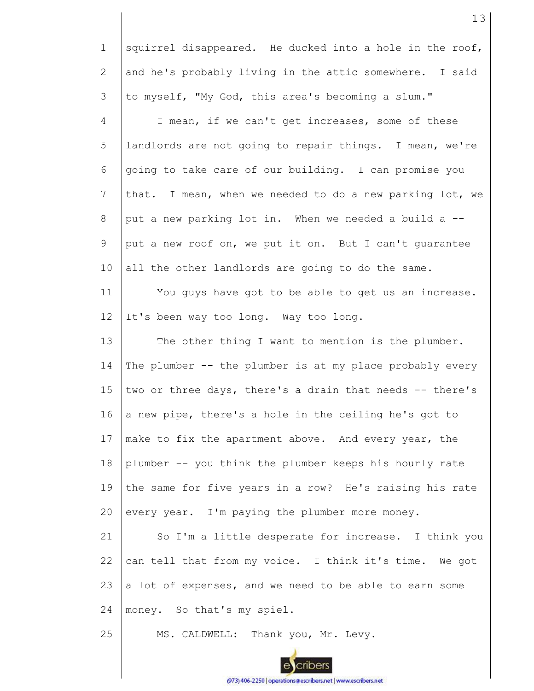1 2 3 4 5 6 7 8 9 10 11 12 13 14 15 16 17 18 19 20 21 22 23 24 25 squirrel disappeared. He ducked into a hole in the roof, and he's probably living in the attic somewhere. I said to myself, "My God, this area's becoming a slum." I mean, if we can't get increases, some of these landlords are not going to repair things. I mean, we're going to take care of our building. I can promise you that. I mean, when we needed to do a new parking lot, we put a new parking lot in. When we needed a build a - put a new roof on, we put it on. But I can't guarantee all the other landlords are going to do the same. You guys have got to be able to get us an increase. It's been way too long. Way too long. The other thing I want to mention is the plumber. The plumber -- the plumber is at my place probably every two or three days, there's a drain that needs -- there's a new pipe, there's a hole in the ceiling he's got to make to fix the apartment above. And every year, the plumber -- you think the plumber keeps his hourly rate the same for five years in a row? He's raising his rate every year. I'm paying the plumber more money. So I'm a little desperate for increase. I think you can tell that from my voice. I think it's time. We got a lot of expenses, and we need to be able to earn some money. So that's my spiel. MS. CALDWELL: Thank you, Mr. Levy.

13

(973) 406-2250 | operations@escribers.net | www.escribers.net

cribers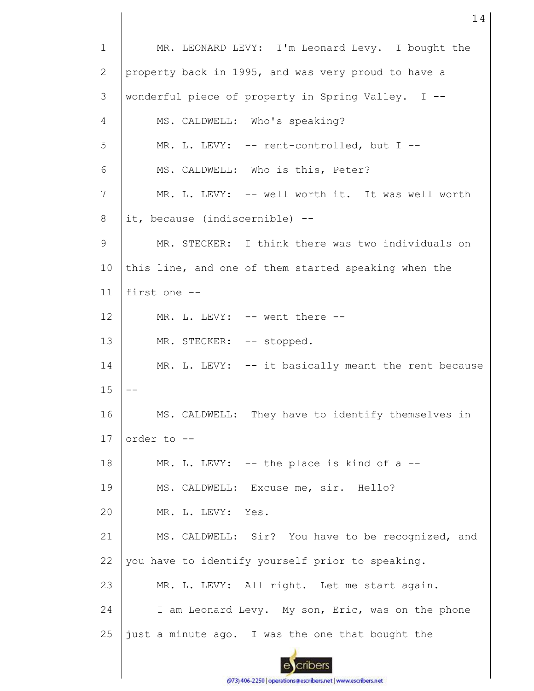1 MR. LEONARD LEVY: I'm Leonard Levy. I bought the property back in 1995, and was very proud to have a 2 3 wonderful piece of property in Spring Valley. I -- 4 MS. CALDWELL: Who's speaking? 5 MR. L. LEVY: -- rent-controlled, but I --6 MS. CALDWELL: Who is this, Peter? 7 MR. L. LEVY: -- well worth it. It was well worth 8 it, because (indiscernible) -- 9 MR. STECKER: I think there was two individuals on 10 this line, and one of them started speaking when the 11 first one -- 12 MR. L. LEVY: -- went there -- 13 MR. STECKER: -- stopped. 14 MR. L. LEVY: -- it basically meant the rent because 15 -- 16 MS. CALDWELL: They have to identify themselves in 17 order to -- 18 MR. L. LEVY:  $--$  the place is kind of a  $--$ MS. CALDWELL: Excuse me, sir. Hello? 19 20 MR. L. LEVY: Yes. 21 MS. CALDWELL: Sir? You have to be recognized, and you have to identify yourself prior to speaking. 22 23 MR. L. LEVY: All right. Let me start again. 24 I am Leonard Levy. My son, Eric, was on the phone 25 just a minute ago. I was the one that bought the cribers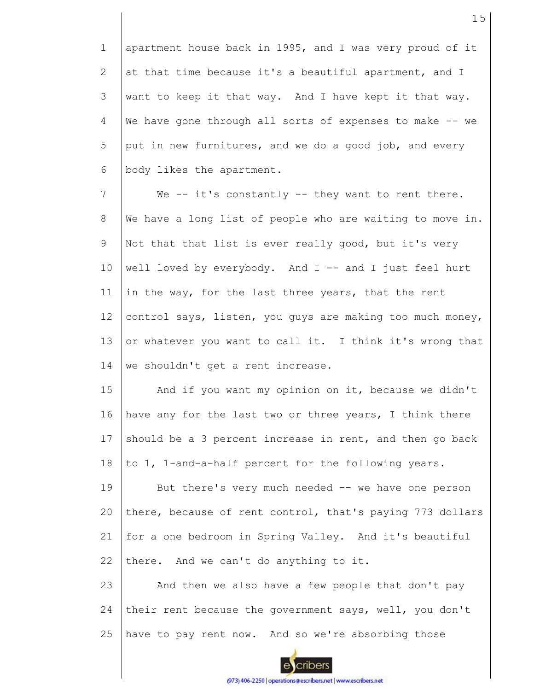1 2 3 4 5 6 apartment house back in 1995, and I was very proud of it at that time because it's a beautiful apartment, and I want to keep it that way. And I have kept it that way. We have gone through all sorts of expenses to make -- we put in new furnitures, and we do a good job, and every body likes the apartment.

7 8 9 10 11 12 13 14 We  $--$  it's constantly  $--$  they want to rent there. We have a long list of people who are waiting to move in. Not that that list is ever really good, but it's very well loved by everybody. And  $I$  -- and  $I$  just feel hurt in the way, for the last three years, that the rent control says, listen, you guys are making too much money, or whatever you want to call it. I think it's wrong that we shouldn't get a rent increase.

15 16 17 18 And if you want my opinion on it, because we didn't have any for the last two or three years, I think there should be a 3 percent increase in rent, and then go back to 1, 1-and-a-half percent for the following years.

19 20 21 22 But there's very much needed -- we have one person there, because of rent control, that's paying 773 dollars for a one bedroom in Spring Valley. And it's beautiful there. And we can't do anything to it.

23 24 25 And then we also have a few people that don't pay their rent because the government says, well, you don't have to pay rent now. And so we're absorbing those

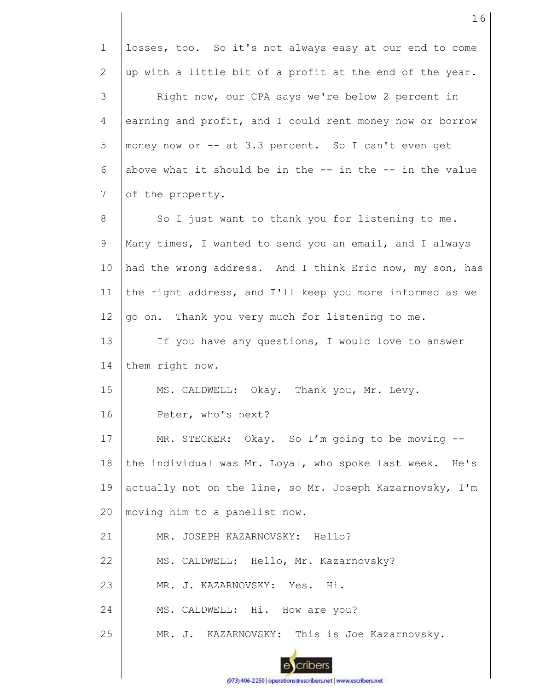1 2 3 4 5 6 7 8 9 10 11 12 13 14 15 16 17 18 19 20 21 22 23 24 25 losses, too. So it's not always easy at our end to come up with a little bit of a profit at the end of the year. Right now, our CPA says we're below 2 percent in earning and profit, and I could rent money now or borrow money now or -- at 3.3 percent. So I can't even get above what it should be in the  $-$  in the  $-$  in the value of the property. So I just want to thank you for listening to me. Many times, I wanted to send you an email, and I always had the wrong address. And I think Eric now, my son, has the right address, and I'll keep you more informed as we go on. Thank you very much for listening to me. If you have any questions, I would love to answer them right now. MS. CALDWELL: Okay. Thank you, Mr. Levy. Peter, who's next? MR. STECKER: Okay. So I'm going to be moving -the individual was Mr. Loyal, who spoke last week. He's actually not on the line, so Mr. Joseph Kazarnovsky, I'm moving him to a panelist now. MR. JOSEPH KAZARNOVSKY: Hello? MS. CALDWELL: Hello, Mr. Kazarnovsky? MR. J. KAZARNOVSKY: Yes. Hi. MS. CALDWELL: Hi. How are you? MR. J. KAZARNOVSKY: This is Joe Kazarnovsky.

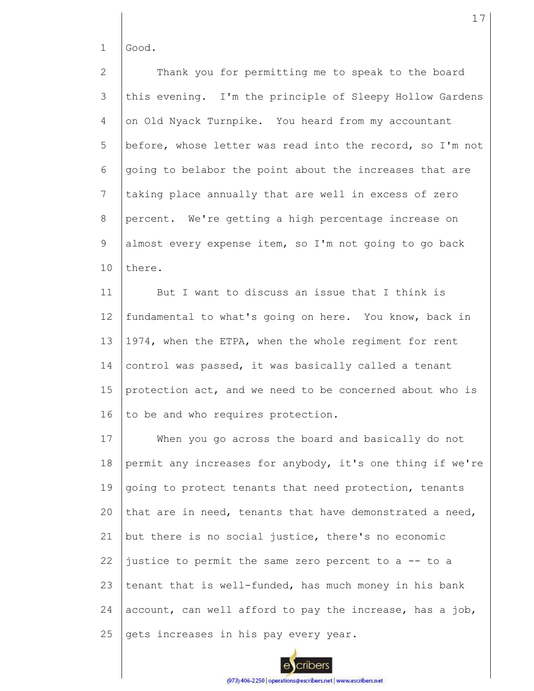1 Good.

2 3 4 5 6 7 8 9 10 Thank you for permitting me to speak to the board this evening. I'm the principle of Sleepy Hollow Gardens on Old Nyack Turnpike. You heard from my accountant before, whose letter was read into the record, so I'm not going to belabor the point about the increases that are taking place annually that are well in excess of zero percent. We're getting a high percentage increase on almost every expense item, so I'm not going to go back there.

11 12 13 14 15 16 But I want to discuss an issue that I think is fundamental to what's going on here. You know, back in 1974, when the ETPA, when the whole regiment for rent control was passed, it was basically called a tenant protection act, and we need to be concerned about who is to be and who requires protection.

17 18 19  $20$ 21 22 23 24 25 When you go across the board and basically do not permit any increases for anybody, it's one thing if we're going to protect tenants that need protection, tenants that are in need, tenants that have demonstrated a need, but there is no social justice, there's no economic justice to permit the same zero percent to a -- to a tenant that is well-funded, has much money in his bank account, can well afford to pay the increase, has a job, gets increases in his pay every year.



(973) 406-2250 | operations@escribers.net | www.escribers.net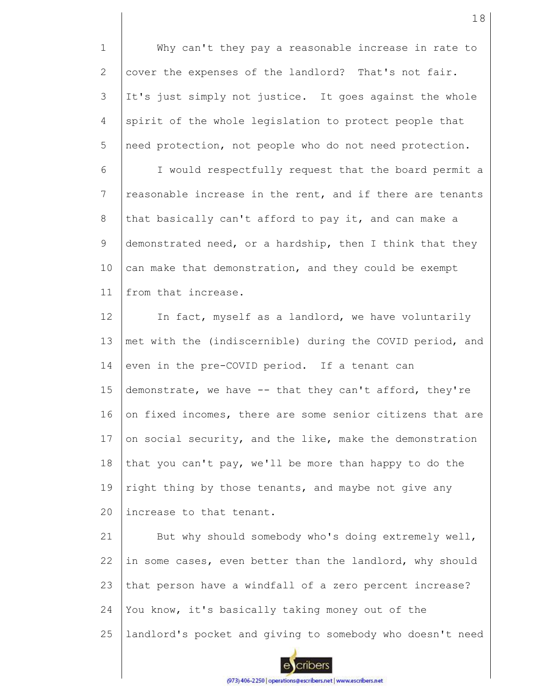1 2 3 4 5 Why can't they pay a reasonable increase in rate to cover the expenses of the landlord? That's not fair. It's just simply not justice. It goes against the whole spirit of the whole legislation to protect people that need protection, not people who do not need protection.

6 7 8 9 10 11 I would respectfully request that the board permit a reasonable increase in the rent, and if there are tenants that basically can't afford to pay it, and can make a demonstrated need, or a hardship, then I think that they can make that demonstration, and they could be exempt from that increase.

12 13 14 15 16 17 18 19  $20$ In fact, myself as a landlord, we have voluntarily met with the (indiscernible) during the COVID period, and even in the pre-COVID period. If a tenant can demonstrate, we have -- that they can't afford, they're on fixed incomes, there are some senior citizens that are on social security, and the like, make the demonstration that you can't pay, we'll be more than happy to do the right thing by those tenants, and maybe not give any increase to that tenant.

21 22 23 24 25 But why should somebody who's doing extremely well, in some cases, even better than the landlord, why should that person have a windfall of a zero percent increase? You know, it's basically taking money out of the landlord's pocket and giving to somebody who doesn't need

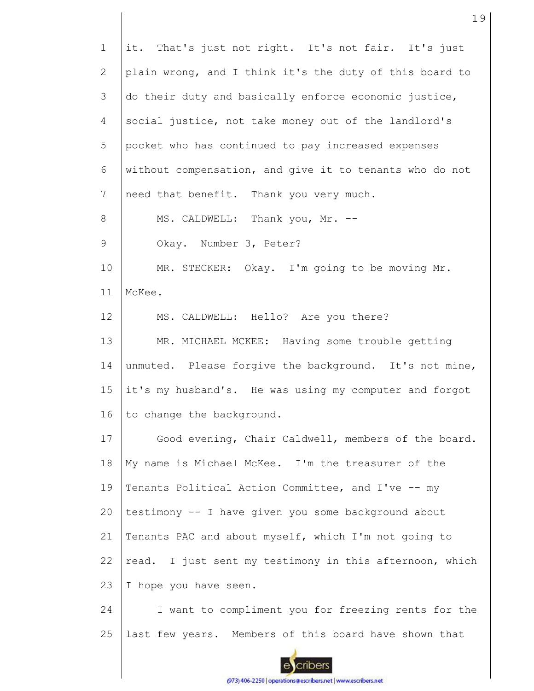1 2 3 4 5 6 7 8 9 10 11 12 13 14 15 16 17 18 19 20 21 22 23 24 25 it. That's just not right. It's not fair. It's just plain wrong, and I think it's the duty of this board to do their duty and basically enforce economic justice, social justice, not take money out of the landlord's pocket who has continued to pay increased expenses without compensation, and give it to tenants who do not need that benefit. Thank you very much. MS. CALDWELL: Thank you, Mr. --Okay. Number 3, Peter? MR. STECKER: Okay. I'm going to be moving Mr. McKee. MS. CALDWELL: Hello? Are you there? MR. MICHAEL MCKEE: Having some trouble getting unmuted. Please forgive the background. It's not mine, it's my husband's. He was using my computer and forgot to change the background. Good evening, Chair Caldwell, members of the board. My name is Michael McKee. I'm the treasurer of the Tenants Political Action Committee, and I've -- my testimony -- I have given you some background about Tenants PAC and about myself, which I'm not going to read. I just sent my testimony in this afternoon, which I hope you have seen. I want to compliment you for freezing rents for the last few years. Members of this board have shown that

cribers

(973) 406-2250 | operations@escribers.net | www.escribers.net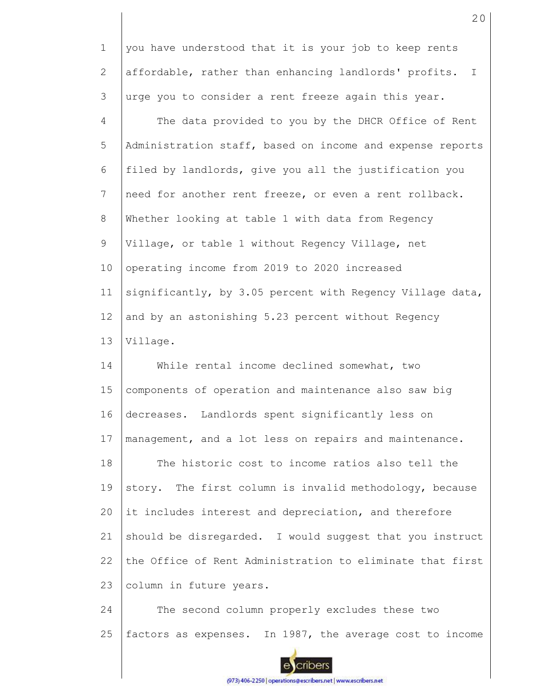| $\mathbf 1$    | you have understood that it is your job to keep rents                 |
|----------------|-----------------------------------------------------------------------|
| $\overline{2}$ | affordable, rather than enhancing landlords' profits.<br>$\mathbb{I}$ |
| 3              | urge you to consider a rent freeze again this year.                   |
| 4              | The data provided to you by the DHCR Office of Rent                   |
| 5              | Administration staff, based on income and expense reports             |
| 6              | filed by landlords, give you all the justification you                |
| 7              | need for another rent freeze, or even a rent rollback.                |
| 8              | Whether looking at table 1 with data from Regency                     |
| $\mathsf 9$    | Village, or table 1 without Regency Village, net                      |
| 10             | operating income from 2019 to 2020 increased                          |
| 11             | significantly, by 3.05 percent with Regency Village data,             |
| 12             | and by an astonishing 5.23 percent without Regency                    |
| 13             | Village.                                                              |
| 14             | While rental income declined somewhat, two                            |
| 15             | components of operation and maintenance also saw big                  |
| 16             | decreases. Landlords spent significantly less on                      |
| 17             | management, and a lot less on repairs and maintenance.                |
| 18             | The historic cost to income ratios also tell the                      |
| 19             | story. The first column is invalid methodology, because               |
| 20             | it includes interest and depreciation, and therefore                  |
| 21             | should be disregarded. I would suggest that you instruct              |
| 22             | the Office of Rent Administration to eliminate that first             |
| 23             | column in future years.                                               |
| 24             | The second column properly excludes these two                         |
| 25             | factors as expenses. In 1987, the average cost to income              |



(973) 406-2250 | operations@escribers.net | www.escribers.net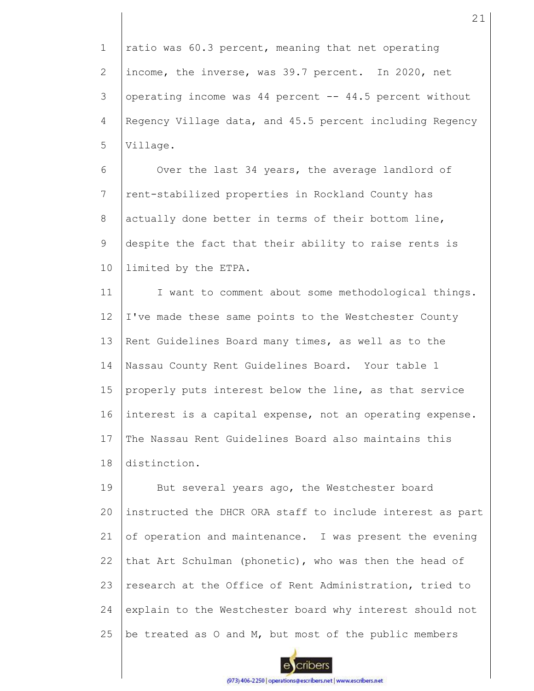1 2 3 4 5 ratio was 60.3 percent, meaning that net operating income, the inverse, was 39.7 percent. In 2020, net operating income was 44 percent -- 44.5 percent without Regency Village data, and 45.5 percent including Regency Village.

6 7 8 9 10 Over the last 34 years, the average landlord of rent-stabilized properties in Rockland County has actually done better in terms of their bottom line, despite the fact that their ability to raise rents is limited by the ETPA.

11 12 13 14 15 16 17 18 I want to comment about some methodological things. I've made these same points to the Westchester County Rent Guidelines Board many times, as well as to the Nassau County Rent Guidelines Board. Your table 1 properly puts interest below the line, as that service interest is a capital expense, not an operating expense. The Nassau Rent Guidelines Board also maintains this distinction.

19 20 21 22 23 24 25 But several years ago, the Westchester board instructed the DHCR ORA staff to include interest as part of operation and maintenance. I was present the evening that Art Schulman (phonetic), who was then the head of research at the Office of Rent Administration, tried to explain to the Westchester board why interest should not be treated as O and M, but most of the public members

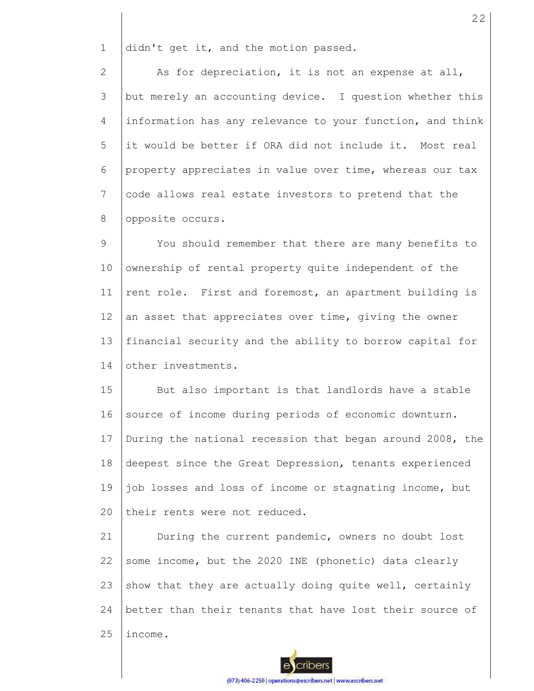1 didn't get it, and the motion passed.

2 3 4 5 6 7 8 As for depreciation, it is not an expense at all, but merely an accounting device. I question whether this information has any relevance to your function, and think it would be better if ORA did not include it. Most real property appreciates in value over time, whereas our tax code allows real estate investors to pretend that the opposite occurs.

9 10 11 12 13 14 You should remember that there are many benefits to ownership of rental property quite independent of the rent role. First and foremost, an apartment building is an asset that appreciates over time, giving the owner financial security and the ability to borrow capital for other investments.

15 16 17 18 19  $20$ But also important is that landlords have a stable source of income during periods of economic downturn. During the national recession that began around 2008, the deepest since the Great Depression, tenants experienced job losses and loss of income or stagnating income, but their rents were not reduced.

21 22 23 24 25 During the current pandemic, owners no doubt lost some income, but the 2020 INE (phonetic) data clearly show that they are actually doing quite well, certainly better than their tenants that have lost their source of income.

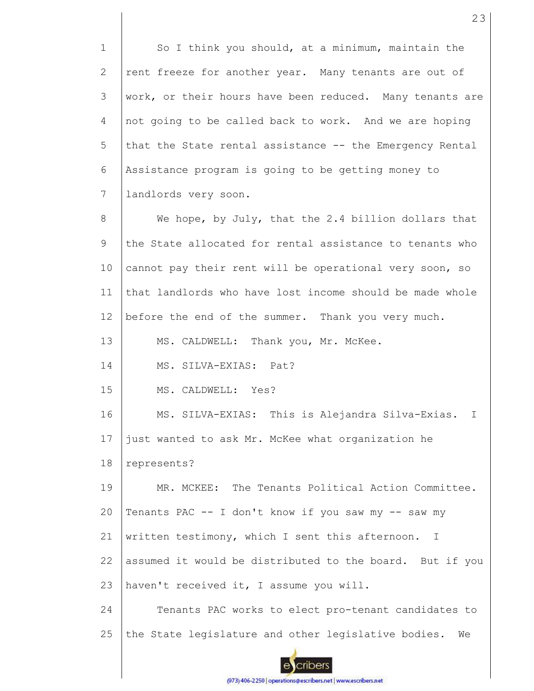1 2 3 4 5 6 7 8 9 10 11 12 13 14 15 16 17 18 19  $20$ 21 22 23 24 25 So I think you should, at a minimum, maintain the rent freeze for another year. Many tenants are out of work, or their hours have been reduced. Many tenants are not going to be called back to work. And we are hoping that the State rental assistance -- the Emergency Rental Assistance program is going to be getting money to landlords very soon. We hope, by July, that the 2.4 billion dollars that the State allocated for rental assistance to tenants who cannot pay their rent will be operational very soon, so that landlords who have lost income should be made whole before the end of the summer. Thank you very much. MS. CALDWELL: Thank you, Mr. McKee. MS. SILVA-EXIAS: Pat? MS. CALDWELL: Yes? MS. SILVA-EXIAS: This is Alejandra Silva-Exias. I just wanted to ask Mr. McKee what organization he represents? MR. MCKEE: The Tenants Political Action Committee. Tenants PAC -- I don't know if you saw my -- saw my written testimony, which I sent this afternoon. I assumed it would be distributed to the board. But if you haven't received it, I assume you will. Tenants PAC works to elect pro-tenant candidates to the State legislature and other legislative bodies. We

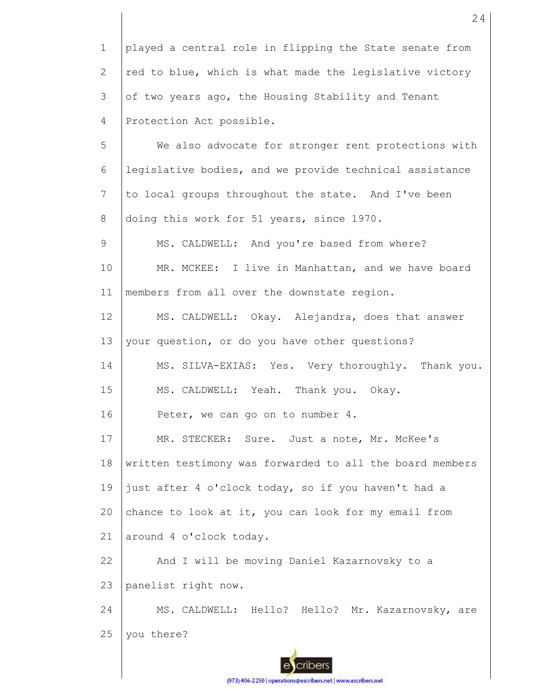1 2 3 4 played a central role in flipping the State senate from red to blue, which is what made the legislative victory of two years ago, the Housing Stability and Tenant Protection Act possible.

5 6 7 8 We also advocate for stronger rent protections with legislative bodies, and we provide technical assistance to local groups throughout the state. And I've been doing this work for 51 years, since 1970.

9 10 11 MS. CALDWELL: And you're based from where? MR. MCKEE: I live in Manhattan, and we have board members from all over the downstate region.

12 13 MS. CALDWELL: Okay. Alejandra, does that answer your question, or do you have other questions?

14 15 MS. SILVA-EXIAS: Yes. Very thoroughly. Thank you. MS. CALDWELL: Yeah. Thank you. Okay.

16 Peter, we can go on to number 4.

17 18 19 20 21 MR. STECKER: Sure. Just a note, Mr. McKee's written testimony was forwarded to all the board members just after 4 o'clock today, so if you haven't had a chance to look at it, you can look for my email from around 4 o'clock today.

22 23 And I will be moving Daniel Kazarnovsky to a panelist right now.

24 25 MS. CALDWELL: Hello? Hello? Mr. Kazarnovsky, are you there?

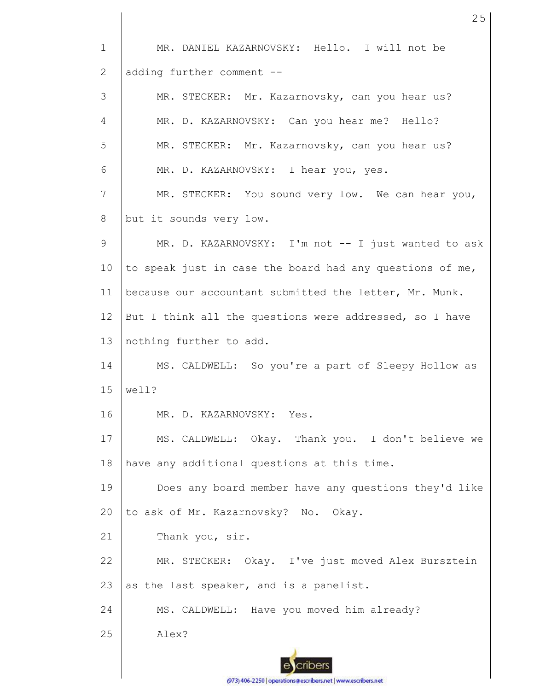1 2 3 4 5 6 7 8 9 10 11 12 13 14 15 16 17 18 19 20 21 22 23 24 25 MR. DANIEL KAZARNOVSKY: Hello. I will not be adding further comment -- MR. STECKER: Mr. Kazarnovsky, can you hear us? MR. D. KAZARNOVSKY: Can you hear me? Hello? MR. STECKER: Mr. Kazarnovsky, can you hear us? MR. D. KAZARNOVSKY: I hear you, yes. MR. STECKER: You sound very low. We can hear you, but it sounds very low. MR. D. KAZARNOVSKY: I'm not -- I just wanted to ask to speak just in case the board had any questions of me, because our accountant submitted the letter, Mr. Munk. But I think all the questions were addressed, so I have nothing further to add. MS. CALDWELL: So you're a part of Sleepy Hollow as well? MR. D. KAZARNOVSKY: Yes. MS. CALDWELL: Okay. Thank you. I don't believe we have any additional questions at this time. Does any board member have any questions they'd like to ask of Mr. Kazarnovsky? No. Okay. Thank you, sir. MR. STECKER: Okay. I've just moved Alex Bursztein as the last speaker, and is a panelist. MS. CALDWELL: Have you moved him already? Alex?

25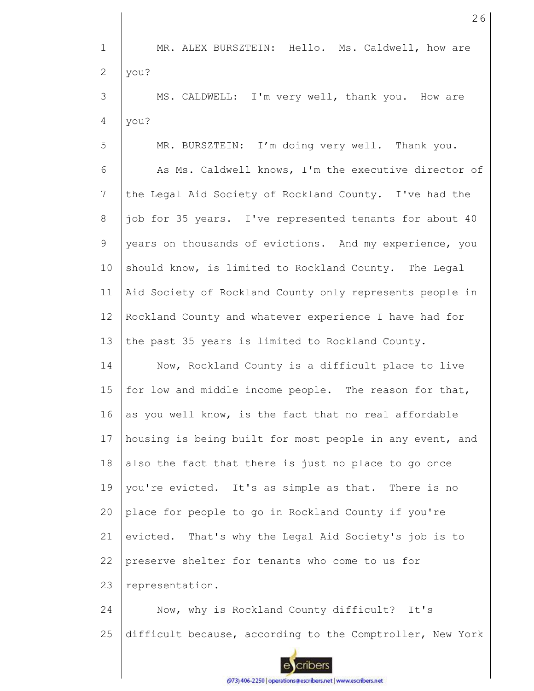1 MR. ALEX BURSZTEIN: Hello. Ms. Caldwell, how are 2 you? 3 MS. CALDWELL: I'm very well, thank you. How are 4 you? 5 MR. BURSZTEIN: I'm doing very well. Thank you. 6 As Ms. Caldwell knows, I'm the executive director of 7 the Legal Aid Society of Rockland County. I've had the 8 job for 35 years. I've represented tenants for about 40 9 years on thousands of evictions. And my experience, you 10 should know, is limited to Rockland County. The Legal 11 Aid Society of Rockland County only represents people in 12 Rockland County and whatever experience I have had for 13 the past 35 years is limited to Rockland County. 14 Now, Rockland County is a difficult place to live 15 for low and middle income people. The reason for that, 16 as you well know, is the fact that no real affordable 17 housing is being built for most people in any event, and 18 also the fact that there is just no place to go once 19 you're evicted. It's as simple as that. There is no 20 place for people to go in Rockland County if you're 21 evicted. That's why the Legal Aid Society's job is to preserve shelter for tenants who come to us for 22 23 representation. 24 Now, why is Rockland County difficult? It's 25 difficult because, according to the Comptroller, New York cribers

26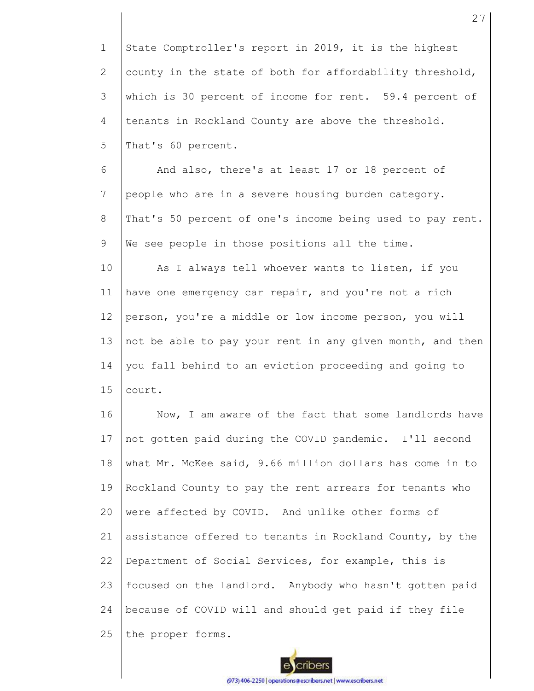1 2 3 4 5 6 7 8 9 10 11 12 13 14 15 16 17 18 19 20 21 22 23 24 25 State Comptroller's report in 2019, it is the highest county in the state of both for affordability threshold, which is 30 percent of income for rent. 59.4 percent of tenants in Rockland County are above the threshold. That's 60 percent. And also, there's at least 17 or 18 percent of people who are in a severe housing burden category. That's 50 percent of one's income being used to pay rent. We see people in those positions all the time. As I always tell whoever wants to listen, if you have one emergency car repair, and you're not a rich person, you're a middle or low income person, you will not be able to pay your rent in any given month, and then you fall behind to an eviction proceeding and going to court. Now, I am aware of the fact that some landlords have not gotten paid during the COVID pandemic. I'll second what Mr. McKee said, 9.66 million dollars has come in to Rockland County to pay the rent arrears for tenants who were affected by COVID. And unlike other forms of assistance offered to tenants in Rockland County, by the Department of Social Services, for example, this is focused on the landlord. Anybody who hasn't gotten paid because of COVID will and should get paid if they file the proper forms.

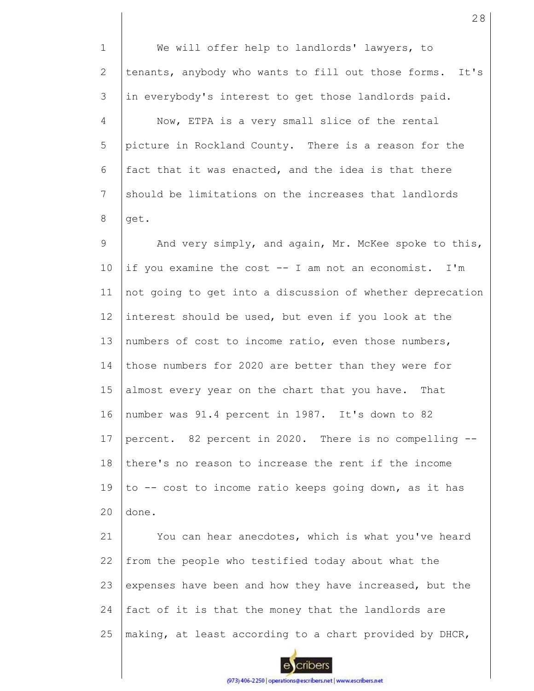1 2 3 4 5 6 7 8 9 10 11 12 13 14 15 16 17 18 19  $20$ 21 22 We will offer help to landlords' lawyers, to tenants, anybody who wants to fill out those forms. It's in everybody's interest to get those landlords paid. Now, ETPA is a very small slice of the rental picture in Rockland County. There is a reason for the fact that it was enacted, and the idea is that there should be limitations on the increases that landlords get. And very simply, and again, Mr. McKee spoke to this, if you examine the cost -- I am not an economist. I'm not going to get into a discussion of whether deprecation interest should be used, but even if you look at the numbers of cost to income ratio, even those numbers, those numbers for 2020 are better than they were for almost every year on the chart that you have. That number was 91.4 percent in 1987. It's down to 82 percent. 82 percent in 2020. There is no compelling - there's no reason to increase the rent if the income to -- cost to income ratio keeps going down, as it has done. You can hear anecdotes, which is what you've heard from the people who testified today about what the

23 24 25 expenses have been and how they have increased, but the fact of it is that the money that the landlords are making, at least according to a chart provided by DHCR,

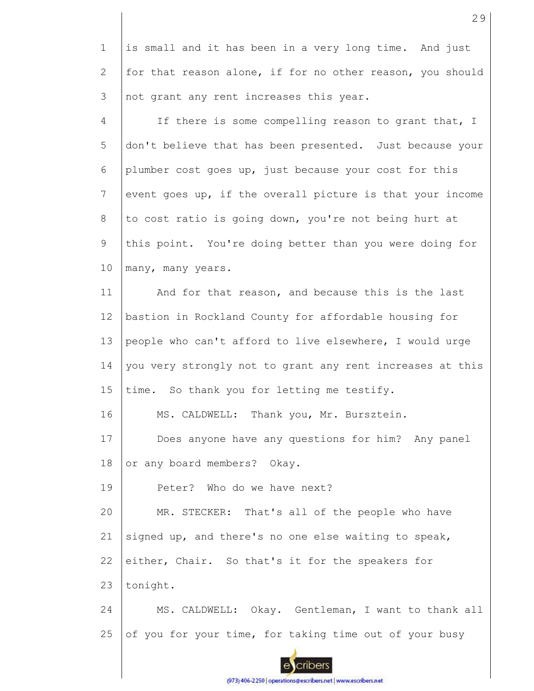1 2 3 is small and it has been in a very long time. And just for that reason alone, if for no other reason, you should not grant any rent increases this year.

4 5 6 7 8 9 10 If there is some compelling reason to grant that, I don't believe that has been presented. Just because your plumber cost goes up, just because your cost for this event goes up, if the overall picture is that your income to cost ratio is going down, you're not being hurt at this point. You're doing better than you were doing for many, many years.

11 12 13 14 15 And for that reason, and because this is the last bastion in Rockland County for affordable housing for people who can't afford to live elsewhere, I would urge you very strongly not to grant any rent increases at this time. So thank you for letting me testify.

16 MS. CALDWELL: Thank you, Mr. Bursztein.

17 18 Does anyone have any questions for him? Any panel or any board members? Okay.

19 Peter? Who do we have next?

20 21 22 23 MR. STECKER: That's all of the people who have signed up, and there's no one else waiting to speak, either, Chair. So that's it for the speakers for tonight.

24 25 MS. CALDWELL: Okay. Gentleman, I want to thank all of you for your time, for taking time out of your busy

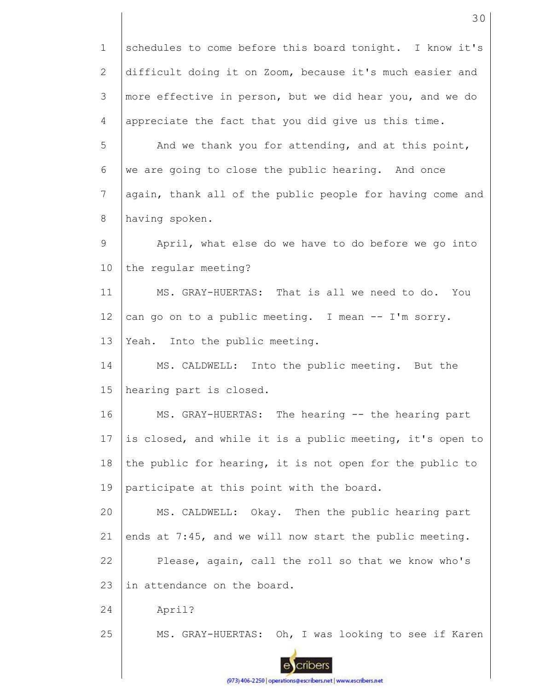1 2 3 4 5 6 7 8 9 10 11 12 13 14 15 16 17 18 19 20 21 22 23 24 25 schedules to come before this board tonight. I know it's difficult doing it on Zoom, because it's much easier and more effective in person, but we did hear you, and we do appreciate the fact that you did give us this time. And we thank you for attending, and at this point, we are going to close the public hearing. And once again, thank all of the public people for having come and having spoken. April, what else do we have to do before we go into the regular meeting? MS. GRAY-HUERTAS: That is all we need to do. You can go on to a public meeting. I mean -- I'm sorry. Yeah. Into the public meeting. MS. CALDWELL: Into the public meeting. But the hearing part is closed. MS. GRAY-HUERTAS: The hearing -- the hearing part is closed, and while it is a public meeting, it's open to the public for hearing, it is not open for the public to participate at this point with the board. MS. CALDWELL: Okay. Then the public hearing part ends at 7:45, and we will now start the public meeting. Please, again, call the roll so that we know who's in attendance on the board. April? MS. GRAY-HUERTAS: Oh, I was looking to see if Karen

30

(973) 406-2250 | operations@escribers.net | www.escribers.net

cribers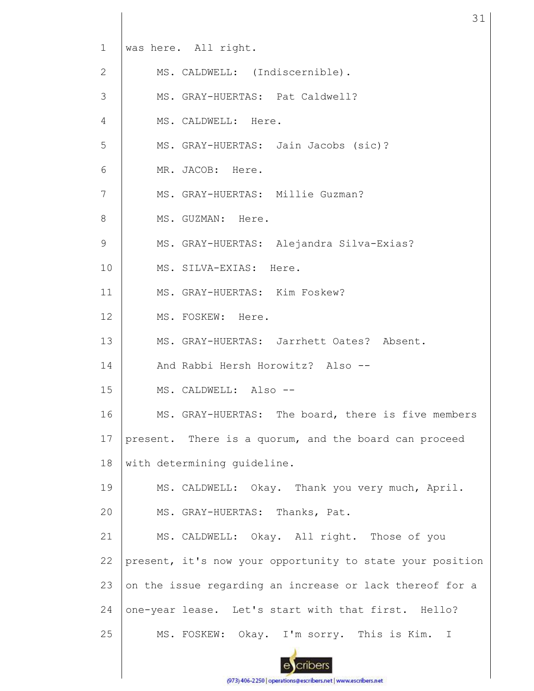| $\mathbf{1}$   | was here. All right.                                      |
|----------------|-----------------------------------------------------------|
| $\mathbf{2}$   | MS. CALDWELL: (Indiscernible).                            |
| 3              | MS. GRAY-HUERTAS: Pat Caldwell?                           |
| $\overline{4}$ | MS. CALDWELL: Here.                                       |
| $\mathsf S$    | MS. GRAY-HUERTAS: Jain Jacobs (sic)?                      |
| 6              | MR. JACOB: Here.                                          |
| $\overline{7}$ | MS. GRAY-HUERTAS: Millie Guzman?                          |
| 8              | MS. GUZMAN: Here.                                         |
| $\mathsf 9$    | MS. GRAY-HUERTAS: Alejandra Silva-Exias?                  |
| 10             | MS. SILVA-EXIAS: Here.                                    |
| 11             | MS. GRAY-HUERTAS: Kim Foskew?                             |
| 12             | MS. FOSKEW: Here.                                         |
| 13             | MS. GRAY-HUERTAS: Jarrhett Oates? Absent.                 |
| 14             | And Rabbi Hersh Horowitz? Also --                         |
| 15             | MS. CALDWELL: Also --                                     |
| 16             | MS. GRAY-HUERTAS: The board, there is five members        |
| 17             | present. There is a quorum, and the board can proceed     |
| 18             | with determining quideline.                               |
| 19             | MS. CALDWELL: Okay. Thank you very much, April.           |
| 20             | MS. GRAY-HUERTAS: Thanks, Pat.                            |
| 21             | MS. CALDWELL: Okay. All right. Those of you               |
| 22             | present, it's now your opportunity to state your position |
| 23             | on the issue regarding an increase or lack thereof for a  |
| 24             | one-year lease. Let's start with that first. Hello?       |
| 25             | MS. FOSKEW: Okay. I'm sorry. This is Kim. I               |
|                |                                                           |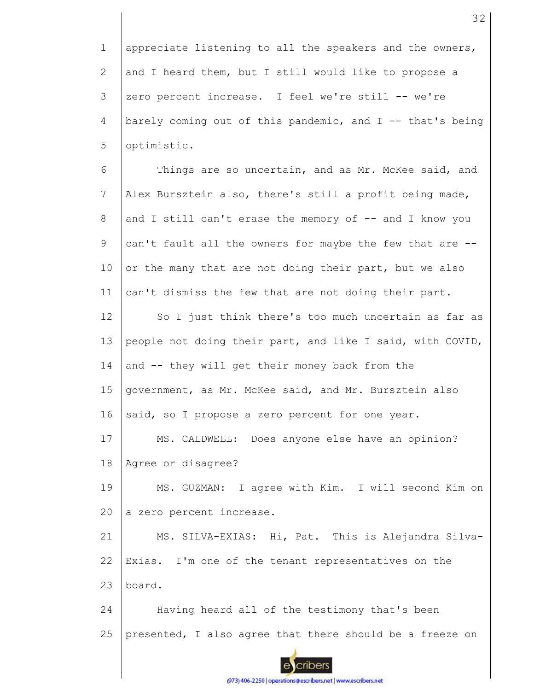1 2 3 4 5 appreciate listening to all the speakers and the owners, and I heard them, but I still would like to propose a zero percent increase. I feel we're still -- we're barely coming out of this pandemic, and I -- that's being optimistic.

6 7 8 9 10 11 Things are so uncertain, and as Mr. McKee said, and Alex Bursztein also, there's still a profit being made, and I still can't erase the memory of -- and I know you can't fault all the owners for maybe the few that are - or the many that are not doing their part, but we also can't dismiss the few that are not doing their part.

12 13 14 15 16 17 18 So I just think there's too much uncertain as far as people not doing their part, and like I said, with COVID, and -- they will get their money back from the government, as Mr. McKee said, and Mr. Bursztein also said, so I propose a zero percent for one year. MS. CALDWELL: Does anyone else have an opinion? Agree or disagree?

19 20 MS. GUZMAN: I agree with Kim. I will second Kim on a zero percent increase.

21 22 23 MS. SILVA-EXIAS: Hi, Pat. This is Alejandra Silva-Exias. I'm one of the tenant representatives on the board.

24 25 Having heard all of the testimony that's been presented, I also agree that there should be a freeze on

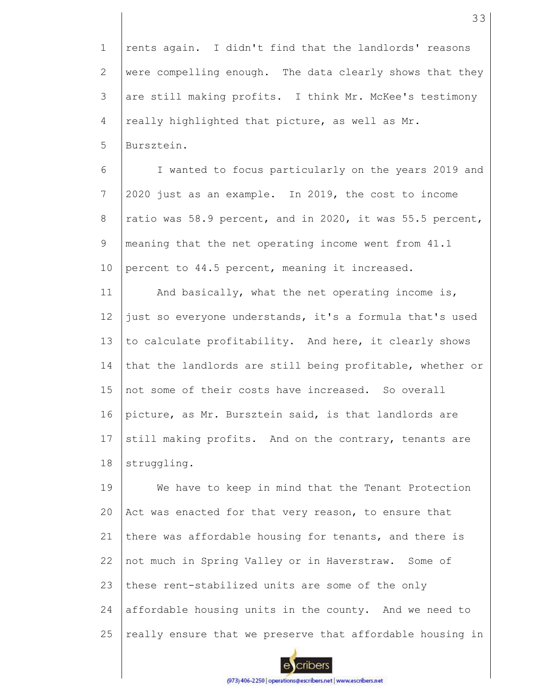1 2 3 4 5 rents again. I didn't find that the landlords' reasons were compelling enough. The data clearly shows that they are still making profits. I think Mr. McKee's testimony really highlighted that picture, as well as Mr. Bursztein.

6 7 8 9 10 I wanted to focus particularly on the years 2019 and 2020 just as an example. In 2019, the cost to income ratio was 58.9 percent, and in 2020, it was 55.5 percent, meaning that the net operating income went from 41.1 percent to 44.5 percent, meaning it increased.

11 12 13 14 15 16 17 18 And basically, what the net operating income is, just so everyone understands, it's a formula that's used to calculate profitability. And here, it clearly shows that the landlords are still being profitable, whether or not some of their costs have increased. So overall picture, as Mr. Bursztein said, is that landlords are still making profits. And on the contrary, tenants are struggling.

19 20 21 22 23 24 25 We have to keep in mind that the Tenant Protection Act was enacted for that very reason, to ensure that there was affordable housing for tenants, and there is not much in Spring Valley or in Haverstraw. Some of these rent-stabilized units are some of the only affordable housing units in the county. And we need to really ensure that we preserve that affordable housing in

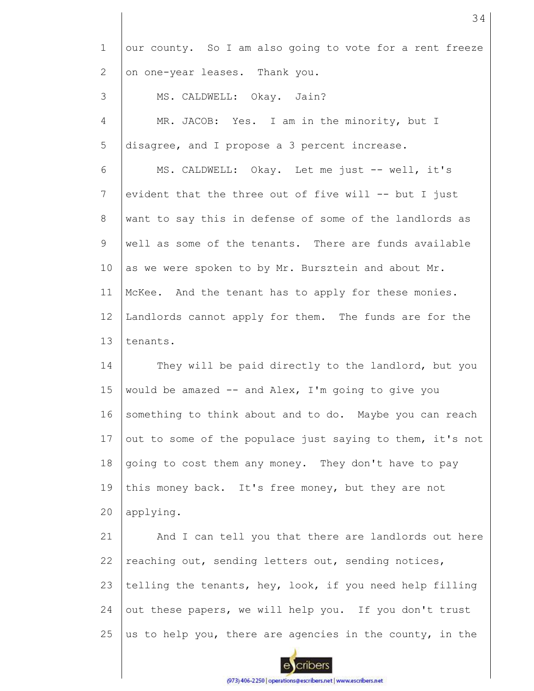| $\mathbf 1$  | our county. So I am also going to vote for a rent freeze  |
|--------------|-----------------------------------------------------------|
| $\mathbf{2}$ | on one-year leases. Thank you.                            |
| 3            | MS. CALDWELL: Okay. Jain?                                 |
| 4            | MR. JACOB: Yes. I am in the minority, but I               |
| 5            | disagree, and I propose a 3 percent increase.             |
| 6            | MS. CALDWELL: Okay. Let me just -- well, it's             |
| 7            | evident that the three out of five will -- but I just     |
| $8\,$        | want to say this in defense of some of the landlords as   |
| 9            | well as some of the tenants. There are funds available    |
| 10           | as we were spoken to by Mr. Bursztein and about Mr.       |
| 11           | McKee. And the tenant has to apply for these monies.      |
| 12           | Landlords cannot apply for them. The funds are for the    |
| 13           | tenants.                                                  |
| 14           | They will be paid directly to the landlord, but you       |
| 15           | would be amazed -- and Alex, I'm going to give you        |
| 16           | something to think about and to do. Maybe you can reach   |
| 17           | out to some of the populace just saying to them, it's not |
| 18           | going to cost them any money. They don't have to pay      |
| 19           | this money back. It's free money, but they are not        |
| 20           | applying.                                                 |
| 21           | And I can tell you that there are landlords out here      |
| 22           | reaching out, sending letters out, sending notices,       |
| 23           | telling the tenants, hey, look, if you need help filling  |
| 24           | out these papers, we will help you. If you don't trust    |
| 25           | us to help you, there are agencies in the county, in the  |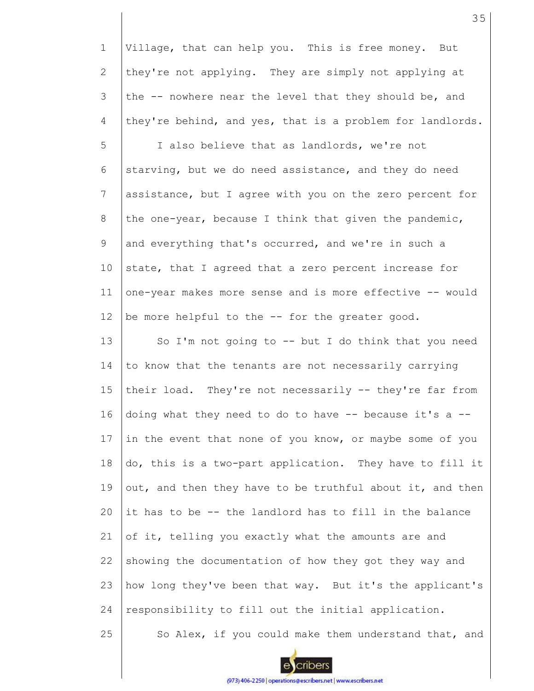1 2 3 4 Village, that can help you. This is free money. But they're not applying. They are simply not applying at the -- nowhere near the level that they should be, and they're behind, and yes, that is a problem for landlords.

5 6 7 8 9 10 11 12 I also believe that as landlords, we're not starving, but we do need assistance, and they do need assistance, but I agree with you on the zero percent for the one-year, because I think that given the pandemic, and everything that's occurred, and we're in such a state, that I agreed that a zero percent increase for one-year makes more sense and is more effective -- would be more helpful to the -- for the greater good.

13 14 15 16 17 18 19 20 21 22 23 24 So I'm not going to  $--$  but I do think that you need to know that the tenants are not necessarily carrying their load. They're not necessarily -- they're far from doing what they need to do to have -- because it's a - in the event that none of you know, or maybe some of you do, this is a two-part application. They have to fill it out, and then they have to be truthful about it, and then it has to be -- the landlord has to fill in the balance of it, telling you exactly what the amounts are and showing the documentation of how they got they way and how long they've been that way. But it's the applicant's responsibility to fill out the initial application.

35



25

So Alex, if you could make them understand that, and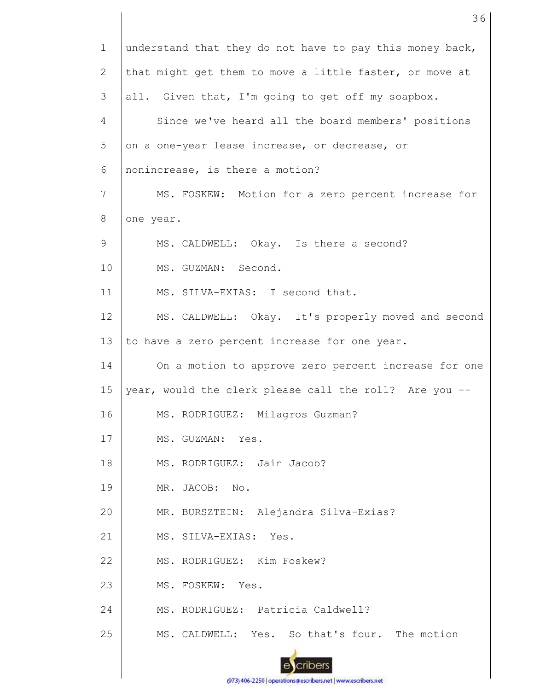| $\mathbf 1$    | understand that they do not have to pay this money back, |
|----------------|----------------------------------------------------------|
| $\mathbf{2}$   | that might get them to move a little faster, or move at  |
| 3              | all. Given that, I'm going to get off my soapbox.        |
| $\overline{4}$ | Since we've heard all the board members' positions       |
| 5              | on a one-year lease increase, or decrease, or            |
| 6              | nonincrease, is there a motion?                          |
| 7              | MS. FOSKEW: Motion for a zero percent increase for       |
| 8              | one year.                                                |
| 9              | MS. CALDWELL: Okay. Is there a second?                   |
| 10             | MS. GUZMAN: Second.                                      |
| 11             | MS. SILVA-EXIAS: I second that.                          |
| 12             | MS. CALDWELL: Okay. It's properly moved and second       |
| 13             | to have a zero percent increase for one year.            |
| 14             | On a motion to approve zero percent increase for one     |
| 15             | year, would the clerk please call the roll? Are you --   |
| 16             | MS. RODRIGUEZ: Milagros Guzman?                          |
| 17             | MS. GUZMAN: Yes.                                         |
| 18             | MS. RODRIGUEZ: Jain Jacob?                               |
| 19             | MR. JACOB:<br>No.                                        |
| 20             | MR. BURSZTEIN: Alejandra Silva-Exias?                    |
| 21             | MS. SILVA-EXIAS:<br>Yes.                                 |
| 22             | MS. RODRIGUEZ: Kim Foskew?                               |
| 23             | MS. FOSKEW: Yes.                                         |
| 24             | MS. RODRIGUEZ: Patricia Caldwell?                        |
| 25             | MS. CALDWELL: Yes. So that's four. The motion            |
|                |                                                          |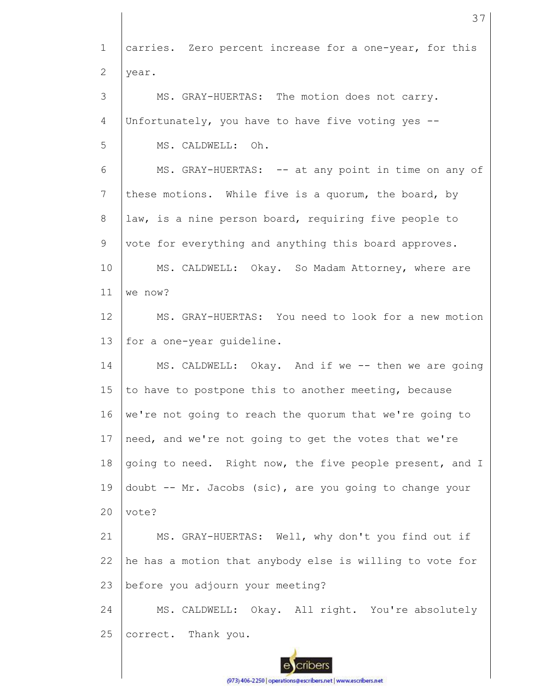1 2 3 4 5 6 7 8 9 10 11 12 13 14 15 16 17 18 19  $20$ 21 22 23 24 25 carries. Zero percent increase for a one-year, for this year. MS. GRAY-HUERTAS: The motion does not carry. Unfortunately, you have to have five voting yes -- MS. CALDWELL: Oh. MS. GRAY-HUERTAS: -- at any point in time on any of these motions. While five is a quorum, the board, by law, is a nine person board, requiring five people to vote for everything and anything this board approves. MS. CALDWELL: Okay. So Madam Attorney, where are we now? MS. GRAY-HUERTAS: You need to look for a new motion for a one-year guideline. MS. CALDWELL: Okay. And if we -- then we are going to have to postpone this to another meeting, because we're not going to reach the quorum that we're going to need, and we're not going to get the votes that we're going to need. Right now, the five people present, and I doubt -- Mr. Jacobs (sic), are you going to change your vote? MS. GRAY-HUERTAS: Well, why don't you find out if he has a motion that anybody else is willing to vote for before you adjourn your meeting? MS. CALDWELL: Okay. All right. You're absolutely correct. Thank you.

37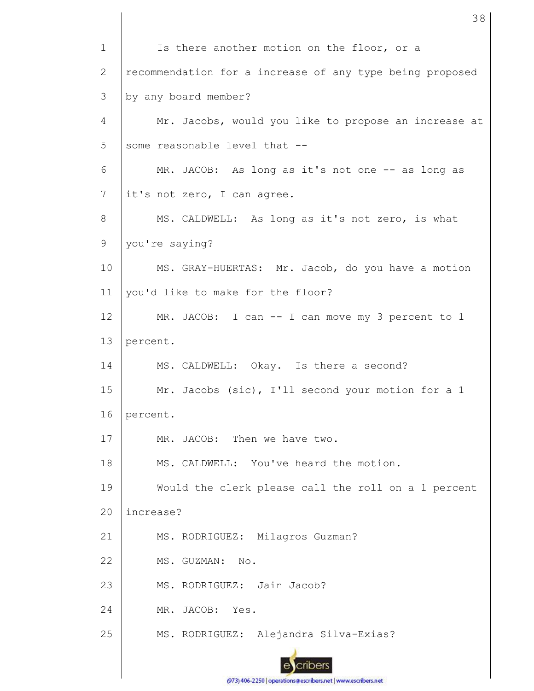| $\mathbf 1$  | Is there another motion on the floor, or a               |
|--------------|----------------------------------------------------------|
| $\mathbf{2}$ | recommendation for a increase of any type being proposed |
| 3            | by any board member?                                     |
| 4            | Mr. Jacobs, would you like to propose an increase at     |
| 5            | some reasonable level that --                            |
| 6            | MR. JACOB: As long as it's not one -- as long as         |
| 7            | it's not zero, I can agree.                              |
| 8            | MS. CALDWELL: As long as it's not zero, is what          |
| 9            | you're saying?                                           |
| 10           | MS. GRAY-HUERTAS: Mr. Jacob, do you have a motion        |
| 11           | you'd like to make for the floor?                        |
| 12           | MR. JACOB: I can -- I can move my 3 percent to 1         |
| 13           | percent.                                                 |
| 14           | MS. CALDWELL: Okay. Is there a second?                   |
| 15           | Mr. Jacobs (sic), I'll second your motion for a 1        |
| 16           | percent.                                                 |
| 17           | MR. JACOB: Then we have two.                             |
| 18           | MS. CALDWELL: You've heard the motion.                   |
| 19           | Would the clerk please call the roll on a 1 percent      |
| 20           | increase?                                                |
| 21           | MS. RODRIGUEZ: Milagros Guzman?                          |
| 22           | MS. GUZMAN: No.                                          |
| 23           | MS. RODRIGUEZ: Jain Jacob?                               |
| 24           | MR. JACOB:<br>Yes.                                       |
| 25           | MS. RODRIGUEZ: Alejandra Silva-Exias?                    |
|              |                                                          |
|              |                                                          |

(973) 406-2250 | operations@escribers.net | www.escribers.net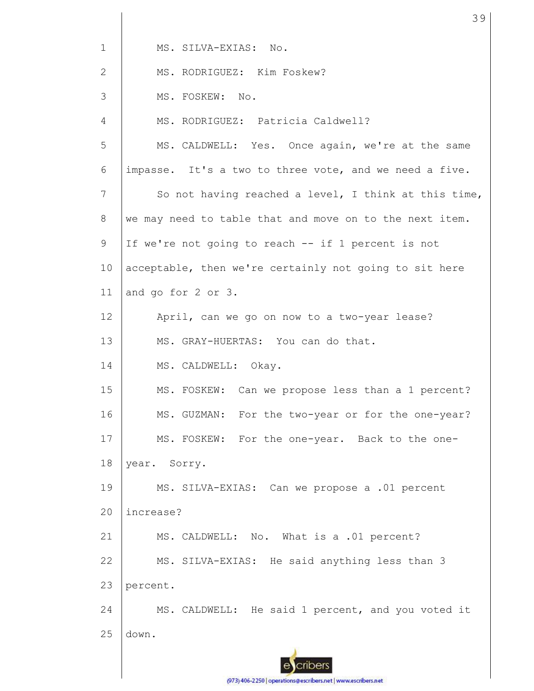1 MS. SILVA-EXIAS: No.

2 MS. RODRIGUEZ: Kim Foskew?

3 MS. FOSKEW: No.

4 5 6 7 8 9 10 11 12 13 14 MS. RODRIGUEZ: Patricia Caldwell? MS. CALDWELL: Yes. Once again, we're at the same impasse. It's a two to three vote, and we need a five. So not having reached a level, I think at this time, we may need to table that and move on to the next item. If we're not going to reach -- if 1 percent is not acceptable, then we're certainly not going to sit here and go for 2 or 3. April, can we go on now to a two-year lease? MS. GRAY-HUERTAS: You can do that. MS. CALDWELL: Okay.

15 16 17 18 MS. FOSKEW: Can we propose less than a 1 percent? MS. GUZMAN: For the two-year or for the one-year? MS. FOSKEW: For the one-year. Back to the oneyear. Sorry.

19  $20$ MS. SILVA-EXIAS: Can we propose a .01 percent increase?

21 22 23 MS. CALDWELL: No. What is a .01 percent? MS. SILVA-EXIAS: He said anything less than 3 percent.

24 25 MS. CALDWELL: He said 1 percent, and you voted it down.

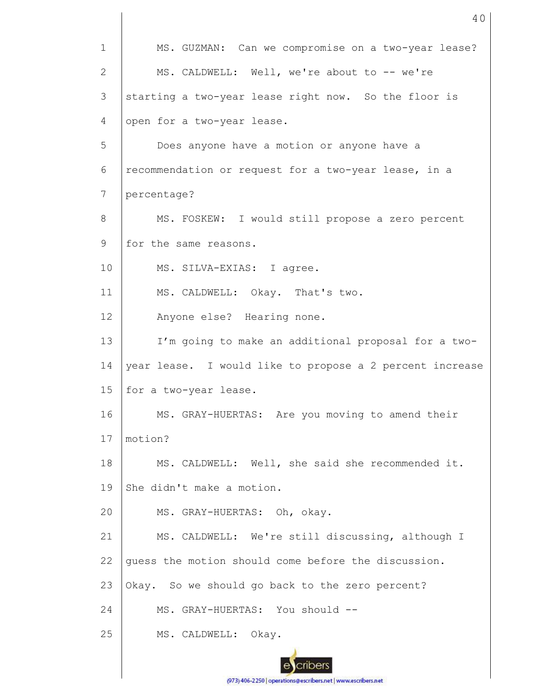1 2 3 4 5 6 7 8 9 10 11 12 13 14 15 16 17 18 19 20 21 22 23 24 25 MS. GUZMAN: Can we compromise on a two-year lease? MS. CALDWELL: Well, we're about to -- we're starting a two-year lease right now. So the floor is open for a two-year lease. Does anyone have a motion or anyone have a recommendation or request for a two-year lease, in a percentage? MS. FOSKEW: I would still propose a zero percent for the same reasons. MS. SILVA-EXIAS: I agree. MS. CALDWELL: Okay. That's two. Anyone else? Hearing none. I'm going to make an additional proposal for a twoyear lease. I would like to propose a 2 percent increase for a two-year lease. MS. GRAY-HUERTAS: Are you moving to amend their motion? MS. CALDWELL: Well, she said she recommended it. She didn't make a motion. MS. GRAY-HUERTAS: Oh, okay. MS. CALDWELL: We're still discussing, although I guess the motion should come before the discussion. Okay. So we should go back to the zero percent? MS. GRAY-HUERTAS: You should --MS. CALDWELL: Okay.

40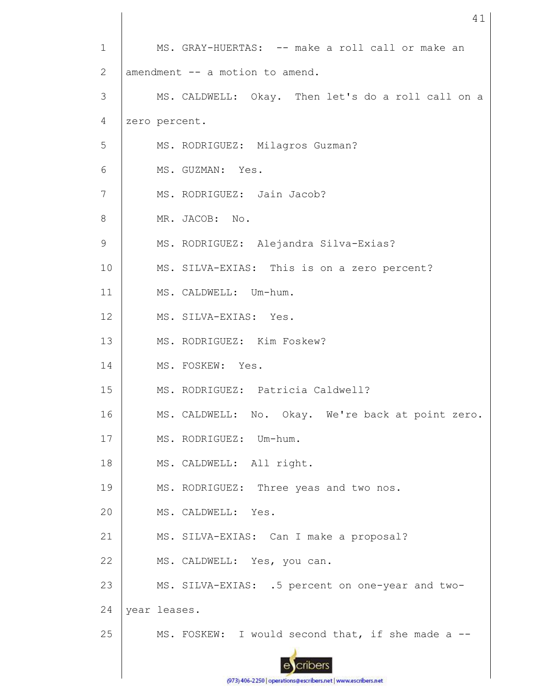| $\mathbf{1}$   |               | MS. GRAY-HUERTAS: -- make a roll call or make an   |
|----------------|---------------|----------------------------------------------------|
| 2              |               | amendment -- a motion to amend.                    |
| 3              |               | MS. CALDWELL: Okay. Then let's do a roll call on a |
| 4              | zero percent. |                                                    |
| 5              |               | MS. RODRIGUEZ: Milagros Guzman?                    |
| 6              |               | MS. GUZMAN: Yes.                                   |
| $\overline{7}$ |               | MS. RODRIGUEZ: Jain Jacob?                         |
| 8              |               | MR. JACOB: No.                                     |
| 9              |               | MS. RODRIGUEZ: Alejandra Silva-Exias?              |
| 10             |               | MS. SILVA-EXIAS: This is on a zero percent?        |
| 11             |               | MS. CALDWELL: Um-hum.                              |
| 12             |               | MS. SILVA-EXIAS: Yes.                              |
| 13             |               | MS. RODRIGUEZ: Kim Foskew?                         |
| 14             |               | MS. FOSKEW: Yes.                                   |
| 15             |               | MS. RODRIGUEZ: Patricia Caldwell?                  |
| 16             |               | MS. CALDWELL: No. Okay. We're back at point zero.  |
| 17             |               | MS. RODRIGUEZ: Um-hum.                             |
| 18             |               | MS. CALDWELL: All right.                           |
| 19             |               | MS. RODRIGUEZ: Three yeas and two nos.             |
| 20             |               | MS. CALDWELL: Yes.                                 |
| 21             |               | MS. SILVA-EXIAS: Can I make a proposal?            |
| 22             |               | MS. CALDWELL: Yes, you can.                        |
| 23             |               | MS. SILVA-EXIAS: .5 percent on one-year and two-   |
| 24             | year leases.  |                                                    |
| 25             |               | MS. FOSKEW: I would second that, if she made a --  |
|                |               |                                                    |
|                |               |                                                    |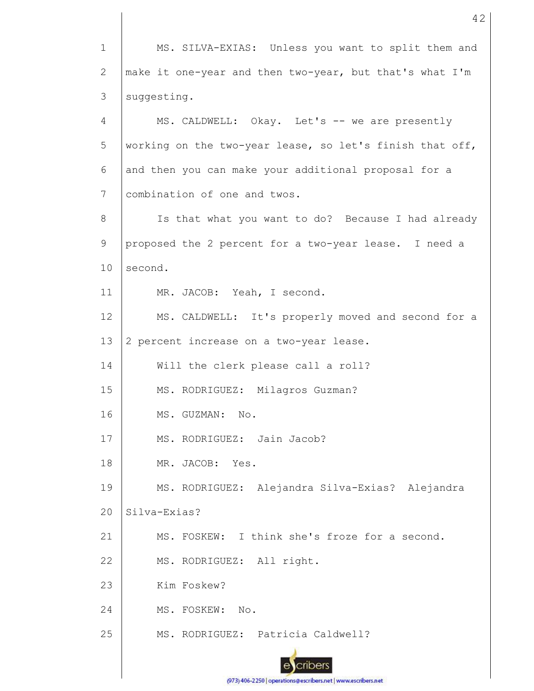1 2 3 4 5 6 7 8 9 10 11 12 13 14 15 16 17 18 19  $20$ 21 22 23 24 25 MS. SILVA-EXIAS: Unless you want to split them and make it one-year and then two-year, but that's what I'm suggesting. MS. CALDWELL: Okay. Let's -- we are presently working on the two-year lease, so let's finish that off, and then you can make your additional proposal for a combination of one and twos. Is that what you want to do? Because I had already proposed the 2 percent for a two-year lease. I need a second. MR. JACOB: Yeah, I second. MS. CALDWELL: It's properly moved and second for a 2 percent increase on a two-year lease. Will the clerk please call a roll? MS. RODRIGUEZ: Milagros Guzman? MS. GUZMAN: No. MS. RODRIGUEZ: Jain Jacob? MR. JACOB: Yes. MS. RODRIGUEZ: Alejandra Silva-Exias? Alejandra Silva-Exias? MS. FOSKEW: I think she's froze for a second. MS. RODRIGUEZ: All right. Kim Foskew? MS. FOSKEW: No. MS. RODRIGUEZ: Patricia Caldwell?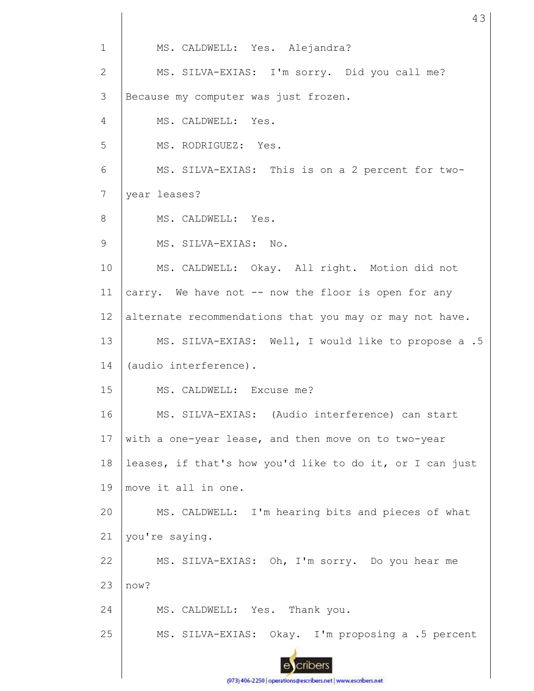1 MS. CALDWELL: Yes. Alejandra? MS. SILVA-EXIAS: I'm sorry. Did you call me? 2 3 Because my computer was just frozen. 4 MS. CALDWELL: Yes. 5 MS. RODRIGUEZ: Yes. 6 MS. SILVA-EXIAS: This is on a 2 percent for two-7 year leases? 8 MS. CALDWELL: Yes. 9 MS. SILVA-EXIAS: No. 10 MS. CALDWELL: Okay. All right. Motion did not 11 carry. We have not -- now the floor is open for any 12 alternate recommendations that you may or may not have. 13 MS. SILVA-EXIAS: Well, I would like to propose a .5 (audio interference). 14 MS. CALDWELL: Excuse me? 15 16 MS. SILVA-EXIAS: (Audio interference) can start 17 with a one-year lease, and then move on to two-year 18 leases, if that's how you'd like to do it, or I can just 19 move it all in one. 20 MS. CALDWELL: I'm hearing bits and pieces of what 21 you're saying. MS. SILVA-EXIAS: Oh, I'm sorry. Do you hear me 22 23 now? 24 MS. CALDWELL: Yes. Thank you. 25 MS. SILVA-EXIAS: Okay. I'm proposing a .5 percent cribers

43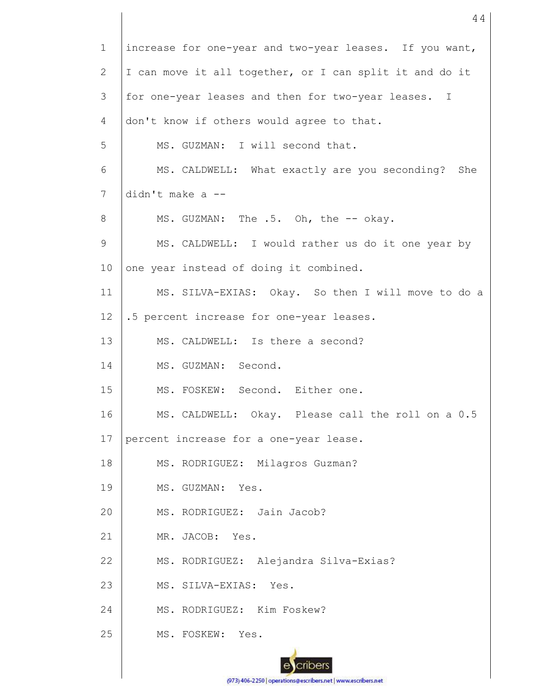1 2 3 4 5 6 7 8 9 10 11 12 13 14 15 16 17 18 19 20 21 22 23 24 25 increase for one-year and two-year leases. If you want, I can move it all together, or I can split it and do it for one-year leases and then for two-year leases. I don't know if others would agree to that. MS. GUZMAN: I will second that. MS. CALDWELL: What exactly are you seconding? She didn't make a -- MS. GUZMAN: The .5. Oh, the -- okay. MS. CALDWELL: I would rather us do it one year by one year instead of doing it combined. MS. SILVA-EXIAS: Okay. So then I will move to do a .5 percent increase for one-year leases. MS. CALDWELL: Is there a second? MS. GUZMAN: Second. MS. FOSKEW: Second. Either one. MS. CALDWELL: Okay. Please call the roll on a 0.5 percent increase for a one-year lease. MS. RODRIGUEZ: Milagros Guzman? MS. GUZMAN: Yes. MS. RODRIGUEZ: Jain Jacob? MR. JACOB: Yes. MS. RODRIGUEZ: Alejandra Silva-Exias? MS. SILVA-EXIAS: Yes. MS. RODRIGUEZ: Kim Foskew? MS. FOSKEW: Yes.

44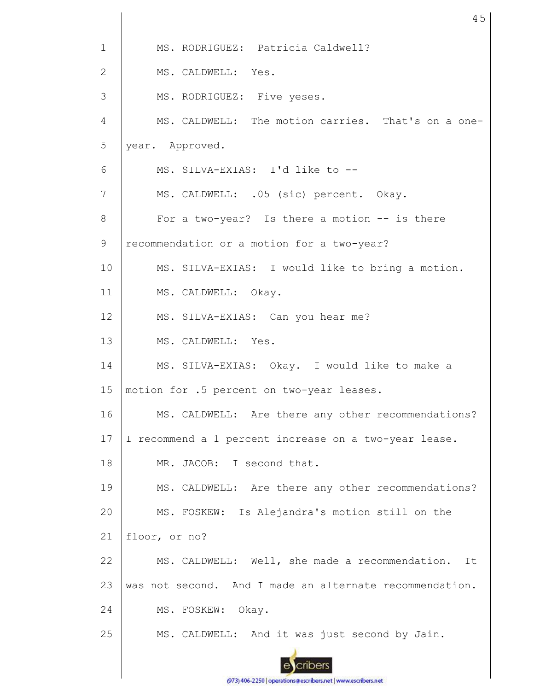| $\mathbf{1}$   | MS. RODRIGUEZ: Patricia Caldwell?                       |
|----------------|---------------------------------------------------------|
| $\mathbf{2}$   | MS. CALDWELL: Yes.                                      |
| 3              | MS. RODRIGUEZ: Five yeses.                              |
| $\overline{4}$ | MS. CALDWELL: The motion carries. That's on a one-      |
| 5              | year. Approved.                                         |
| 6              | MS. SILVA-EXIAS: I'd like to --                         |
| 7              | MS. CALDWELL: .05 (sic) percent. Okay.                  |
| 8              | For a two-year? Is there a motion -- is there           |
| 9              | recommendation or a motion for a two-year?              |
| 10             | MS. SILVA-EXIAS: I would like to bring a motion.        |
| 11             | MS. CALDWELL: Okay.                                     |
| 12             | MS. SILVA-EXIAS: Can you hear me?                       |
| 13             | MS. CALDWELL: Yes.                                      |
| 14             | MS. SILVA-EXIAS: Okay. I would like to make a           |
| 15             | motion for .5 percent on two-year leases.               |
| 16             | MS. CALDWELL: Are there any other recommendations?      |
| 17             | I recommend a 1 percent increase on a two-year lease.   |
| 18             | MR. JACOB: I second that.                               |
| 19             | MS. CALDWELL: Are there any other recommendations?      |
| 20             | MS. FOSKEW: Is Alejandra's motion still on the          |
| 21             | floor, or no?                                           |
| 22             | MS. CALDWELL: Well, she made a recommendation.<br>It    |
| 23             | was not second. And I made an alternate recommendation. |
| 24             | MS. FOSKEW:<br>Okay.                                    |
| 25             | MS. CALDWELL: And it was just second by Jain.           |
|                |                                                         |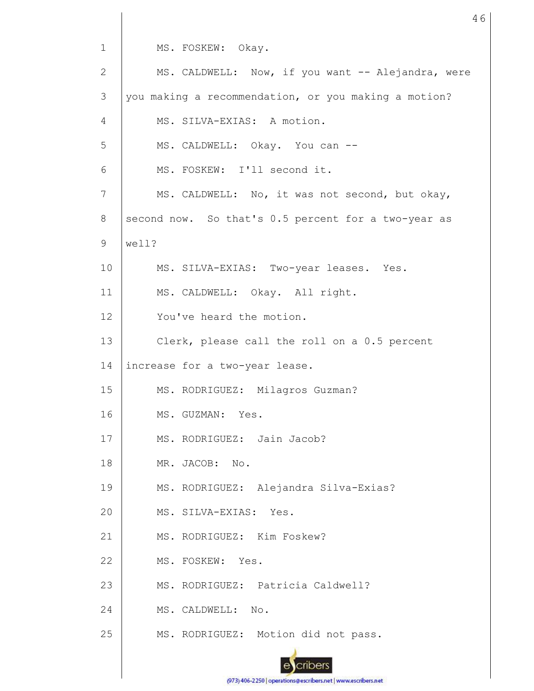MS. FOSKEW: Okay.

| $\mathbf{2}$    | MS. CALDWELL: Now, if you want -- Alejandra, were    |
|-----------------|------------------------------------------------------|
| 3               | you making a recommendation, or you making a motion? |
| 4               | MS. SILVA-EXIAS: A motion.                           |
| 5               | MS. CALDWELL: Okay. You can --                       |
| 6               | MS. FOSKEW: I'll second it.                          |
| 7               | MS. CALDWELL: No, it was not second, but okay,       |
| 8               | second now. So that's 0.5 percent for a two-year as  |
| 9               | well?                                                |
| 10 <sub>o</sub> | MS. SILVA-EXIAS: Two-year leases. Yes.               |
| 11              | MS. CALDWELL: Okay. All right.                       |
| 12 <sup>°</sup> | You've heard the motion.                             |
| 13              | Clerk, please call the roll on a 0.5 percent         |
| 14              | increase for a two-year lease.                       |
| 15              | MS. RODRIGUEZ: Milagros Guzman?                      |
| 16              | MS. GUZMAN: Yes.                                     |
| 17              | MS. RODRIGUEZ: Jain Jacob?                           |
| 18              | MR. JACOB: No.                                       |
| 19              | MS. RODRIGUEZ: Alejandra Silva-Exias?                |
| 20              | MS. SILVA-EXIAS:<br>Yes.                             |
| 21              | MS. RODRIGUEZ: Kim Foskew?                           |
| 22              | MS. FOSKEW:<br>Yes.                                  |
| 23              | MS. RODRIGUEZ: Patricia Caldwell?                    |
| 24              | MS. CALDWELL: No.                                    |
| 25              | MS. RODRIGUEZ: Motion did not pass.                  |
|                 |                                                      |

46

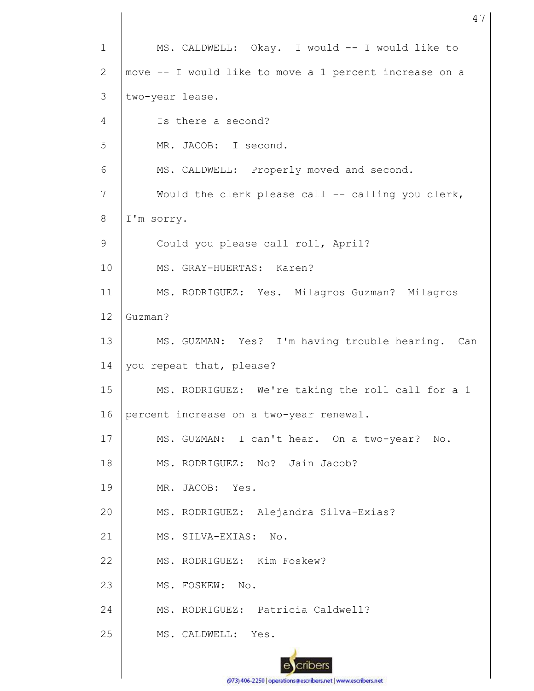1 2 3 4 5 6 7 8 9 10 11 12 13 14 15 16 17 18 19 20 21 22 23 24 25 MS. CALDWELL: Okay. I would -- I would like to move -- I would like to move a 1 percent increase on a two-year lease. Is there a second? MR. JACOB: I second. MS. CALDWELL: Properly moved and second. Would the clerk please call -- calling you clerk, I'm sorry. Could you please call roll, April? MS. GRAY-HUERTAS: Karen? MS. RODRIGUEZ: Yes. Milagros Guzman? Milagros Guzman? MS. GUZMAN: Yes? I'm having trouble hearing. Can you repeat that, please? MS. RODRIGUEZ: We're taking the roll call for a 1 percent increase on a two-year renewal. MS. GUZMAN: I can't hear. On a two-year? No. MS. RODRIGUEZ: No? Jain Jacob? MR. JACOB: Yes. MS. RODRIGUEZ: Alejandra Silva-Exias? MS. SILVA-EXIAS: No. MS. RODRIGUEZ: Kim Foskew? MS. FOSKEW: No. MS. RODRIGUEZ: Patricia Caldwell? MS. CALDWELL: Yes.

(973) 406-2250 | operations@escribers.net | www.escribers.net

47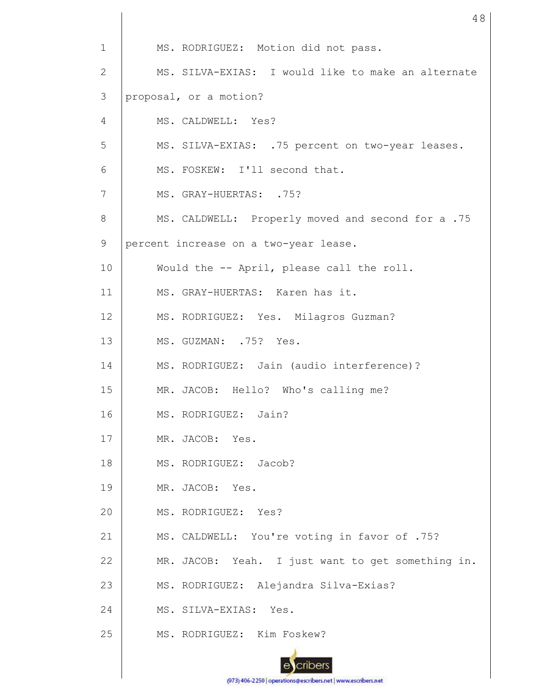1 2 3 4 5 6 7 8 9 10 11 12 13 14 15 16 17 18 19 20 21 22 23 24 25 MS. RODRIGUEZ: Motion did not pass. MS. SILVA-EXIAS: I would like to make an alternate proposal, or a motion? MS. CALDWELL: Yes? MS. SILVA-EXIAS: .75 percent on two-year leases. MS. FOSKEW: I'll second that. MS. GRAY-HUERTAS: .75? MS. CALDWELL: Properly moved and second for a .75 percent increase on a two-year lease. Would the -- April, please call the roll. MS. GRAY-HUERTAS: Karen has it. MS. RODRIGUEZ: Yes. Milagros Guzman? MS. GUZMAN: .75? Yes. MS. RODRIGUEZ: Jain (audio interference)? MR. JACOB: Hello? Who's calling me? MS. RODRIGUEZ: Jain? MR. JACOB: Yes. MS. RODRIGUEZ: Jacob? MR. JACOB: Yes. MS. RODRIGUEZ: Yes? MS. CALDWELL: You're voting in favor of .75? MR. JACOB: Yeah. I just want to get something in. MS. RODRIGUEZ: Alejandra Silva-Exias? MS. SILVA-EXIAS: Yes. MS. RODRIGUEZ: Kim Foskew?

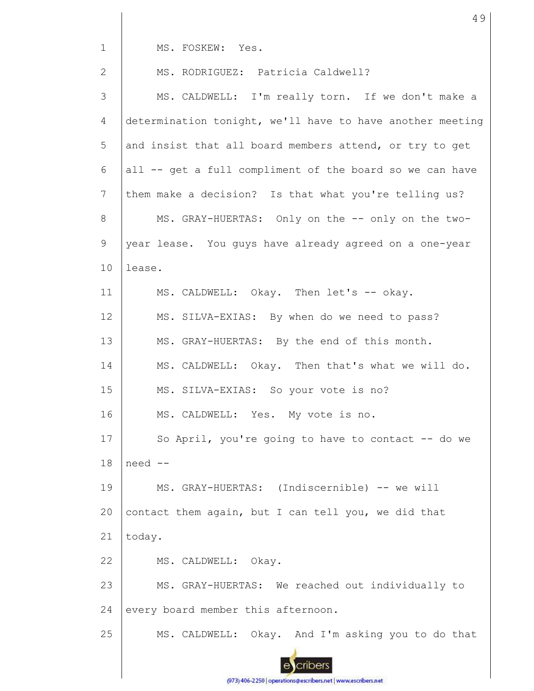MS. FOSKEW: Yes.

| $\overline{2}$ | MS. RODRIGUEZ: Patricia Caldwell?                         |
|----------------|-----------------------------------------------------------|
| 3              | MS. CALDWELL: I'm really torn. If we don't make a         |
| $\overline{4}$ | determination tonight, we'll have to have another meeting |
| 5              | and insist that all board members attend, or try to get   |
| 6              | all -- get a full compliment of the board so we can have  |
| 7              | them make a decision? Is that what you're telling us?     |
| 8              | MS. GRAY-HUERTAS: Only on the -- only on the two-         |
| 9              | year lease. You guys have already agreed on a one-year    |
| 10             | lease.                                                    |
| 11             | MS. CALDWELL: Okay. Then let's -- okay.                   |
| 12             | MS. SILVA-EXIAS: By when do we need to pass?              |
| 13             | MS. GRAY-HUERTAS: By the end of this month.               |
| 14             | MS. CALDWELL: Okay. Then that's what we will do.          |
| 15             | MS. SILVA-EXIAS: So your vote is no?                      |
| 16             | MS. CALDWELL: Yes. My vote is no.                         |
| 17             | So April, you're going to have to contact -- do we        |
| 18             | need --                                                   |
| 19             | MS. GRAY-HUERTAS: (Indiscernible) -- we will              |
| 20             | contact them again, but I can tell you, we did that       |
| 21             | today.                                                    |
| 22             | MS. CALDWELL: Okay.                                       |
| 23             | MS. GRAY-HUERTAS: We reached out individually to          |
| 24             | every board member this afternoon.                        |
| 25             | MS. CALDWELL: Okay. And I'm asking you to do that         |
|                |                                                           |

49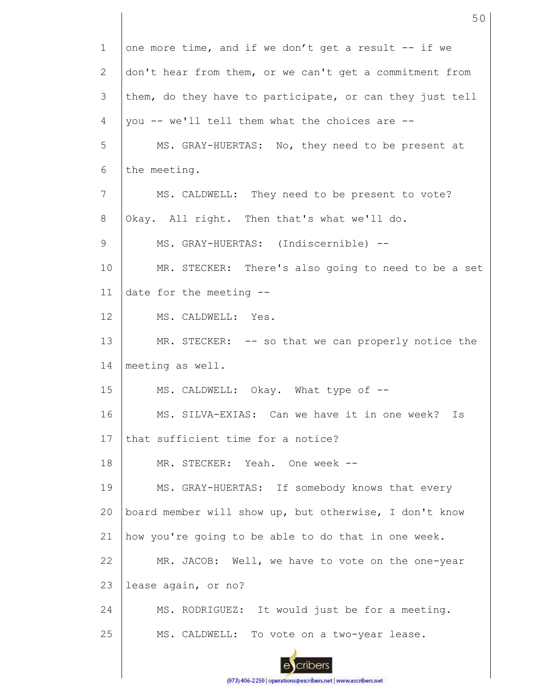1 2 3 4 5 6 7 8 9 10 11 12 13 14 15 16 17 18 19 20 21 22 23 24 25 one more time, and if we don't get a result -- if we don't hear from them, or we can't get a commitment from them, do they have to participate, or can they just tell you -- we'll tell them what the choices are -- MS. GRAY-HUERTAS: No, they need to be present at the meeting. MS. CALDWELL: They need to be present to vote? Okay. All right. Then that's what we'll do. MS. GRAY-HUERTAS: (Indiscernible) -- MR. STECKER: There's also going to need to be a set date for the meeting -- MS. CALDWELL: Yes. MR. STECKER: -- so that we can properly notice the meeting as well. MS. CALDWELL: Okay. What type of --MS. SILVA-EXIAS: Can we have it in one week? Is that sufficient time for a notice? MR. STECKER: Yeah. One week -- MS. GRAY-HUERTAS: If somebody knows that every board member will show up, but otherwise, I don't know how you're going to be able to do that in one week. MR. JACOB: Well, we have to vote on the one-year lease again, or no? MS. RODRIGUEZ: It would just be for a meeting. MS. CALDWELL: To vote on a two-year lease.

50

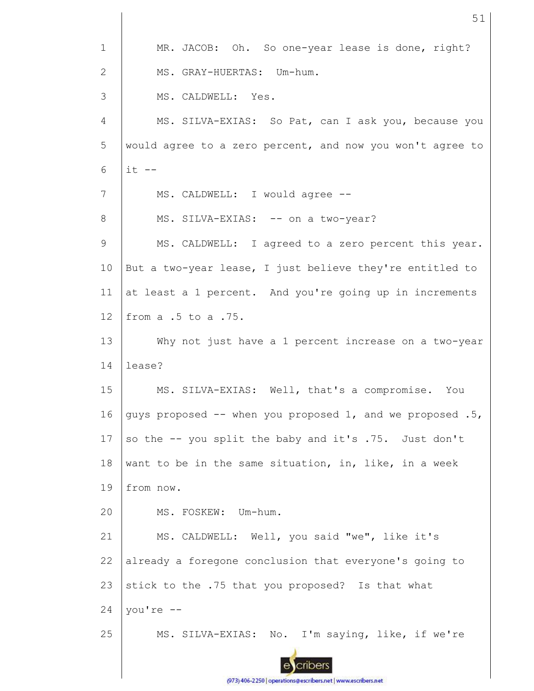| $\mathbf 1$    | MR. JACOB: Oh. So one-year lease is done, right?          |
|----------------|-----------------------------------------------------------|
| $\mathbf{2}$   | MS. GRAY-HUERTAS: Um-hum.                                 |
| 3              | MS. CALDWELL: Yes.                                        |
| $\overline{4}$ | MS. SILVA-EXIAS: So Pat, can I ask you, because you       |
| 5              | would agree to a zero percent, and now you won't agree to |
| 6              | $it$ $-$                                                  |
| 7              | MS. CALDWELL: I would agree --                            |
| 8              | MS. SILVA-EXIAS: -- on a two-year?                        |
| 9              | MS. CALDWELL: I agreed to a zero percent this year.       |
| 10             | But a two-year lease, I just believe they're entitled to  |
| 11             | at least a 1 percent. And you're going up in increments   |
| 12             | from a .5 to a .75.                                       |
| 13             | Why not just have a 1 percent increase on a two-year      |
| 14             | lease?                                                    |
| 15             | MS. SILVA-EXIAS: Well, that's a compromise. You           |
| 16             | guys proposed -- when you proposed 1, and we proposed .5, |
| 17             | so the -- you split the baby and it's .75. Just don't     |
| 18             | want to be in the same situation, in, like, in a week     |
| 19             | from now.                                                 |
| 20             | MS. FOSKEW: Um-hum.                                       |
| 21             | MS. CALDWELL: Well, you said "we", like it's              |
| 22             | already a foregone conclusion that everyone's going to    |
| 23             | stick to the .75 that you proposed? Is that what          |
| 24             | you're --                                                 |
| 25             | MS. SILVA-EXIAS: No. I'm saying, like, if we're           |
|                |                                                           |
|                |                                                           |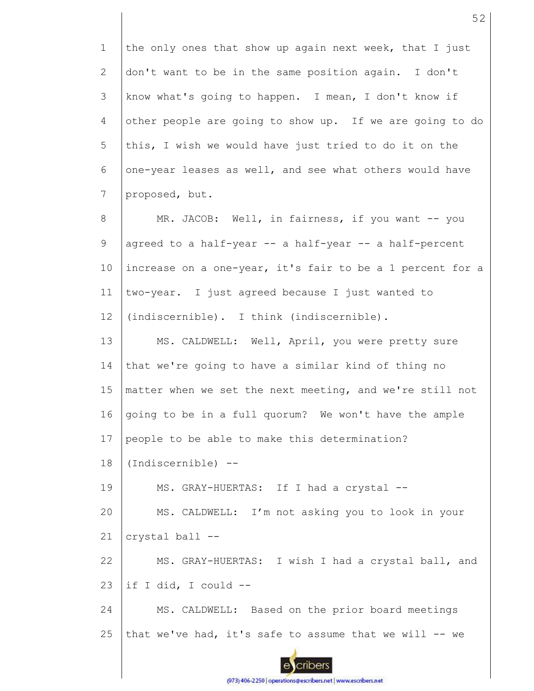1 2 3 4 5 6 7 8 9 10 11 12 13 14 15 16 17 18 19 20 21 22 23 24 25 the only ones that show up again next week, that I just don't want to be in the same position again. I don't know what's going to happen. I mean, I don't know if other people are going to show up. If we are going to do this, I wish we would have just tried to do it on the one-year leases as well, and see what others would have proposed, but. MR. JACOB: Well, in fairness, if you want -- you agreed to a half-year -- a half-year -- a half-percent increase on a one-year, it's fair to be a 1 percent for a two-year. I just agreed because I just wanted to (indiscernible). I think (indiscernible). MS. CALDWELL: Well, April, you were pretty sure that we're going to have a similar kind of thing no matter when we set the next meeting, and we're still not going to be in a full quorum? We won't have the ample people to be able to make this determination? (Indiscernible) -- MS. GRAY-HUERTAS: If I had a crystal --MS. CALDWELL: I'm not asking you to look in your crystal ball -- MS. GRAY-HUERTAS: I wish I had a crystal ball, and if I did, I could -- MS. CALDWELL: Based on the prior board meetings that we've had, it's safe to assume that we will  $-$ - we

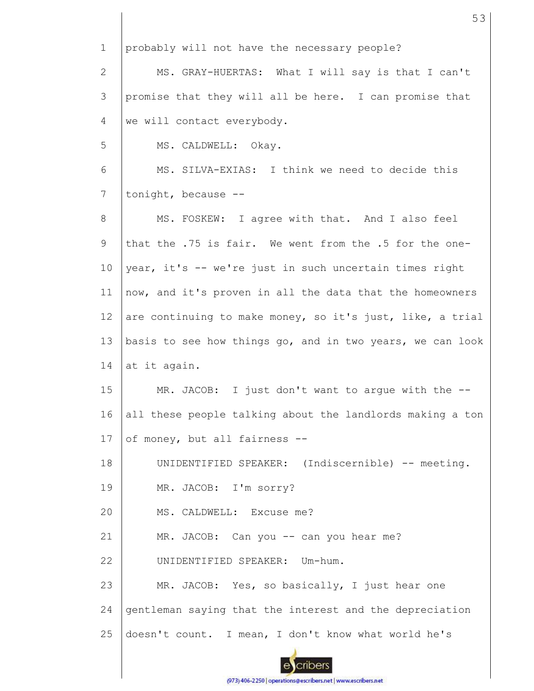1 2 3 4 5 6 7 8 9 10 11 12 13 14 15 16 17 18 19 20 21 22 23 24 25 probably will not have the necessary people? MS. GRAY-HUERTAS: What I will say is that I can't promise that they will all be here. I can promise that we will contact everybody. MS. CALDWELL: Okay. MS. SILVA-EXIAS: I think we need to decide this tonight, because -- MS. FOSKEW: I agree with that. And I also feel that the .75 is fair. We went from the .5 for the oneyear, it's -- we're just in such uncertain times right now, and it's proven in all the data that the homeowners are continuing to make money, so it's just, like, a trial basis to see how things go, and in two years, we can look at it again. MR. JACOB: I just don't want to argue with the -all these people talking about the landlords making a ton of money, but all fairness -- UNIDENTIFIED SPEAKER: (Indiscernible) -- meeting. MR. JACOB: I'm sorry? MS. CALDWELL: Excuse me? MR. JACOB: Can you -- can you hear me? UNIDENTIFIED SPEAKER: Um-hum. MR. JACOB: Yes, so basically, I just hear one gentleman saying that the interest and the depreciation doesn't count. I mean, I don't know what world he's

53

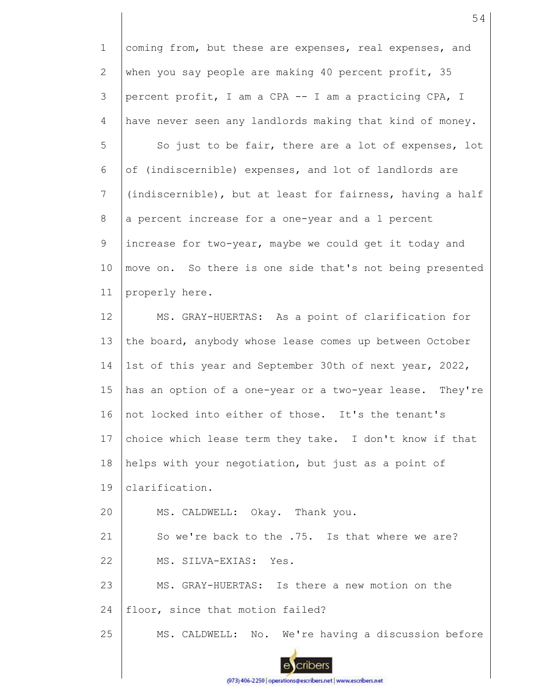1 2 3 4 5 6 7 8 9 10 11 12 13 14 15 16 17 18 19 20 21 22 23 24 25 coming from, but these are expenses, real expenses, and when you say people are making 40 percent profit, 35 percent profit, I am a CPA -- I am a practicing CPA, I have never seen any landlords making that kind of money. So just to be fair, there are a lot of expenses, lot of (indiscernible) expenses, and lot of landlords are (indiscernible), but at least for fairness, having a half a percent increase for a one-year and a 1 percent increase for two-year, maybe we could get it today and move on. So there is one side that's not being presented properly here. MS. GRAY-HUERTAS: As a point of clarification for the board, anybody whose lease comes up between October 1st of this year and September 30th of next year, 2022, has an option of a one-year or a two-year lease. They're not locked into either of those. It's the tenant's choice which lease term they take. I don't know if that helps with your negotiation, but just as a point of clarification. MS. CALDWELL: Okay. Thank you. So we're back to the .75. Is that where we are? MS. SILVA-EXIAS: Yes. MS. GRAY-HUERTAS: Is there a new motion on the floor, since that motion failed? MS. CALDWELL: No. We're having a discussion before

54

(973) 406-2250 | operations@escribers.net | www.escribers.net

cribers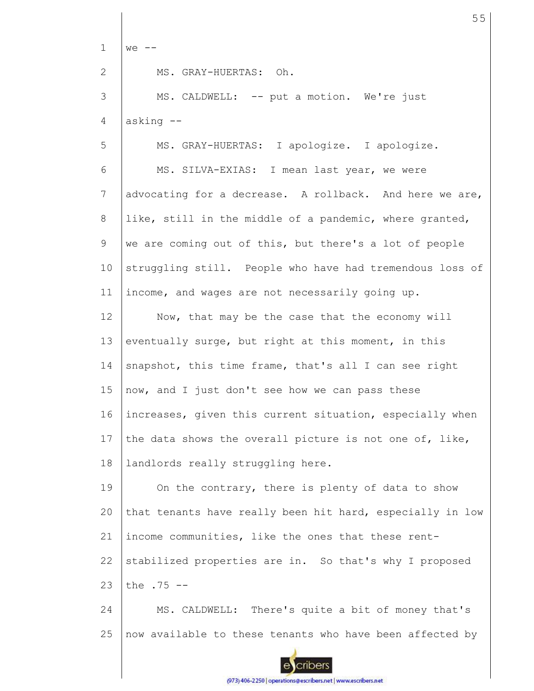1 2 3 4 5 6 7 8 9 10 11 12 13 14 15 16 17 18 19  $20$ 21 22 23 24 25  $we$   $--$ MS. GRAY-HUERTAS: Oh. MS. CALDWELL: -- put a motion. We're just asking -- MS. GRAY-HUERTAS: I apologize. I apologize. MS. SILVA-EXIAS: I mean last year, we were advocating for a decrease. A rollback. And here we are, like, still in the middle of a pandemic, where granted, we are coming out of this, but there's a lot of people struggling still. People who have had tremendous loss of income, and wages are not necessarily going up. Now, that may be the case that the economy will eventually surge, but right at this moment, in this snapshot, this time frame, that's all I can see right now, and I just don't see how we can pass these increases, given this current situation, especially when the data shows the overall picture is not one of, like, landlords really struggling here. On the contrary, there is plenty of data to show that tenants have really been hit hard, especially in low income communities, like the ones that these rentstabilized properties are in. So that's why I proposed the .75 -- MS. CALDWELL: There's quite a bit of money that's now available to these tenants who have been affected by

55

cribers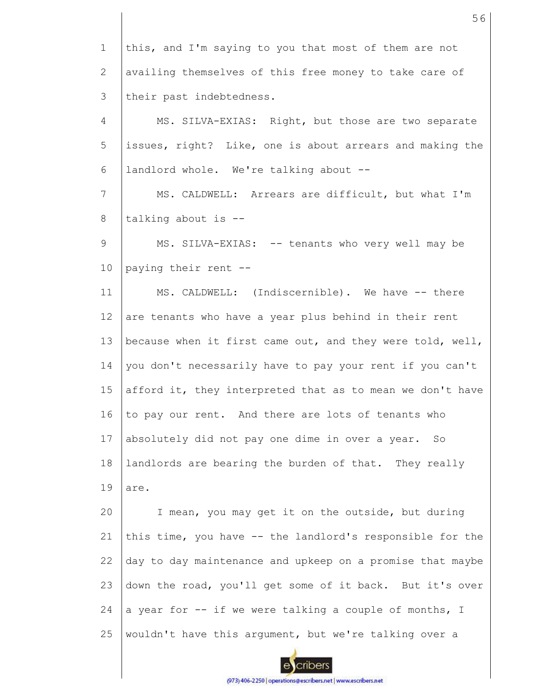1 2 3 4 5 6 7 8 9 10 11 12 13 14 15 16 17 18 19 20 21 22 23 24 25 this, and I'm saying to you that most of them are not availing themselves of this free money to take care of their past indebtedness. MS. SILVA-EXIAS: Right, but those are two separate issues, right? Like, one is about arrears and making the landlord whole. We're talking about -- MS. CALDWELL: Arrears are difficult, but what I'm talking about is -- MS. SILVA-EXIAS: -- tenants who very well may be paying their rent -- MS. CALDWELL: (Indiscernible). We have -- there are tenants who have a year plus behind in their rent because when it first came out, and they were told, well, you don't necessarily have to pay your rent if you can't afford it, they interpreted that as to mean we don't have to pay our rent. And there are lots of tenants who absolutely did not pay one dime in over a year. So landlords are bearing the burden of that. They really are. I mean, you may get it on the outside, but during this time, you have -- the landlord's responsible for the day to day maintenance and upkeep on a promise that maybe down the road, you'll get some of it back. But it's over a year for -- if we were talking a couple of months, I wouldn't have this argument, but we're talking over a

56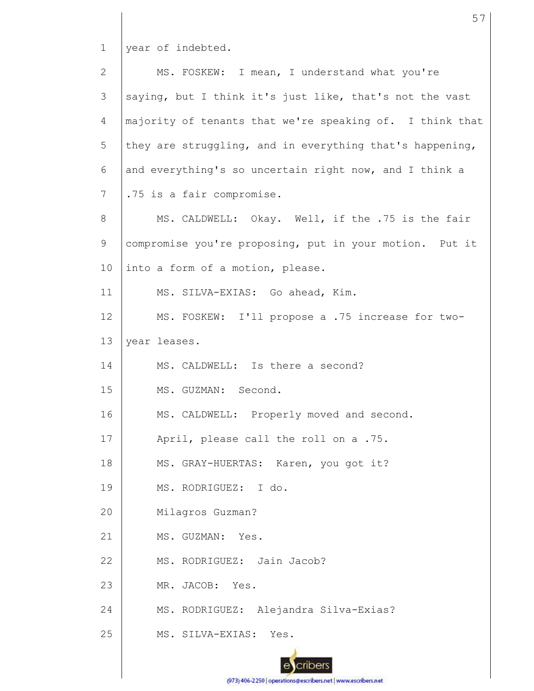1 year of indebted.

| $\overline{2}$ | MS. FOSKEW: I mean, I understand what you're             |
|----------------|----------------------------------------------------------|
| 3              | saying, but I think it's just like, that's not the vast  |
| $\overline{4}$ | majority of tenants that we're speaking of. I think that |
| 5              | they are struggling, and in everything that's happening, |
| 6              | and everything's so uncertain right now, and I think a   |
| $7\phantom{.}$ | .75 is a fair compromise.                                |
| 8              | MS. CALDWELL: Okay. Well, if the .75 is the fair         |
| 9              | compromise you're proposing, put in your motion. Put it  |
| 10             | into a form of a motion, please.                         |
| 11             | MS. SILVA-EXIAS: Go ahead, Kim.                          |
| 12             | MS. FOSKEW: I'll propose a .75 increase for two-         |
| 13             | year leases.                                             |
| 14             | MS. CALDWELL: Is there a second?                         |
| 15             | MS. GUZMAN: Second.                                      |
| 16             | MS. CALDWELL: Properly moved and second.                 |
| 17             | April, please call the roll on a .75.                    |
| 18             | MS. GRAY-HUERTAS: Karen, you got it?                     |
| 19             | MS. RODRIGUEZ: I do.                                     |
| 20             | Milagros Guzman?                                         |
| 21             | MS. GUZMAN: Yes.                                         |
| 22             | MS. RODRIGUEZ: Jain Jacob?                               |
| 23             | MR. JACOB: Yes.                                          |
| 24             | MS. RODRIGUEZ: Alejandra Silva-Exias?                    |
| 25             | MS. SILVA-EXIAS:<br>Yes.                                 |
|                |                                                          |

57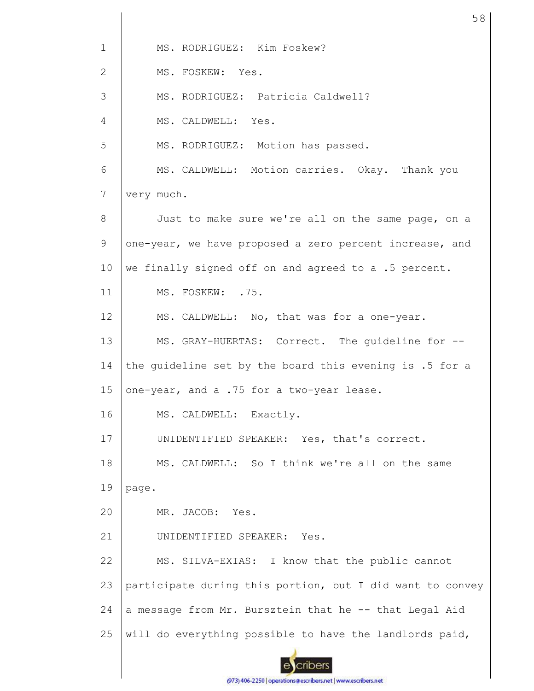1 MS. RODRIGUEZ: Kim Foskew? 2 MS. FOSKEW: Yes. 3 MS. RODRIGUEZ: Patricia Caldwell? 4 MS. CALDWELL: Yes. 5 MS. RODRIGUEZ: Motion has passed. 6 MS. CALDWELL: Motion carries. Okay. Thank you 7 very much. 8 Just to make sure we're all on the same page, on a 9 one-year, we have proposed a zero percent increase, and 10 we finally signed off on and agreed to a .5 percent. 11 MS. FOSKEW: .75. 12 MS. CALDWELL: No, that was for a one-year. 13 MS. GRAY-HUERTAS: Correct. The guideline for -- 14 the guideline set by the board this evening is .5 for a 15 one-year, and a .75 for a two-year lease. 16 MS. CALDWELL: Exactly. 17 UNIDENTIFIED SPEAKER: Yes, that's correct. 18 MS. CALDWELL: So I think we're all on the same 19 page. 20 MR. JACOB: Yes. 21 UNIDENTIFIED SPEAKER: Yes. 22 MS. SILVA-EXIAS: I know that the public cannot 23 participate during this portion, but I did want to convey 24 a message from Mr. Bursztein that he -- that Legal Aid 25 will do everything possible to have the landlords paid, cribers

58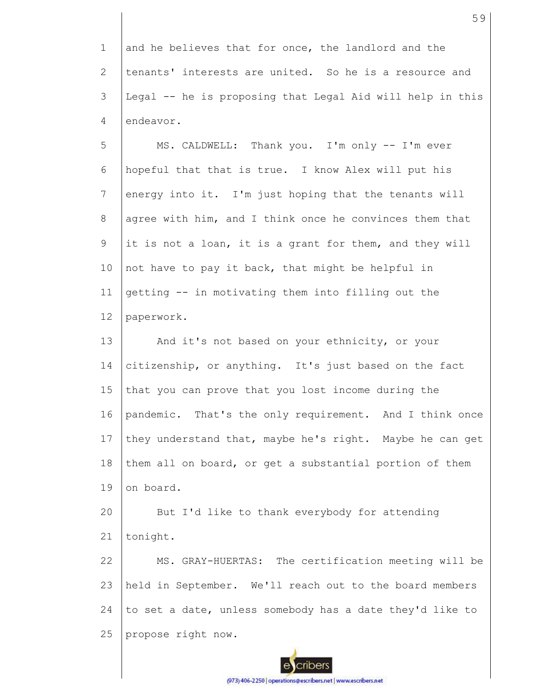1 2 3 4 and he believes that for once, the landlord and the tenants' interests are united. So he is a resource and Legal -- he is proposing that Legal Aid will help in this endeavor.

5 6 7 8 9 10 11 12 MS. CALDWELL: Thank you. I'm only -- I'm ever hopeful that that is true. I know Alex will put his energy into it. I'm just hoping that the tenants will agree with him, and I think once he convinces them that it is not a loan, it is a grant for them, and they will not have to pay it back, that might be helpful in getting -- in motivating them into filling out the paperwork.

13 14 15 16 17 18 19 And it's not based on your ethnicity, or your citizenship, or anything. It's just based on the fact that you can prove that you lost income during the pandemic. That's the only requirement. And I think once they understand that, maybe he's right. Maybe he can get them all on board, or get a substantial portion of them on board.

20 21 But I'd like to thank everybody for attending tonight.

22 23 24 25 MS. GRAY-HUERTAS: The certification meeting will be held in September. We'll reach out to the board members to set a date, unless somebody has a date they'd like to propose right now.

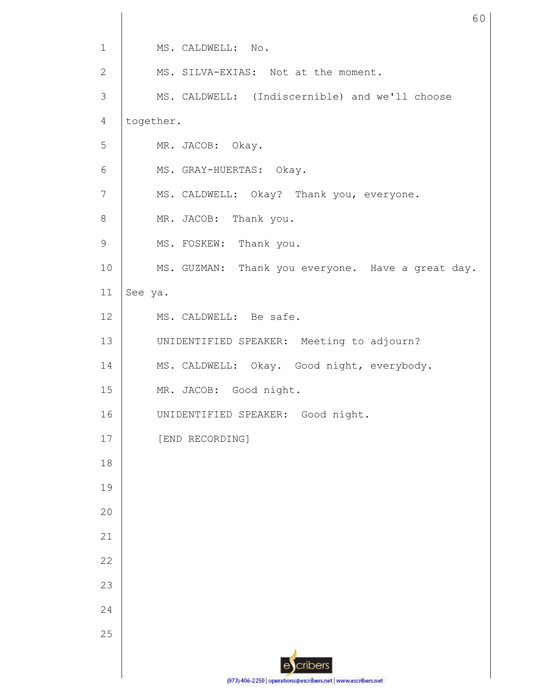| $\mathbf 1$    | MS. CALDWELL: No.                                 |
|----------------|---------------------------------------------------|
| 2              | MS. SILVA-EXIAS: Not at the moment.               |
| 3              | MS. CALDWELL: (Indiscernible) and we'll choose    |
| $\overline{4}$ | together.                                         |
| 5              | MR. JACOB: Okay.                                  |
| $6\,$          | MS. GRAY-HUERTAS: Okay.                           |
| $\overline{7}$ | MS. CALDWELL: Okay? Thank you, everyone.          |
| 8              | MR. JACOB: Thank you.                             |
| $\mathsf 9$    | MS. FOSKEW: Thank you.                            |
| 10             | MS. GUZMAN: Thank you everyone. Have a great day. |
| 11             | See ya.                                           |
| 12             | MS. CALDWELL: Be safe.                            |
| 13             | UNIDENTIFIED SPEAKER: Meeting to adjourn?         |
| 14             | MS. CALDWELL: Okay. Good night, everybody.        |
| 15             | MR. JACOB: Good night.                            |
| 16             | UNIDENTIFIED SPEAKER: Good night.                 |
| 17             | [END RECORDING]                                   |
| 18             |                                                   |
| 19             |                                                   |
| 20             |                                                   |
| 21             |                                                   |
| 22             |                                                   |
| 23             |                                                   |
| 24             |                                                   |
| 25             |                                                   |
|                | cribers                                           |
|                |                                                   |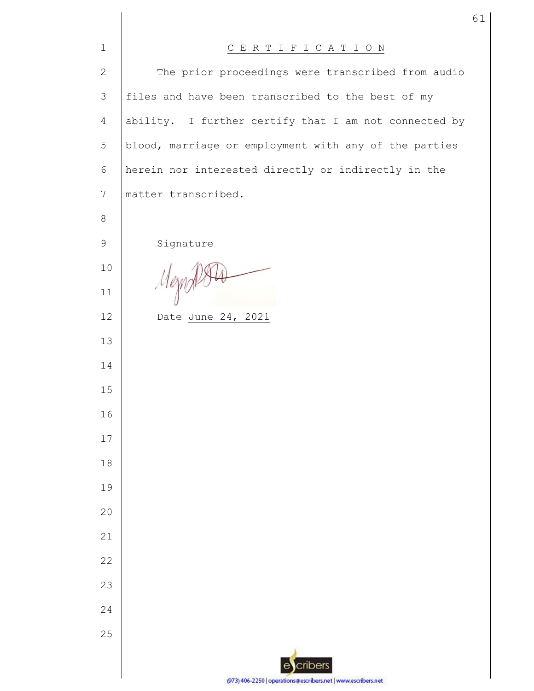| $\mathbf{1}$   | CERTIFICATION                                                 |
|----------------|---------------------------------------------------------------|
| $\mathbf{2}$   | The prior proceedings were transcribed from audio             |
| 3              | files and have been transcribed to the best of my             |
| $\overline{4}$ | ability. I further certify that I am not connected by         |
| 5              | blood, marriage or employment with any of the parties         |
| 6              | herein nor interested directly or indirectly in the           |
| 7              | matter transcribed.                                           |
| 8              |                                                               |
| $\mathsf 9$    | Signature                                                     |
| 10             |                                                               |
| 11             | Mezn                                                          |
| 12             | Date June 24, 2021                                            |
| 13             |                                                               |
| 14             |                                                               |
| 15             |                                                               |
| 16             |                                                               |
| 17             |                                                               |
| 18             |                                                               |
| 19             |                                                               |
| 20             |                                                               |
| 21             |                                                               |
| 22             |                                                               |
| 23             |                                                               |
| 24             |                                                               |
| 25             |                                                               |
|                | cribers<br>e                                                  |
|                | (973) 406-2250   operations@escribers.net   www.escribers.net |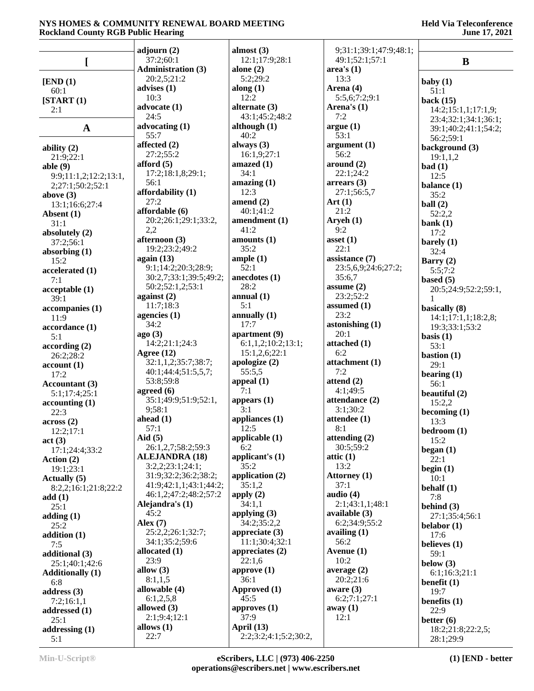|                           | adjourn $(2)$                                 | almost $(3)$             | 9;31:1;39:1;47:9;48:1;        |                          |
|---------------------------|-----------------------------------------------|--------------------------|-------------------------------|--------------------------|
|                           | 37:2;60:1                                     | 12:1;17:9;28:1           | 49:1;52:1;57:1                | $\bf{B}$                 |
|                           | <b>Administration (3)</b>                     | alone $(2)$              | area's(1)                     |                          |
| [END (1)]                 | 20:2,5;21:2                                   | 5:2;29:2                 | 13:3                          | baby $(1)$               |
| 60:1                      | advises $(1)$                                 | along $(1)$              | Arena (4)                     | 51:1                     |
| [START (1)]               | 10:3                                          | 12:2                     | 5:5,6;7:2;9:1                 | back $(15)$              |
| 2:1                       | advocate (1)                                  | alternate $(3)$          | Arena's $(1)$                 | 14:2;15:1,1;17:1,9;      |
|                           | 24:5                                          | 43:1;45:2;48:2           | 7:2                           | 23:4;32:1;34:1;36:1;     |
| $\mathbf A$               | advocating $(1)$                              | although $(1)$           | argue(1)                      | 39:1;40:2;41:1;54:2;     |
|                           | 55:7                                          | 40:2                     | 53:1                          | 56:2;59:1                |
| ability $(2)$             | affected $(2)$                                | always $(3)$             | argument(1)                   | background (3)           |
| 21:9;22:1                 | 27:2;55:2                                     | 16:1,9;27:1              | 56:2                          | 19:1,1,2                 |
| able $(9)$                | afford $(5)$                                  | amazed (1)               | around (2)                    | bad(1)                   |
| 9:9;11:1,2;12:2;13:1,     | 17:2;18:1,8;29:1;                             | 34:1                     | 22:1;24:2                     | 12:5                     |
| 2;27:1;50:2;52:1          | 56:1                                          | amazing(1)               | $\arrears(3)$                 | balance (1)              |
| above $(3)$               | affordability (1)                             | 12:3                     | 27:1;56:5,7                   | 35:2                     |
| 13:1;16:6;27:4            | 27:2                                          | amend (2)                | Art(1)                        | ball $(2)$               |
| Absent (1)                | affordable (6)                                | 40:1;41:2                | 21:2                          | 52:2,2                   |
| 31:1                      | 20:2;26:1;29:1;33:2,                          | amendment (1)            | Aryeh $(1)$                   | bank $(1)$               |
| absolutely (2)            | 2,2                                           | 41:2                     | 9:2                           | 17:2                     |
| 37:2;56:1                 | afternoon (3)                                 | amounts (1)              | asset $(1)$                   | barely $(1)$             |
| absorbing $(1)$           | 19:2;23:2;49:2                                | 35:2                     | 22:1                          | 32:4                     |
| 15:2                      | again $(13)$                                  | ample(1)<br>52:1         | assistance (7)                | Barry $(2)$              |
| accelerated (1)           | 9:1;14:2;20:3;28:9;<br>30:2,7;33:1;39:5;49:2; | anecdotes (1)            | 23:5,6,9;24:6;27:2;<br>35:6,7 | 5:5;7:2                  |
| 7:1                       | 50:2;52:1,2;53:1                              | 28:2                     | assume $(2)$                  | based $(5)$              |
| acceptable (1)            | against $(2)$                                 | annual $(1)$             | 23:2;52:2                     | 20:5;24:9;52:2;59:1,     |
| 39:1                      | 11:7;18:3                                     | 5:1                      | assumed $(1)$                 |                          |
| accompanies (1)           | agencies $(1)$                                | annually $(1)$           | 23:2                          | basically (8)            |
| 11:9                      | 34:2                                          | 17:7                     | astonishing $(1)$             | 14:1;17:1,1;18:2,8;      |
| accordance (1)            | ago (3)                                       | apartment (9)            | 20:1                          | 19:3;33:1;53:2           |
| 5:1                       | 14:2;21:1;24:3                                | 6:1,1,2;10:2;13:1;       | attached (1)                  | basis $(1)$<br>53:1      |
| according(2)<br>26:2;28:2 | Agree $(12)$                                  | 15:1,2,6;22:1            | 6:2                           | bastion $(1)$            |
| account(1)                | 32:1,1,2;35:7;38:7;                           | apologize $(2)$          | attachment (1)                | 29:1                     |
| 17:2                      | 40:1;44:4;51:5,5,7;                           | 55:5,5                   | 7:2                           | bearing $(1)$            |
| Accountant (3)            | 53:8;59:8                                     | appeal (1)               | attend $(2)$                  | 56:1                     |
| 5:1;17:4;25:1             | agreed $(6)$                                  | 7:1                      | 4:1;49:5                      | beautiful $(2)$          |
| accounting(1)             | 35:1;49:9;51:9;52:1,                          | appears $(1)$            | attendance (2)                | 15:2,2                   |
| 22:3                      | 9;58:1                                        | 3:1                      | 3:1;30:2                      | becoming $(1)$           |
| across(2)                 | ahead $(1)$                                   | appliances (1)           | attendee (1)                  | 13:3                     |
| 12:2;17:1                 | 57:1                                          | 12:5                     | 8:1                           | bedroom(1)               |
| act(3)                    | Aid $(5)$                                     | applicable (1)           | attending $(2)$               | 15:2                     |
| 17:1;24:4;33:2            | 26:1,2,7;58:2;59:3                            | 6:2                      | 30:5;59:2                     | $beginmathbf{right} (1)$ |
| Action $(2)$              | <b>ALEJANDRA (18)</b>                         | applicant's $(1)$        | attic $(1)$                   | 22:1                     |
| 19:1;23:1                 | 3:2,2;23:1;24:1;                              | 35:2                     | 13:2                          | begin $(1)$              |
| Actually (5)              | 31:9;32:2;36:2;38:2;                          | application (2)          | Attorney (1)                  | 10:1                     |
| 8:2,2;16:1;21:8;22:2      | 41:9;42:1,1;43:1;44:2;                        | 35:1,2                   | 37:1<br>audio (4)             | behalf $(1)$             |
| add(1)                    | 46:1,2;47:2;48:2;57:2                         | apply $(2)$              | 2:1;43:1,1;48:1               | 7:8                      |
| 25:1                      | Alejandra's (1)<br>45:2                       | 34:1,1<br>applying $(3)$ | available $(3)$               | behind $(3)$             |
| adding $(1)$              | Alex $(7)$                                    | 34:2;35:2,2              | 6:2;34:9;55:2                 | 27:1;35:4;56:1           |
| 25:2                      | 25:2,2;26:1;32:7;                             | appreciate $(3)$         | availing $(1)$                | belabor $(1)$            |
| addition $(1)$            | 34:1;35:2;59:6                                | 11:1;30:4;32:1           | 56:2                          | 17:6                     |
| 7:5<br>additional (3)     | allocated $(1)$                               | appreciates $(2)$        | Avenue $(1)$                  | believes (1)<br>59:1     |
| 25:1;40:1;42:6            | 23:9                                          | 22:1,6                   | 10:2                          | below $(3)$              |
| <b>Additionally (1)</b>   | allow $(3)$                                   | approve $(1)$            | average $(2)$                 | 6:1;16:3;21:1            |
| 6:8                       | 8:1,1,5                                       | 36:1                     | 20:2;21:6                     | benefit $(1)$            |
| address $(3)$             | allowable (4)                                 | Approved (1)             | aware $(3)$                   | 19:7                     |
| 7:2;16:1,1                | 6:1,2,5,8                                     | 45:5                     | 6:2;7:1;27:1                  | benefits $(1)$           |
| addressed (1)             | allowed (3)                                   | approves $(1)$           | away (1)                      | 22:9                     |
| 25:1                      | 2:1;9:4;12:1                                  | 37:9                     | 12:1                          | better $(6)$             |
| addressing (1)            | allows $(1)$                                  | April (13)               |                               | 18:2;21:8;22:2,5;        |
| 5:1                       | 22:7                                          | 2:2;3:2;4:1;5:2;30:2,    |                               | 28:1;29:9                |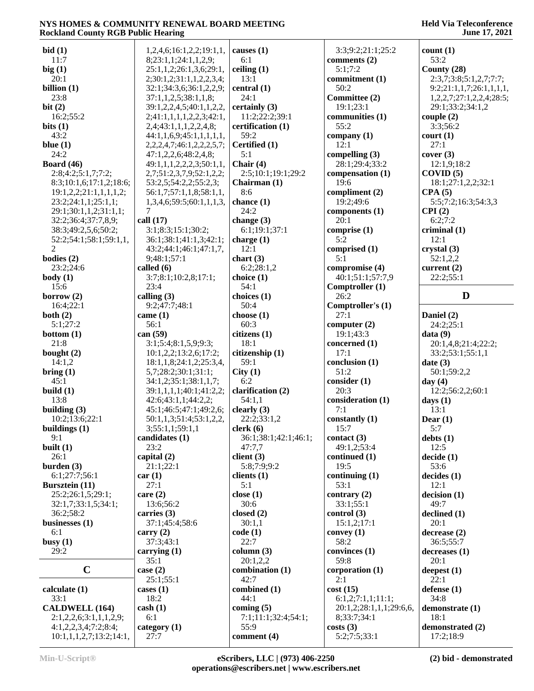| bid(1)                                          | 1,2,4,6;16:1,2,2;19:1,1,             | causes $(1)$         | 3:3;9:2;21:1;25:2        | count(1)                            |
|-------------------------------------------------|--------------------------------------|----------------------|--------------------------|-------------------------------------|
| 11:7                                            | 8;23:1,1;24:1,1,2,9;                 | 6:1                  | comments (2)             | 53:2                                |
| big(1)                                          | 25:1,1,2;26:1,3,6;29:1,              | ceiling $(1)$        | 5:1:7:2                  | County (28)                         |
|                                                 |                                      |                      |                          |                                     |
| 20:1                                            | 2;30:1,2;31:1,1,2,2,3,4;             | 13:1                 | commitment (1)           | 2:3,7;3:8;5:1,2,7;7:7;              |
| billion $(1)$                                   | 32:1;34:3,6;36:1,2,2,9;              | central $(1)$        | 50:2                     | 9:2;21:1,1,7;26:1,1,1,1,            |
| 23:8                                            | 37:1,1,2,5;38:1,1,8;                 | 24:1                 | Committee (2)            | 1,2,2,7;27:1,2,2,4;28:5;            |
| bit(2)                                          | 39:1,2,2,4,5;40:1,1,2,2,             | certainly (3)        | 19:1;23:1                | 29:1;33:2;34:1,2                    |
| 16:2;55:2                                       | 2;41:1,1,1,1,2,2,3;42:1,             | 11:2;22:2;39:1       | communities (1)          | couple(2)                           |
|                                                 |                                      |                      |                          |                                     |
| bits $(1)$                                      | 2,4;43:1,1,1,2,2,4,8;                | certification (1)    | 55:2                     | 3:3;56:2                            |
| 43:2                                            | 44:1,1,6,9;45:1,1,1,1,1,1,           | 59:2                 | company $(1)$            | court (1)                           |
| blue $(1)$                                      | 2, 2, 2, 4, 7; 46: 1, 2, 2, 2, 5, 7; | Certified (1)        | 12:1                     | 27:1                                |
| 24:2                                            | 47:1,2,2,6;48:2,4,8;                 | 5:1                  | compelling $(3)$         | cover(3)                            |
| Board $(46)$                                    | 49:1,1,1,2,2,2,3;50:1,1,             | Chair $(4)$          | 28:1;29:4;33:2           | 12:1,9;18:2                         |
|                                                 |                                      |                      |                          |                                     |
| 2:8;4:2;5:1,7;7:2;                              | 2,7;51:2,3,7,9;52:1,2,2;             | 2:5;10:1;19:1;29:2   | compensation (1)         | COVID(5)                            |
| 8:3;10:1,6;17:1,2;18:6;                         | 53:2,5;54:2,2;55:2,3;                | Chairman (1)         | 19:6                     | 18:1;27:1,2,2;32:1                  |
| 19:1,2,2;21:1,1,1,1,2;                          | 56:1,7;57:1,1,8;58:1,1,              | 8:6                  | compliment (2)           | CPA(5)                              |
| 23:2;24:1,1;25:1,1;                             | 1,3,4,6;59:5;60:1,1,1,3,             | chance $(1)$         | 19:2;49:6                | 5:5;7:2;16:3;54:3,3                 |
| 29:1;30:1,1,2;31:1,1;                           | 7                                    | 24:2                 | components (1)           | CPI(2)                              |
| 32:2;36:4;37:7,8,9;                             | call $(17)$                          |                      | 20:1                     | 6:2;7:2                             |
|                                                 |                                      | change $(3)$         |                          |                                     |
| 38:3;49:2,5,6;50:2;                             | 3:1;8:3;15:1;30:2;                   | 6:1:19:1:37:1        | comprise $(1)$           | criminal $(1)$                      |
| 52:2;54:1;58:1;59:1,1,                          | 36:1;38:1;41:1,3;42:1;               | charge $(1)$         | 5:2                      | 12:1                                |
| $\overline{2}$                                  | 43:2;44:1;46:1;47:1,7,               | 12:1                 | comprised (1)            | crystal(3)                          |
| bodies $(2)$                                    | 9;48:1;57:1                          | chart $(3)$          | 5:1                      | 52:1,2,2                            |
|                                                 | called $(6)$                         |                      |                          |                                     |
| 23:2;24:6                                       |                                      | 6:2;28:1,2           | compromise (4)           | current $(2)$                       |
| body(1)                                         | 3:7;8:1;10:2,8;17:1;                 | choice $(1)$         | 40:1;51:1;57:7,9         | 22:2;55:1                           |
| 15:6                                            | 23:4                                 | 54:1                 | Comptroller (1)          |                                     |
| borrow $(2)$                                    | calling $(3)$                        | choices (1)          | 26:2                     | D                                   |
| 16:4;22:1                                       | 9:2;47:7;48:1                        | 50:4                 | Comptroller's (1)        |                                     |
| both $(2)$                                      | came $(1)$                           | choose $(1)$         | 27:1                     | Daniel (2)                          |
|                                                 |                                      |                      |                          |                                     |
| 5:1;27:2                                        | 56:1                                 | 60:3                 | computer $(2)$           | 24:2;25:1                           |
| bottom $(1)$                                    | can $(59)$                           | citizens (1)         | 19:1;43:3                | data(9)                             |
|                                                 |                                      |                      |                          |                                     |
| 21:8                                            |                                      | 18:1                 |                          |                                     |
|                                                 | 3:1;5:4;8:1,5,9;9:3;                 |                      | concerned (1)            | 20:1,4,8;21:4;22:2;                 |
| bought $(2)$                                    | 10:1,2,2;13:2,6;17:2;                | citizenship (1)      | 17:1                     | 33:2;53:1;55:1,1                    |
| 14:1,2                                          | 18:1,1,8;24:1,2;25:3,4,              | 59:1                 | conclusion (1)           | date(3)                             |
| bring(1)                                        | 5,7;28:2;30:1;31:1;                  | City(1)              | 51:2                     | 50:1;59:2,2                         |
| 45:1                                            | 34:1,2;35:1;38:1,1,7;                | 6:2                  | consider(1)              | day $(4)$                           |
| build $(1)$                                     | 39:1,1,1,1;40:1;41:2,2;              | clarification (2)    | 20:3                     |                                     |
|                                                 |                                      |                      |                          | 12:2;56:2,2;60:1                    |
| 13:8                                            | 42:6;43:1,1;44:2,2;                  | 54:1,1               | consideration (1)        | days $(1)$                          |
| building $(3)$                                  | 45:1;46:5;47:1;49:2,6;               | clearly $(3)$        | 7:1                      | 13:1                                |
| 10:2;13:6;22:1                                  | 50:1,1,3;51:4;53:1,2,2,              | 22:2;33:1,2          | constantly (1)           | Dear $(1)$                          |
| buildings (1)                                   | 3;55:1,1;59:1,1                      | clerk(6)             | 15:7                     | 5:7                                 |
| 9:1                                             | candidates (1)                       | 36:1;38:1;42:1;46:1; | contact $(3)$            | debts(1)                            |
|                                                 | 23:2                                 |                      |                          |                                     |
| built $(1)$                                     |                                      | 47:7,7               | 49:1,2;53:4              | 12:5                                |
| 26:1                                            | capital $(2)$                        | client $(3)$         | continued (1)            | decide(1)                           |
| burden $(3)$                                    | 21:1;22:1                            | 5:8;7:9;9:2          | 19:5                     | 53:6                                |
| 6:1;27:7;56:1                                   | car(1)                               | clients $(1)$        | continuing $(1)$         | decides(1)                          |
| <b>Bursztein</b> (11)                           | 27:1                                 | 5:1                  | 53:1                     | 12:1                                |
| 25:2;26:1,5;29:1;                               | care $(2)$                           | close(1)             | contrary $(2)$           | decision(1)                         |
|                                                 |                                      |                      |                          |                                     |
| 32:1,7;33:1,5;34:1;                             | 13:6;56:2                            | 30:6                 | 33:1;55:1                | 49:7                                |
| 36:2;58:2                                       | carries $(3)$                        | closed $(2)$         | control(3)               | $\boldsymbol{\text{declined}\ (1)}$ |
| businesses $(1)$                                | 37:1;45:4;58:6                       | 30:1,1               | 15:1,2;17:1              | 20:1                                |
| 6:1                                             | carry $(2)$                          | code(1)              | convey $(1)$             | decrease(2)                         |
| busy(1)                                         | 37:3;43:1                            | 22:7                 | 58:2                     | 36:5;55:7                           |
| 29:2                                            | carrying $(1)$                       | column $(3)$         | convinces (1)            | decreases(1)                        |
|                                                 |                                      |                      |                          |                                     |
|                                                 | 35:1                                 | 20:1,2,2             | 59:8                     | 20:1                                |
| $\mathbf C$                                     | case $(2)$                           | combination (1)      | corporation (1)          | deepest $(1)$                       |
|                                                 | 25:1;55:1                            | 42:7                 | 2:1                      | 22:1                                |
| calculate (1)                                   | cases $(1)$                          | combined (1)         | cost(15)                 | defense (1)                         |
| 33:1                                            | 18:2                                 | 44:1                 | 6:1,2;7:1,1;11:1;        | 34:8                                |
|                                                 |                                      |                      |                          |                                     |
| <b>CALDWELL (164)</b>                           | $\cosh(1)$                           | coming $(5)$         | 20:1,2;28:1,1,1;29:6,6,  | demonstrate (1)                     |
| 2:1,2,2,6;3:1,1,1,2,9;                          | 6:1                                  | 7:1;11:1;32:4;54:1;  | 8;33:7;34:1              | 18:1                                |
| 4:1,2,2,3,4;7:2;8:4;<br>10:1,1,1,2,7;13:2;14:1, | category $(1)$<br>27:7               | 55:9<br>comment (4)  | costs(3)<br>5:2;7:5;33:1 | demonstrated (2)<br>17:2;18:9       |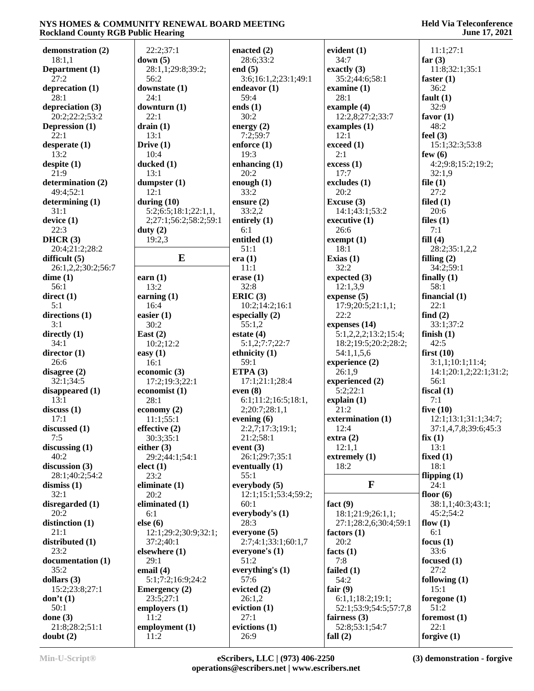| demonstration (2)  | 22:2;37:1             | enacted $(2)$        | evident $(1)$         | 11:1;27:1              |
|--------------------|-----------------------|----------------------|-----------------------|------------------------|
| 18:1,1             | down $(5)$            | 28:6;33:2            | 34:7                  | far $(3)$              |
| Department (1)     | 28:1,1;29:8;39:2;     | end $(5)$            | exactly $(3)$         | 11:8;32:1;35:1         |
| 27:2               | 56:2                  | 3:6;16:1,2;23:1;49:1 | 35:2;44:6;58:1        | faster $(1)$           |
| deprecation (1)    | downstate (1)         | endeavor $(1)$       | examine $(1)$         | 36:2                   |
| 28:1               | 24:1                  | 59:4                 | 28:1                  | fault $(1)$            |
| depreciation (3)   | downturn (1)          | ends $(1)$           | example $(4)$         | 32:9                   |
| 20:2;22:2;53:2     | 22:1                  | 30:2                 | 12:2,8;27:2;33:7      | favor $(1)$            |
| Depression (1)     | drain(1)              | energy $(2)$         | examples $(1)$        | 48:2                   |
| 22:1               | 13:1                  | 7:2;59:7             | 12:1                  | feel $(3)$             |
| desperate $(1)$    | Drive $(1)$           | enforce $(1)$        | exceed (1)            | 15:1;32:3;53:8         |
| 13:2               | 10:4                  | 19:3                 | 2:1                   | few $(6)$              |
| despite (1)        | ducked (1)            | enhancing $(1)$      | excess (1)            | 4:2;9:8;15:2;19:2;     |
| 21:9               | 13:1                  | 20:2                 | 17:7                  | 32:1,9                 |
| determination (2)  | dumpster $(1)$        | enough $(1)$         | excludes (1)          | file $(1)$             |
| 49:4;52:1          | 12:1                  | 33:2                 | 20:2                  | 27:2                   |
| determining $(1)$  | during $(10)$         | ensure (2)           | Excuse (3)            | filed $(1)$            |
| 31:1               | 5:2;6:5;18:1;22:1,1,  | 33:2,2               | 14:1;43:1;53:2        | 20:6                   |
| device(1)          | 2;27:1;56:2;58:2;59:1 | entirely $(1)$       | executive (1)         | files $(1)$            |
| 22:3               | duty $(2)$            | 6:1                  | 26:6                  | 7:1                    |
| DHCR $(3)$         | 19:2,3                | entitled (1)         | exempt (1)            | fill(4)                |
| 20:4;21:2;28:2     |                       | 51:1                 | 18:1                  | 28:2;35:1,2,2          |
| difficult $(5)$    | E                     | era(1)               | Exias $(1)$           | filling $(2)$          |
| 26:1,2,2;30:2;56:7 |                       | 11:1                 | 32:2                  | 34:2;59:1              |
| dime(1)            | earn $(1)$            | erase $(1)$          | expected $(3)$        | finally $(1)$          |
| 56:1               | 13:2                  | 32:8                 | 12:1,3,9              | 58:1                   |
| direct(1)          | earning $(1)$         | ERIC(3)              | expense $(5)$         | financial $(1)$        |
| 5:1                | 16:4                  | 10:2;14:2;16:1       | 17:9;20:5;21:1,1;     | 22:1                   |
| directions (1)     | easier $(1)$          | especially $(2)$     | 22:2                  | find $(2)$             |
| 3:1                | 30:2                  | 55:1,2               | expenses (14)         | 33:1;37:2              |
| directly $(1)$     | East $(2)$            | estate $(4)$         | 5:1,2,2,2;13:2;15:4;  | finish $(1)$           |
| 34:1               | 10:2;12:2             | 5:1,2;7:7;22:7       | 18:2;19:5;20:2;28:2;  | 42:5                   |
| director $(1)$     | easy $(1)$            | ethnicity (1)        | 54:1,1,5,6            | first $(10)$           |
| 26:6               | 16:1                  | 59:1                 | experience (2)        | 3:1,1;10:1;11:4;       |
| disagree $(2)$     | economic $(3)$        | ETPA $(3)$           | 26:1,9                | 14:1;20:1,2;22:1;31:2; |
| 32:1;34:5          | 17:2;19:3;22:1        | 17:1;21:1;28:4       | experienced (2)       | 56:1                   |
| disappeared $(1)$  | economist (1)         | even $(8)$           | 5:2;22:1              | fiscal $(1)$           |
| 13:1               | 28:1                  | 6:1;11:2;16:5;18:1,  | explain(1)            | 7:1                    |
| discuss(1)         | economy $(2)$         | 2;20:7;28:1,1        | 21:2                  | five $(10)$            |
| 17:1               | 11:1;55:1             | evening $(6)$        | extermination (1)     | 12:1;13:1;31:1;34:7;   |
| discussed (1)      | effective (2)         | 2:2,7;17:3;19:1;     | 12:4                  | 37:1,4,7,8;39:6;45:3   |
| 7:5                | 30:3;35:1             | 21:2;58:1            | extra(2)              | fix(1)                 |
| discussing $(1)$   | either $(3)$          | event $(3)$          | 12:1,1                | 13:1                   |
| 40:2               | 29:2;44:1;54:1        | 26:1;29:7;35:1       | extremely (1)         | fixed $(1)$            |
| discussion $(3)$   | elect (1)             | eventually $(1)$     | 18:2                  | 18:1                   |
| 28:1;40:2;54:2     | 23:2                  | 55:1                 |                       | flipping $(1)$         |
| dismiss $(1)$      | eliminate $(1)$       | everybody $(5)$      | $\mathbf{F}$          | 24:1                   |
| 32:1               | 20:2                  | 12:1;15:1;53:4;59:2; |                       | floor $(6)$            |
| disregarded $(1)$  | eliminated (1)        | 60:1                 | fact $(9)$            | 38:1,1;40:3;43:1;      |
| 20:2               | 6:1                   | everybody's $(1)$    | 18:1;21:9;26:1,1;     | 45:2;54:2              |
| distinction (1)    | else (6)              | 28:3                 | 27:1;28:2,6;30:4;59:1 | flow $(1)$             |
| 21:1               | 12:1;29:2;30:9;32:1;  | everyone $(5)$       | factors $(1)$         | 6:1                    |
| distributed (1)    | 37:2;40:1             | 2:7;4:1;33:1;60:1,7  | 20:2                  | focus $(1)$            |
| 23:2               | elsewhere (1)         | everyone's (1)       | facts $(1)$           | 33:6                   |
| documentation (1)  | 29:1                  | 51:2                 | 7:8                   | focused $(1)$          |
| 35:2               | email $(4)$           | everything's $(1)$   | failed (1)            | 27:2                   |
| dollars $(3)$      | 5:1;7:2;16:9;24:2     | 57:6                 | 54:2                  | following $(1)$        |
| 15:2;23:8;27:1     | <b>Emergency</b> (2)  | evicted $(2)$        | fair $(9)$            | 15:1                   |
| don't(1)           | 23:5;27:1             | 26:1,2               | 6:1,1;18:2;19:1;      | foregone $(1)$         |
| 50:1               | employers $(1)$       | eviction $(1)$       | 52:1;53:9;54:5;57:7,8 | 51:2                   |
| done $(3)$         | 11:2                  | 27:1                 | fairness $(3)$        | foremost $(1)$         |
| 21:8;28:2;51:1     | employment $(1)$      | evictions (1)        | 52:8;53:1;54:7        | 22:1                   |
| doubt(2)           | 11:2                  | 26:9                 | fall $(2)$            | forgive $(1)$          |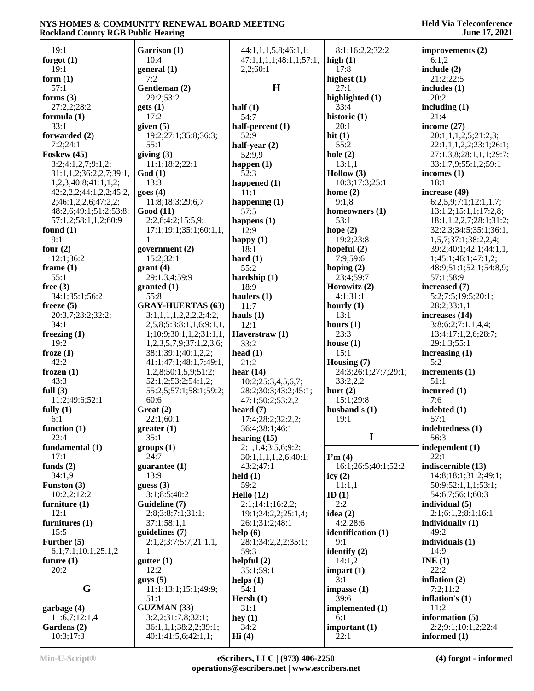| 19:1                    | Garrison (1)                     | 44:1,1,1,5,8;46:1,1;    | 8:1;16:2,2;32:2      | improvements (2)        |
|-------------------------|----------------------------------|-------------------------|----------------------|-------------------------|
| forgot $(1)$            | 10:4                             | 47:1,1,1,1;48:1,1;57:1, | high $(1)$           | 6:1,2                   |
| 19:1                    | general $(1)$                    | 2,2;60:1                | 17:8                 | include $(2)$           |
| form $(1)$              | 7:2                              |                         | highest $(1)$        | 21:2;22:5               |
| 57:1                    | Gentleman (2)                    | H                       | 27:1                 | includes $(1)$          |
| forms $(3)$             | 29:2;53:2                        |                         | highlighted (1)      | 20:2                    |
| 27:2,2;28:2             | gets(1)                          | half $(1)$              | 33:4                 | including $(1)$         |
| formula $(1)$           | 17:2                             | 54:7                    | historic (1)         | 21:4                    |
| 33:1                    | given $(5)$                      | half-percent (1)        | 20:1                 | income $(27)$           |
| forwarded (2)           | 19:2;27:1;35:8;36:3;             | 52:9                    | hit $(1)$            | 20:1,1,1,2,5;21:2,3;    |
| 7:2;24:1                | 55:1                             | half-year $(2)$         | 55:2                 | 22:1,1,1,2,2;23:1;26:1; |
| Foskew $(45)$           | giving $(3)$                     | 52:9,9                  | hole $(2)$           | 27:1,3,8;28:1,1,1;29:7; |
| 3:2;4:1,2,7;9:1,2;      | 11:1;18:2;22:1                   | happen $(1)$            | 13:1,1               | 33:1,7,9;55:1,2;59:1    |
| 31:1,1,2;36:2,2,7;39:1, | God(1)                           | 52:3                    | Hollow $(3)$         | incomes $(1)$           |
| 1,2,3;40:8;41:1,1,2;    | 13:3                             | happened $(1)$          | 10:3;17:3;25:1       | 18:1                    |
| 42:2,2,2;44:1,2,2;45:2, | goes(4)                          | 11:1                    | home $(2)$           | increase (49)           |
|                         |                                  |                         | 9:1,8                |                         |
| 2;46:1,2,2,6;47:2,2;    | 11:8;18:3;29:6,7                 | happening $(1)$         |                      | 6:2,5,9;7:1;12:1,1,7;   |
| 48:2,6;49:1;51:2;53:8;  | Good(11)                         | 57:5                    | homeowners (1)       | 13:1,2;15:1,1;17:2,8;   |
| 57:1,2;58:1,1,2;60:9    | 2:2,6;4:2;15:5,9;                | happens $(1)$           | 53:1                 | 18:1,1,2,2,7;28:1;31:2; |
| found $(1)$             | 17:1;19:1;35:1;60:1,1,           | 12:9                    | hope $(2)$           | 32:2,3;34:5;35:1;36:1,  |
| 9:1                     | 1                                | happy $(1)$             | 19:2;23:8            | 1,5,7;37:1;38:2,2,4;    |
| four $(2)$              | government $(2)$                 | 18:1                    | hopeful $(2)$        | 39:2;40:1;42:1;44:1,1,  |
| 12:1;36:2               | 15:2;32:1                        | hard $(1)$              | 7:9;59:6             | 1;45:1;46:1;47:1,2;     |
| frame $(1)$             | grant(4)                         | 55:2                    | hoping $(2)$         | 48:9;51:1;52:1;54:8,9;  |
| 55:1                    | 29:1,3,4;59:9                    | hardship $(1)$          | 23:4;59:7            | 57:1;58:9               |
| free $(3)$              | granted (1)                      | 18:9                    | Horowitz (2)         | increased (7)           |
| 34:1;35:1;56:2          | 55:8                             | haulers $(1)$           | 4:1;31:1             | 5:2;7:5;19:5;20:1;      |
| freeze $(5)$            | <b>GRAY-HUERTAS (63)</b>         | 11:7                    | hourly $(1)$         | 28:2;33:1,1             |
| 20:3,7;23:2;32:2;       | 3:1,1,1,1,2,2,2,2,3:2,           | hauls $(1)$             | 13:1                 | increases (14)          |
| 34:1                    | 2,5,8;5:3;8:1,1,6;9:1,1,         | 12:1                    | hours $(1)$          | 3:8;6:2;7:1,1,4,4;      |
|                         |                                  |                         | 23:3                 |                         |
| freezing $(1)$          | 1; 10: 9; 30: 1, 1, 2; 31: 1, 1, | Haverstraw (1)          |                      | 13:4;17:1,2,6;28:7;     |
| 19:2                    | 1,2,3,5,7,9;37:1,2,3,6;          | 33:2                    | house $(1)$          | 29:1,3;55:1             |
| froze $(1)$             | 38:1;39:1;40:1,2,2;              | head $(1)$              | 15:1                 | increasing $(1)$        |
| 42:2                    | 41:1;47:1;48:1,7;49:1,           | 21:2                    | Housing $(7)$        | 5:2                     |
| frozen $(1)$            | 1,2,8;50:1,5,9;51:2;             | hear $(14)$             | 24:3;26:1;27:7;29:1; | increments (1)          |
| 43:3                    | 52:1,2;53:2;54:1,2;              | 10:2;25:3,4,5,6,7;      | 33:2,2,2             | 51:1                    |
| full $(3)$              | 55:2,5;57:1;58:1;59:2;           | 28:2;30:3;43:2;45:1;    | hurt $(2)$           | incurred (1)            |
| 11:2;49:6;52:1          | 60:6                             | 47:1;50:2;53:2,2        | 15:1;29:8            | 7:6                     |
| fully $(1)$             | Great(2)                         | heard $(7)$             | husband's $(1)$      | indebted (1)            |
| 6:1                     | 22:1;60:1                        | 17:4;28:2;32:2,2;       | 19:1                 | 57:1                    |
| function $(1)$          | greater(1)                       | 36:4;38:1;46:1          |                      | indebtedness (1)        |
| 22:4                    | 35:1                             | hearing $(15)$          | $\mathbf I$          | 56:3                    |
| fundamental (1)         | groups (1)                       | 2:1,1,4;3:5,6;9:2;      |                      | independent (1)         |
| 17:1                    | 24:7                             | 30:1,1,1,1,2,6;40:1;    | $\Gamma$ m (4)       | 22:1                    |
|                         | guarantee (1)                    | 43:2;47:1               | 16:1;26:5;40:1;52:2  | indiscernible (13)      |
| funds $(2)$             |                                  |                         |                      |                         |
| 34:1,9                  | 13:9                             | $\text{held}(1)$        | icy $(2)$            | 14:8;18:1;31:2;49:1;    |
| Funston (3)             | guess $(3)$                      | 59:2                    | 11:1,1               | 50:9;52:1,1,1;53:1;     |
| 10:2,2;12:2             | 3:1;8:5;40:2                     | Hello $(12)$            | ID $(1)$             | 54:6,7;56:1;60:3        |
| furniture $(1)$         | Guideline (7)                    | 2:1;14:1;16:2,2;        | 2:2                  | individual $(5)$        |
| 12:1                    | 2:8;3:8;7:1;31:1;                | 19:1;24:2,2;25:1,4;     | idea $(2)$           | 2:1;6:1,2;8:1;16:1      |
| furnitures $(1)$        | 37:1;58:1,1                      | 26:1;31:2;48:1          | 4:2;28:6             | individually $(1)$      |
| 15:5                    | guidelines (7)                   | help $(6)$              | identification (1)   | 49:2                    |
| Further $(5)$           | 2:1,2;3:7;5:7;21:1,1,            | 28:1;34:2,2,2;35:1;     | 9:1                  | individuals (1)         |
| 6:1;7:1;10:1;25:1,2     | 1                                | 59:3                    | identify $(2)$       | 14:9                    |
| future $(1)$            | gutter(1)                        | helpful $(2)$           | 14:1,2               | INE(1)                  |
| 20:2                    | 12:2                             | 35:1;59:1               | impart(1)            | 22:2                    |
|                         | $g$ uys $(5)$                    | helps $(1)$             | 3:1                  | inflation $(2)$         |
| G                       | 11:1;13:1;15:1;49:9;             | 54:1                    | impasse(1)           | 7:2;11:2                |
|                         | 51:1                             |                         | 39:6                 | inflation's $(1)$       |
|                         |                                  | Hersh $(1)$             |                      |                         |
| garbage $(4)$           | <b>GUZMAN</b> (33)               | 31:1                    | implemented (1)      | 11:2                    |
| 11:6,7;12:1,4           | 3:2,2;31:7,8;32:1;               | hey $(1)$               | 6:1                  | information $(5)$       |
| Gardens (2)             | 36:1,1,1;38:2,2;39:1;            | 34:2                    | important (1)        | 2:2;9:1;10:1,2;22:4     |
| 10:3;17:3               | 40:1;41:5,6;42:1,1;              | Hi(4)                   | 22:1                 | informed (1)            |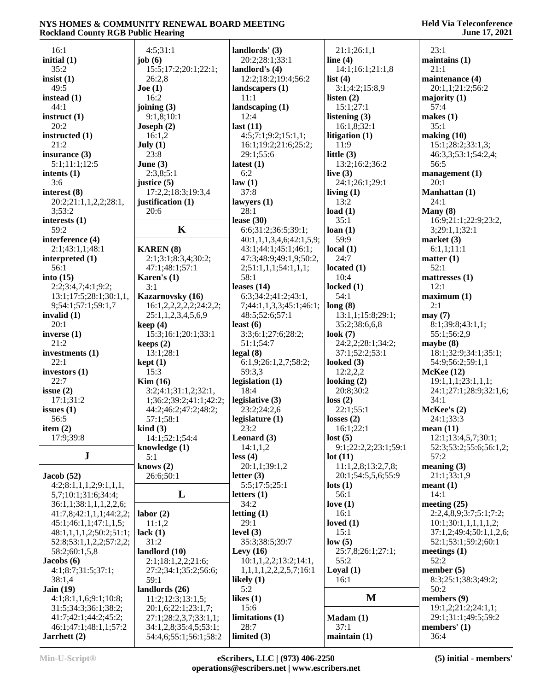| 16:1                    | 4:5;31:1                 | landlords' $(3)$           | 21:1;26:1,1          | 23:1                    |
|-------------------------|--------------------------|----------------------------|----------------------|-------------------------|
| initial $(1)$           | job $(6)$                | 20:2;28:1;33:1             | line $(4)$           |                         |
|                         |                          |                            |                      | maintains(1)            |
| 35:2                    | 15:5;17:2;20:1;22:1;     | landlord's $(4)$           | 14:1;16:1;21:1,8     | 21:1                    |
| insist $(1)$            | 26:2,8                   | 12:2;18:2;19:4;56:2        | list $(4)$           | maintenance (4)         |
| 49:5                    | Joe (1)                  | landscapers $(1)$          | 3:1;4:2;15:8,9       | 20:1,1;21:2;56:2        |
| instead $(1)$           | 16:2                     | 11:1                       | listen $(2)$         | majority $(1)$          |
| 44:1                    | joining $(3)$            | landscaping $(1)$          | 15:1;27:1            | 57:4                    |
| instruct $(1)$          | 9:1,8;10:1               | 12:4                       | listening $(3)$      | makes $(1)$             |
| 20:2                    | Joseph $(2)$             | last $(11)$                | 16:1,8;32:1          | 35:1                    |
| instructed (1)          | 16:1,2                   | 4:5;7:1;9:2;15:1,1;        | litigation $(1)$     | making (10)             |
| 21:2                    | July $(1)$               | 16:1;19:2;21:6;25:2;       | 11:9                 | 15:1;28:2;33:1,3;       |
| insurance $(3)$         | 23:8                     | 29:1;55:6                  | little $(3)$         | 46:3,3;53:1;54:2,4;     |
| 5:1;11:1;12:5           | June $(3)$               | latest $(1)$               | 13:2;16:2;36:2       | 56:5                    |
| intents $(1)$           | 2:3,8;5:1                | 6:2                        | live $(3)$           | management $(1)$        |
| 3:6                     | justice (5)              | law(1)                     | 24:1;26:1;29:1       | 20:1                    |
| interest $(8)$          | 17:2,2;18:3;19:3,4       | 37:8                       | living $(1)$         | Manhattan (1)           |
| 20:2;21:1,1,2,2;28:1,   | justification (1)        | lawyers $(1)$              | 13:2                 | 24:1                    |
| 3:53:2                  | 20:6                     | 28:1                       | load $(1)$           | Many $(8)$              |
| interests $(1)$         |                          | lease $(30)$               | 35:1                 | 16:9;21:1;22:9;23:2,    |
| 59:2                    | $\mathbf K$              | 6:6;31:2;36:5;39:1;        | loan(1)              | 3;29:1,1;32:1           |
| interference (4)        |                          | 40:1,1,1,3,4,6;42:1,5,9;   | 59:9                 | market $(3)$            |
| 2:1;43:1,1;48:1         | <b>KAREN</b> (8)         | 43:1;44:1;45:1;46:1;       | local $(1)$          | 6:1,1;11:1              |
| interpreted $(1)$       | 2:1;3:1;8:3,4;30:2;      | 47:3;48:9;49:1,9;50:2,     | 24:7                 | matter (1)              |
| 56:1                    | 47:1;48:1;57:1           | 2;51:1,1,1;54:1,1,1;       | located $(1)$        | 52:1                    |
| into $(15)$             | Karen's $(1)$            | 58:1                       | 10:4                 | mattresses $(1)$        |
| 2:2;3:4,7;4:1;9:2;      | 3:1                      | leases $(14)$              | locked $(1)$         | 12:1                    |
| 13:1;17:5;28:1;30:1,1,  | Kazarnovsky (16)         | 6:3;34:2;41:2;43:1,        | 54:1                 | maximum <sub>(1)</sub>  |
| 9;54:1;57:1;59:1,7      | 16:1,2,2,2,2,2,2;24:2,2; | 7;44:1,1,3,3;45:1;46:1;    | long(8)              | 2:1                     |
| invalid $(1)$           | 25:1,1,2,3,4,5,6,9       | 48:5;52:6;57:1             | 13:1,1;15:8;29:1;    | may(7)                  |
| 20:1                    | keep(4)                  | least $(6)$                | 35:2;38:6,6,8        | 8:1;39:8;43:1,1;        |
| inverse $(1)$           | 15:3;16:1;20:1;33:1      | 3:3;6:1;27:6;28:2;         | look $(7)$           | 55:1;56:2,9             |
| 21:2                    | keeps $(2)$              | 51:1;54:7                  | 24:2,2;28:1;34:2;    | maybe $(8)$             |
| investments (1)         | 13:1;28:1                | legal(8)                   | 37:1;52:2;53:1       | 18:1;32:9;34:1;35:1;    |
| 22:1                    | kept(1)                  | 6:1,9;26:1,2,7;58:2;       | looked $(3)$         | 54:9;56:2;59:1,1        |
| investors $(1)$         | 15:3                     | 59:3,3                     | 12:2,2,2             | McKee(12)               |
| 22:7                    | Kim(16)                  | legislation $(1)$          | looking $(2)$        | 19:1,1,1;23:1,1,1;      |
| issue $(2)$             | 3:2;4:1;31:1,2;32:1,     | 18:4                       | 20:8;30:2            | 24:1;27:1;28:9;32:1,6;  |
| 17:1;31:2               | 1;36:2;39:2;41:1;42:2;   | legislative (3)            | loss(2)              | 34:1                    |
| issues $(1)$            | 44:2;46:2;47:2;48:2;     | 23:2;24:2,6                | 22:1:55:1            | McKee's (2)             |
| 56:5                    | 57:1;58:1                | legislature (1)            | losses $(2)$         | 24:1;33:3               |
| item $(2)$              | $\operatorname{kind}(3)$ | 23:2                       | 16:1;22:1            | mean $(11)$             |
| 17:9;39:8               | 14:1;52:1;54:4           | Leonard $(3)$              | lost(5)              | 12:1;13:4,5,7;30:1;     |
|                         | knowledge (1)            | 14:1,1,2                   | 9:1;22:2,2;23:1;59:1 | 52:3;53:2;55:6;56:1,2;  |
| J                       | 5:1                      | less (4)                   | lot(11)              | 57:2                    |
|                         | knows $(2)$              | 20:1,1;39:1,2              | 11:1,2,8;13:2,7,8;   | meaning $(3)$           |
| Jacob(52)               | 26:6;50:1                | letter $(3)$               | 20:1;54:5,5,6;55:9   | 21:1;33:1,9             |
| 4:2;8:1,1,1,2;9:1,1,1,  |                          | 5:5;17:5;25:1              | $\text{lots} (1)$    | mean <sub>t</sub> (1)   |
| 5,7;10:1;31:6;34:4;     | L                        | letters $(1)$              | 56:1                 | 14:1                    |
| 36:1,1;38:1,1,1,2,2,6;  |                          | 34:2                       | love $(1)$           | meeting $(25)$          |
| 41:7,8;42:1,1,1;44:2,2; | labor(2)                 | letting $(1)$              | 16:1                 | 2:2,4,8,9;3:7;5:1;7:2;  |
| 45:1;46:1,1;47:1,1,5;   | 11:1,2                   | 29:1                       | loved $(1)$          | 10:1;30:1,1,1,1,1,2;    |
| 48:1,1,1,1,2;50:2;51:1; | lack $(1)$               | level $(3)$                | 15:1                 | 37:1,2;49:4;50:1,1,2,6; |
| 52:8;53:1,1,2,2;57:2,2; | 31:2                     | 35:3;38:5;39:7             | low(5)               | 52:1;53:1;59:2;60:1     |
| 58:2;60:1,5,8           | landlord (10)            | Levy $(16)$                | 25:7,8;26:1;27:1;    | meetings $(1)$          |
| Jacobs(6)               | 2:1;18:1,2,2;21:6;       | 10:1,1,2,2;13:2;14:1,      | 55:2                 | 52:2                    |
| 4:1;8:7;31:5;37:1;      | 27:2;34:1;35:2;56:6;     | 1,1,1,1,2,2,2,5,7;16:1     | Logal(1)             | member $(5)$            |
| 38:1,4                  | 59:1                     | likely $(1)$               | 16:1                 | 8:3;25:1;38:3;49:2;     |
| Jain $(19)$             | landlords (26)           | 5:2                        |                      | 50:2                    |
| 4:1;8:1,1,6;9:1;10:8;   | 11:2;12:3;13:1,5;        | likes $(1)$                | M                    | members (9)             |
| 31:5;34:3;36:1;38:2;    | 20:1,6;22:1;23:1,7;      | 15:6                       |                      | 19:1,2;21:2;24:1,1;     |
| 41:7;42:1;44:2;45:2;    | 27:1;28:2,3,7;33:1,1;    | limitations <sub>(1)</sub> | $Madam (1)$          | 29:1;31:1;49:5;59:2     |
| 46:1;47:1;48:1,1;57:2   | 34:1,2,8;35:4,5;53:1;    | 28:7                       | 37:1                 | members' $(1)$          |
| Jarrhett (2)            | 54:4,6;55:1;56:1;58:2    | limited $(3)$              | maintain(1)          | 36:4                    |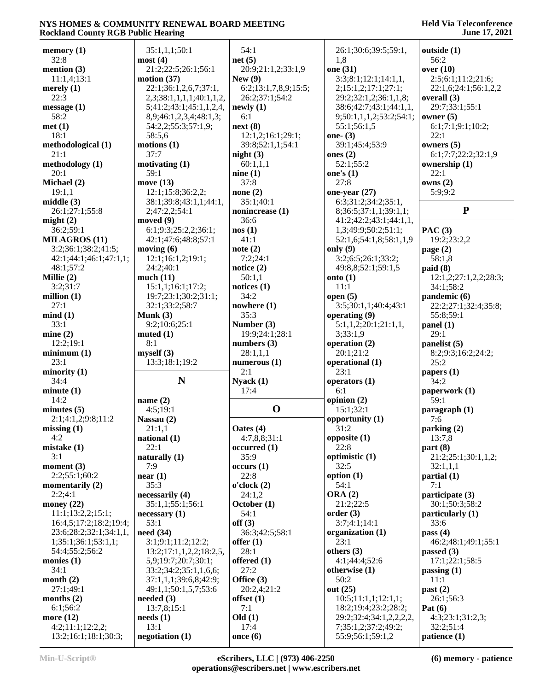#### **Held Via Teleconference June 17, 2021**

| memory(1)                                | 35:1,1,1;50:1                             | 54:1                 | 26:1;30:6;39:5;59:1,                    | outside (1)                 |
|------------------------------------------|-------------------------------------------|----------------------|-----------------------------------------|-----------------------------|
| 32:8                                     | most(4)                                   | net(5)               | 1,8                                     | 56:2                        |
| mention $(3)$                            | 21:2;22:5;26:1;56:1                       | 20:9;21:1,2;33:1,9   | one (31)                                | over $(10)$                 |
| 11:1,4;13:1                              | motion $(37)$                             | New(9)               | 3:3;8:1;12:1;14:1,1,                    | 2:5;6:1;11:2;21:6;          |
| merely $(1)$                             | 22:1;36:1,2,6,7;37:1,                     | 6:2;13:1,7,8,9;15:5; | 2;15:1,2;17:1;27:1;                     | 22:1,6;24:1;56:1,2,2        |
| 22:3                                     | 2,3;38:1,1,1,1;40:1,1,2,                  | 26:2;37:1;54:2       | 29:2;32:1,2;36:1,1,8;                   | overall (3)                 |
| message(1)                               | 5;41:2;43:1;45:1,1,2,4,                   | newly(1)             | 38:6;42:7;43:1;44:1,1,                  | 29:7;33:1;55:1              |
| 58:2                                     | 8,9;46:1,2,3,4;48:1,3;                    | 6:1                  | 9;50:1,1,1,2;53:2;54:1;                 | owner $(5)$                 |
| met(1)                                   | 54:2,2;55:3;57:1,9;                       | next(8)              | 55:1;56:1,5                             | 6:1;7:1;9:1;10:2;           |
| 18:1                                     | 58:5,6                                    | 12:1,2;16:1;29:1;    | one- $(3)$                              | 22:1                        |
| methodological (1)                       | motions(1)                                | 39:8;52:1,1;54:1     | 39:1;45:4;53:9                          | owners $(5)$                |
| 21:1                                     | 37:7                                      | night $(3)$          | ones $(2)$                              | 6:1;7:7;22:2;32:1,9         |
| methodology (1)                          | motivating (1)                            | 60:1,1,1             | 52:1;55:2                               | ownership (1)               |
| 20:1                                     | 59:1                                      | nine(1)              | one's $(1)$                             | 22:1                        |
| Michael (2)                              | move (13)                                 | 37:8                 | 27:8                                    | owns(2)                     |
| 19:1,1                                   | 12:1;15:8;36:2,2;                         | none $(2)$           |                                         | 5:9:9:2                     |
| middle $(3)$                             |                                           |                      | one-year $(27)$                         |                             |
|                                          | 38:1;39:8;43:1,1;44:1,                    | 35:1;40:1            | 6:3;31:2;34:2;35:1,                     | ${\bf P}$                   |
| 26:1;27:1;55:8                           | 2;47:2,2;54:1                             | nonincrease (1)      | 8;36:5;37:1,1;39:1,1;                   |                             |
| might $(2)$                              | moved $(9)$                               | 36:6                 | 41:2;42:2;43:1;44:1,1,                  |                             |
| 36:2;59:1                                | 6:1;9:3;25:2,2;36:1;                      | nos(1)               | 1,3;49:9;50:2;51:1;                     | PAC $(3)$                   |
| <b>MILAGROS (11)</b>                     | 42:1;47:6;48:8;57:1                       | 41:1                 | 52:1,6;54:1,8;58:1,1,9                  | 19:2;23:2,2                 |
| 3:2;36:1;38:2;41:5;                      | moving $(6)$                              | note $(2)$           | only $(9)$                              | page $(2)$                  |
| 42:1;44:1;46:1;47:1,1;                   | 12:1;16:1,2;19:1;                         | 7:2;24:1             | 3:2;6:5;26:1;33:2;                      | 58:1,8                      |
| 48:1:57:2                                | 24:2;40:1                                 | notice $(2)$         | 49:8,8;52:1;59:1,5                      | paid(8)                     |
| Millie $(2)$                             | much(11)                                  | 50:1,1               | onto $(1)$                              | 12:1,2;27:1,2,2;28:3;       |
| 3:2;31:7                                 | 15:1,1;16:1;17:2;                         | notices $(1)$        | 11:1                                    | 34:1;58:2                   |
| million $(1)$                            | 19:7;23:1;30:2;31:1;                      | 34:2                 | open $(5)$                              | pandemic (6)                |
| 27:1                                     | 32:1;33:2;58:7                            | nowhere $(1)$        | 3:5;30:1,1;40:4;43:1                    | 22:2;27:1;32:4;35:8;        |
| mind(1)                                  | Munk $(3)$                                | 35:3                 | operating (9)                           | 55:8;59:1                   |
| 33:1                                     | 9:2;10:6;25:1                             | Number (3)           | 5:1,1,2;20:1;21:1,1,                    | panel (1)                   |
| mine(2)                                  | muted(1)                                  | 19:9;24:1;28:1       | 3;33:1,9                                | 29:1                        |
| 12:2;19:1                                | 8:1                                       | numbers $(3)$        | operation (2)                           | panelist (5)                |
| minimum(1)                               | myself(3)                                 | 28:1,1,1             | 20:1;21:2                               | 8:2;9:3;16:2;24:2;          |
| 23:1                                     | 13:3;18:1;19:2                            | numerous $(1)$       | operational (1)                         | 25:2                        |
| minority (1)                             |                                           | 2:1                  | 23:1                                    |                             |
| 34:4                                     | N                                         | Nyack(1)             |                                         | papers $(1)$                |
|                                          |                                           |                      | operators $(1)$                         | 34:2                        |
| minute(1)                                |                                           | 17:4                 | 6:1                                     | paperwork (1)               |
| 14:2                                     | name $(2)$                                |                      | opinion $(2)$                           | 59:1                        |
| minutes $(5)$                            | 4:5;19:1                                  | $\mathbf 0$          | 15:1;32:1                               | $\frac{1}{2}$ paragraph (1) |
| 2:1;4:1,2;9:8;11:2                       | Nassau (2)                                |                      | opportunity (1)                         | 7:6                         |
| missing(1)                               | 21:1,1                                    | Oates (4)            | 31:2                                    | parking (2)                 |
| 4:2                                      | national $(1)$                            | 4:7,8,8;31:1         | opposite (1)                            | 13:7,8                      |
| mistake $(1)$                            | 22:1                                      | occurred(1)          | 22:8                                    | part(8)                     |
| 3:1                                      | naturally (1)                             | 35:9                 | optimistic (1)                          | 21:2;25:1;30:1,1,2;         |
| moment $(3)$                             | 7:9                                       | occurs(1)            | 32:5                                    | 32:1,1,1                    |
| 2:2;55:1;60:2                            | near(1)                                   | 22:8                 | option $(1)$                            | partial(1)                  |
| momentarily $(2)$                        | 35:3                                      | o'clock(2)           | 54:1                                    | 7:1                         |
| 2:2;4:1                                  | necessarily (4)                           | 24:1,2               | <b>ORA</b> (2)                          | participate (3)             |
| money $(22)$                             | 35:1,1;55:1;56:1                          | October (1)          | 21:2;22:5                               | 30:1;50:3;58:2              |
| 11:1;13:2,2;15:1;                        |                                           |                      |                                         |                             |
|                                          |                                           |                      |                                         |                             |
|                                          | necessary(1)                              | 54:1                 | order(3)                                | particularly (1)            |
| 16:4,5;17:2;18:2;19:4;                   | 53:1                                      | off(3)               | 3:7;4:1;14:1                            | 33:6                        |
| 23:6;28:2;32:1;34:1,1,                   | need $(34)$                               | 36:3;42:5;58:1       | organization (1)                        | pass $(4)$                  |
| 1;35:1;36:1;53:1,1;                      | 3:1;9:1;11:2;12:2;                        | offer $(1)$          | 23:1                                    | 46:2;48:1;49:1;55:1         |
| 54:4;55:2;56:2                           | 13:2;17:1,1,2,2;18:2,5,                   | 28:1                 | others $(3)$                            | passed $(3)$                |
|                                          | 5,9;19:7;20:7;30:1;                       | offered (1)          | 4:1;44:4;52:6                           | 17:1;22:1;58:5              |
| 34:1                                     | 33:2;34:2;35:1,1,6,6;                     | 27:2                 | otherwise $(1)$                         | passing $(1)$               |
|                                          | 37:1,1,1;39:6,8;42:9;                     | Office $(3)$         | 50:2                                    | 11:1                        |
| monies $(1)$<br>month $(2)$<br>27:1;49:1 | 49:1,1;50:1,5,7;53:6                      | 20:2,4;21:2          | out (25)                                | past (2)                    |
| months $(2)$                             | needed (3)                                | offset $(1)$         | 10:5;11:1,1;12:1,1;                     | 26:1;56:3                   |
| 6:1;56:2                                 | 13:7,8;15:1                               | 7:1                  | 18:2;19:4;23:2;28:2;                    | Pat $(6)$                   |
| more (12)                                | $\boldsymbol{\text{needs}}\left(1\right)$ | Old(1)               | 29:2;32:4;34:1,2,2,2,2,                 | 4:3;23:1;31:2,3;            |
| 4:2;11:1;12:2,2;<br>13:2;16:1;18:1;30:3; | 13:1<br>negotiation (1)                   | 17:4<br>once $(6)$   | 7;35:1,2;37:2;49:2;<br>55:9;56:1;59:1,2 | 32:2;51:4<br>patience $(1)$ |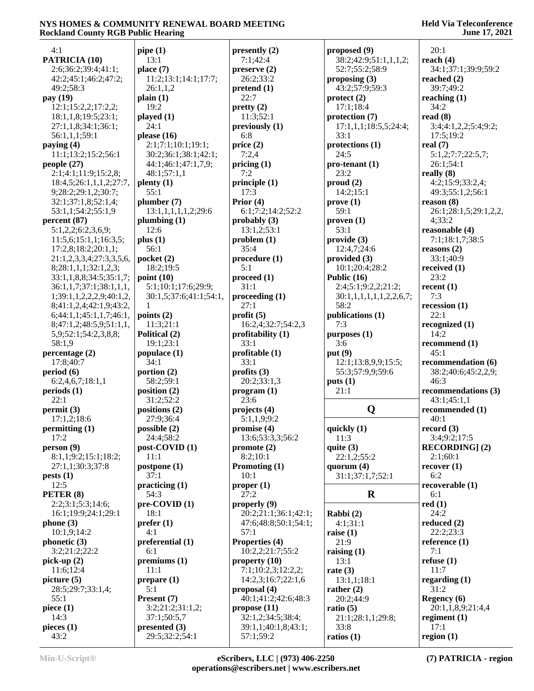#### **Held Via Teleconference June 17, 2021**

| 4:1                      | pipe(1)                         | presently $(2)$               | proposed (9)            | 20:1                   |
|--------------------------|---------------------------------|-------------------------------|-------------------------|------------------------|
| PATRICIA (10)            | 13:1                            | 7:1;42:4                      | 38:2;42:9;51:1,1,1,2;   | reach $(4)$            |
| 2:6;36:2;39:4;41:1;      | place (7)                       | preserve(2)                   | 52:7;55:2;58:9          | 34:1;37:1;39:9;59:2    |
| 42:2;45:1;46:2;47:2;     | 11:2;13:1;14:1;17:7;            | 26:2;33:2                     | proposing $(3)$         | reached $(2)$          |
| 49:2;58:3                | 26:1,1,2                        | pretend (1)                   | 43:2;57:9;59:3          | 39:7;49:2              |
| pay (19)                 | plain(1)                        | 22:7                          | $\text{protect (2)}$    | reaching $(1)$         |
| 12:1;15:2,2;17:2,2;      | 19:2                            | pretty(2)                     | 17:1;18:4               | 34:2                   |
| 18:1,1,8;19:5;23:1;      | played(1)                       | 11:3;52:1                     | protection (7)          | read $(8)$             |
| 27:1,1,8;34:1;36:1;      | 24:1                            | previously (1)                | 17:1,1,1;18:5,5;24:4;   | 3:4;4:1,2,2;5:4;9:2;   |
| 56:1,1,1;59:1            | please $(16)$                   | 6:8                           | 33:1                    | 17:5:19:2              |
| paying $(4)$             | 2:1;7:1;10:1;19:1;              | price $(2)$                   | protections (1)         | real $(7)$             |
| 11:1;13:2;15:2;56:1      | 30:2;36:1;38:1;42:1;            | 7:2,4                         | 24:5                    | 5:1,2;7:7;22:5,7;      |
| people $(27)$            | 44:1;46:1;47:1,7,9;             | pricing $(1)$                 | $pro-tenant(1)$         | 26:1;54:1              |
| 2:1;4:1;11:9;15:2,8;     | 48:1;57:1,1                     | 7:2                           | 23:2                    | really $(8)$           |
| 18:4,5;26:1,1,1,2;27:7,  | $\mathbf{plenty}\left(1\right)$ | principle (1)                 | prod(2)                 | 4:2;15:9;33:2,4;       |
|                          | 55:1                            | 17:3                          | 14:2;15:1               |                        |
| 9;28:2;29:1,2;30:7;      |                                 | Prior $(4)$                   |                         | 49:3;55:1,2;56:1       |
| 32:1;37:1,8;52:1,4;      | plumber (7)                     |                               | prove(1)<br>59:1        | reason (8)             |
| 53:1,1;54:2;55:1,9       | 13:1,1,1,1,1,2;29:6             | 6:1;7:2;14:2;52:2             |                         | 26:1;28:1,5;29:1,2,2,  |
| percent(87)              | plumbing $(1)$                  | probably $(3)$                | proven(1)               | 4:33:2                 |
| 5:1,2,2;6:2,3,6,9;       | 12:6                            | 13:1,2;53:1                   | 53:1                    | reasonable (4)         |
| 11:5,6;15:1,1;16:3,5;    | plus(1)                         | problem(1)                    | provide (3)             | 7:1;18:1,7;38:5        |
| 17:2,8;18:2;20:1,1;      | 56:1                            | 35:4                          | 12:4,7:24:6             | reasons $(2)$          |
| 21:1,2,3,3,4;27:3,3,5,6, | pocket $(2)$                    | procedure(1)                  | provided $(3)$          | 33:1;40:9              |
| 8;28:1,1,1;32:1,2,3;     | 18:2;19:5                       | 5:1                           | 10:1;20:4;28:2          | received $(1)$         |
| 33:1,1,8,8;34:5;35:1,7;  | point $(10)$                    | proceed (1)                   | Public (16)             | 23:2                   |
| 36:1,1,7;37:1;38:1,1,1,  | 5:1;10:1;17:6;29:9;             | 31:1                          | 2:4;5:1;9:2,2;21:2;     | recent $(1)$           |
| 1;39:1,1,2,2,2,9;40:1,2, | 30:1,5;37:6;41:1;54:1,          | proceeding (1)                | 30:1,1,1,1,1,1,2,2,6,7; | 7:3                    |
| 8;41:1,2,4;42:1,9;43:2,  | 1                               | 27:1                          | 58:2                    | recession $(1)$        |
| 6;44:1,1;45:1,1,7;46:1,  | points (2)                      | profit(5)                     | publications (1)        | 22:1                   |
| 8;47:1,2;48:5,9;51:1,1,  | 11:3;21:1                       | 16:2,4;32:7;54:2,3            | 7:3                     | recognized $(1)$       |
| 5,9;52:1;54:2,3,8,8;     | Political (2)                   | profitability $(1)$           | purposes (1)            | 14:2                   |
| 58:1,9                   | 19:1;23:1                       | 33:1                          | 3:6                     | recommend (1)          |
| percentage (2)           | populace $(1)$                  | profitable $(1)$              | put $(9)$               | 45:1                   |
| 17:8;40:7                | 34:1                            | 33:1                          | 12:1;13:8,9,9;15:5;     | recommendation (6)     |
| period (6)               | portion $(2)$                   | profits $(3)$                 | 55:3;57:9,9;59:6        | 38:2;40:6;45:2,2,9;    |
| 6:2,4,6,7;18:1,1         | 58:2;59:1                       | 20:2;33:1,3                   | puts(1)                 | 46:3                   |
| periods(1)               | position (2)                    | program (1)                   | 21:1                    | recommendations (3)    |
| 22:1                     | 31:2;52:2                       | 23:6                          |                         | 43:1;45:1,1            |
| permit(3)                | positions (2)                   | projects $(4)$                | Q                       | recommended (1)        |
| 17:1,2;18:6              | 27:9:36:4                       | 5:1,1,9;9:2                   |                         | 40:1                   |
| permitting (1)           | possible (2)                    | promise $(4)$                 | quickly (1)             | record(3)              |
| 17:2                     | 24:4;58:2                       | 13:6;53:3,3;56:2              | 11:3                    | 3:4;9:2;17:5           |
| person(9)                | post-COVID (1)                  | promote $(2)$                 | quite $(3)$             | <b>RECORDING</b> ] (2) |
| 8:1,1;9:2;15:1;18:2;     | 11:1                            | 8:2;10:1                      | 22:1,2;55:2             | 2:1;60:1               |
| 27:1,1;30:3;37:8         | postpone (1)                    | Promoting (1)                 | quorum $(4)$            | recover(1)             |
| pests(1)                 | 37:1                            | 10:1                          | 31:1;37:1,7;52:1        | 6:2                    |
| 12:5                     | practicing (1)                  |                               |                         | recoveredble(1)        |
| PETER (8)                | 54:3                            | proper <sub>(1)</sub><br>27:2 | $\mathbf R$             | 6:1                    |
|                          |                                 |                               |                         |                        |
| 2:2;3:1;5:3;14:6;        | $pre-COVID(1)$                  | properly $(9)$                |                         | red(1)                 |
| 16:1;19:9;24:1;29:1      | 18:1                            | 20:2;21:1;36:1;42:1;          | Rabbi (2)               | 24:2                   |
| phone(3)                 | prefer(1)                       | 47:6;48:8;50:1;54:1;          | 4:1;31:1                | reduced $(2)$          |
| 10:1,9;14:2              | 4:1                             | 57:1                          | raise $(1)$             | 22:2;23:3              |
| phonetic (3)             | preferential (1)                | Properties (4)                | 21:9                    | reference $(1)$        |
| 3:2;21:2;22:2            | 6:1                             | 10:2,2;21:7;55:2              | raising $(1)$           | 7:1                    |
| pick-up $(2)$            | premiums (1)                    | property $(10)$               | 13:1                    | refuse $(1)$           |
| 11:6;12:4                | 11:1                            | 7:1;10:2,3;12:2,2;            | rate $(3)$              | 11:7                   |
| picture $(5)$            | prepare (1)                     | 14:2,3;16:7;22:1,6            | 13:1,1;18:1             | regarding $(1)$        |
| 28:5;29:7;33:1,4;        | 5:1                             | proposal $(4)$                | rather $(2)$            | 31:2                   |
| 55:1                     | Present (7)                     | 40:1;41:2;42:6;48:3           | 20:2;44:9               | Regency (6)            |
| piece $(1)$              | 3:2;21:2;31:1,2;                | propose $(11)$                | ratio $(5)$             | 20:1,1,8,9;21:4,4      |
| 14:3                     | 37:1;50:5,7                     | 32:1,2;34:5;38:4;             | 21:1;28:1,1;29:8;       | regiment $(1)$         |
| pieces $(1)$             | presented $(3)$                 | 39:1,1;40:1,8;43:1;           | 33:8                    | 17:1                   |
| 43:2                     | 29:5;32:2;54:1                  | 57:1;59:2                     | ratios $(1)$            | region $(1)$           |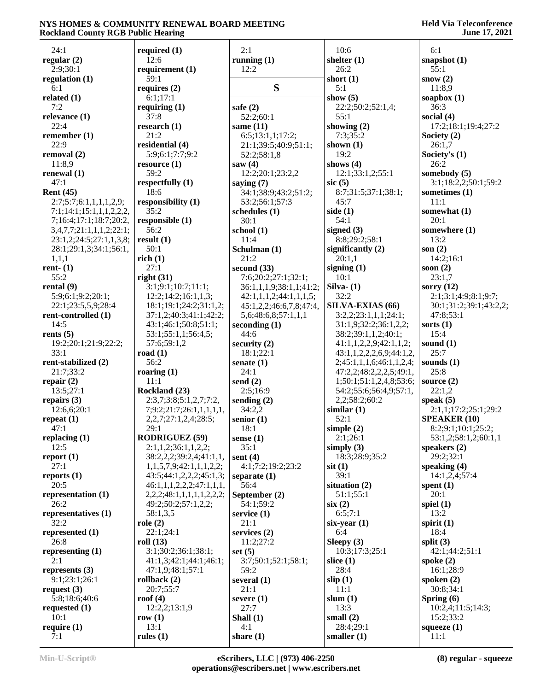| 24:1                     | required $(1)$                                     | 2:1                                 | 10:6                     | 6:1                             |
|--------------------------|----------------------------------------------------|-------------------------------------|--------------------------|---------------------------------|
| regular $(2)$            | 12:6                                               | running $(1)$                       | shelter $(1)$            | snapshot $(1)$                  |
| 2:9;30:1                 | requirement $(1)$                                  | 12:2                                | 26:2                     | 55:1                            |
| regulation (1)           | 59:1                                               |                                     | short $(1)$              | snow $(2)$                      |
| 6:1                      | requires $(2)$                                     | S                                   | 5:1                      | 11:8,9                          |
| related $(1)$            | 6:1;17:1                                           |                                     | show $(5)$               | soapbox $(1)$                   |
| 7:2                      | requiring $(1)$                                    | safe $(2)$                          | 22:2;50:2;52:1,4;        | 36:3                            |
| relevance $(1)$          | 37:8                                               | 52:2;60:1                           | 55:1                     | social $(4)$                    |
| 22:4                     | research $(1)$                                     | same $(11)$                         | showing $(2)$            | 17:2;18:1;19:4;27:2             |
| remember $(1)$           | 21:2                                               | 6:5;13:1,1;17:2;                    | 7:3;35:2                 | Society $(2)$                   |
| 22:9                     | residential (4)                                    | 21:1;39:5;40:9;51:1;                | shown $(1)$              | 26:1,7                          |
| removal $(2)$            | 5:9;6:1;7:7;9:2                                    | 52:2;58:1,8                         | 19:2                     | Society's $(1)$                 |
| 11:8,9                   | resource $(1)$                                     | saw $(4)$                           | shows $(4)$              | 26:2                            |
| renewal (1)              | 59:2                                               | 12:2;20:1;23:2,2                    | 12:1;33:1,2;55:1         | somebody (5)                    |
| 47:1                     | respectfully $(1)$                                 | saying $(7)$                        | $\rm{sic}$ (5)           | 3:1;18:2,2;50:1;59:2            |
| Rent $(45)$              | 18:6                                               | 34:1;38:9;43:2;51:2;                | 8:7;31:5;37:1;38:1;      | sometimes (1)                   |
| 2:7;5:7;6:1,1,1,1,2,9;   | responsibility (1)                                 | 53:2;56:1;57:3                      | 45:7                     | 11:1                            |
| 7:1;14:1;15:1,1,1,2,2,2, | 35:2                                               | schedules (1)                       | side $(1)$               | somewhat (1)                    |
| 7;16:4;17:1;18:7;20:2,   | responsible (1)                                    | 30:1                                | 54:1                     | 20:1                            |
| 3,4,7,7;21:1,1,1,2;22:1; | 56:2                                               | school (1)                          | signed $(3)$             | somewhere (1)                   |
| 23:1,2;24:5;27:1,1,3,8;  | result(1)                                          | 11:4                                | 8:8;29:2;58:1            | 13:2                            |
| 28:1;29:1,3;34:1;56:1,   | 50:1                                               | Schulman (1)                        | significantly $(2)$      | son $(2)$                       |
| 1,1,1                    | rich(1)                                            | 21:2                                | 20:1,1                   | 14:2;16:1                       |
| rent- $(1)$              | 27:1                                               | second $(33)$                       | signing $(1)$            | soon $(2)$                      |
| 55:2                     | right(31)                                          | 7:6;20:2;27:1;32:1;                 | 10:1                     | 23:1,7                          |
| rental $(9)$             | 3:1;9:1;10:7;11:1;                                 | 36:1,1,1,9;38:1,1;41:2;             | Silva- $(1)$             | sorry $(12)$                    |
| 5:9;6:1;9:2;20:1;        | 12:2;14:2;16:1,1,3;                                | 42:1,1,1,2;44:1,1,1,5;              | 32:2                     | 2:1;3:1;4:9;8:1;9:7;            |
| 22:1;23:5,5,9;28:4       | 18:1;19:1;24:2;31:1,2;                             | 45:1,2,2;46:6,7,8;47:4,             | SILVA-EXIAS (66)         | 30:1;31:2;39:1;43:2,2;          |
| rent-controlled (1)      | 37:1,2;40:3;41:1;42:2;                             | 5,6;48:6,8;57:1,1,1                 | 3:2,2;23:1,1,1;24:1;     | 47:8:53:1                       |
| 14:5                     | 43:1;46:1;50:8;51:1;                               | seconding $(1)$                     | 31:1,9;32:2;36:1,2,2;    | sorts $(1)$                     |
| rents $(5)$              | 53:1;55:1,1;56:4,5;                                | 44:6                                | 38:2;39:1,1,2;40:1;      | 15:4                            |
| 19:2;20:1;21:9;22:2;     | 57:6;59:1,2                                        | security $(2)$                      | 41:1,1,2,2,9;42:1,1,2;   | sound $(1)$                     |
| 33:1                     | road $(1)$                                         | 18:1;22:1                           | 43:1,1,2,2,2,6,9;44:1,2, | 25:7                            |
| rent-stabilized (2)      | 56:2                                               | senate $(1)$                        | 2;45:1,1,1,6;46:1,1,2,4; | sounds $(1)$                    |
| 21:7;33:2                | roaring $(1)$                                      | 24:1                                | 47:2,2;48:2,2,2,5;49:1,  | 25:8                            |
| repair $(2)$             | 11:1                                               | send $(2)$                          | 1;50:1;51:1,2,4,8;53:6;  | source $(2)$                    |
| 13:5;27:1                | Rockland (23)                                      | 2:5;16:9                            | 54:2;55:6;56:4,9;57:1,   | 22:1,2                          |
| repairs $(3)$            | 2:3,7;3:8;5:1,2,7;7:2,                             | sending $(2)$                       | 2,2;58:2;60:2            | speak $(5)$                     |
| 12:6,6;20:1              | 7;9:2;21:7;26:1,1,1,1,1,1,                         | 34:2,2                              | similar $(1)$            | 2:1,1;17:2;25:1;29:2            |
| repeat $(1)$             | 2,2,7;27:1,2,4;28:5;                               | senior $(1)$                        | 52:1                     | <b>SPEAKER (10)</b>             |
| 47:1                     | 29:1                                               | 18:1                                | simple $(2)$             | 8:2;9:1;10:1;25:2;              |
| replacing $(1)$<br>12:5  | <b>RODRIGUEZ (59)</b>                              | sense $(1)$                         | 2:1;26:1                 | 53:1,2;58:1,2;60:1,1            |
|                          | 2:1,1,2;36:1,1,2,2;<br>38:2,2,2,39:2,4,41:1,1,     | 35:1                                | simply $(3)$             | speakers $(2)$                  |
| report $(1)$             |                                                    | sent $(4)$                          | 18:3;28:9;35:2           | 29:2;32:1                       |
| 27:1<br>reports $(1)$    | 1,1,5,7,9;42:1,1,1,2,2;<br>43:5;44:1,2,2,2;45:1,3; | 4:1;7:2;19:2;23:2<br>separate $(1)$ | $s$ it $(1)$<br>39:1     | speaking $(4)$<br>14:1,2,4;57:4 |
| 20:5                     | 46:1,1,1,2,2,2,347:1,1,1,                          | 56:4                                | situation $(2)$          | spent $(1)$                     |
| representation (1)       | 2,2,2;48:1,1,1,1,1,2,2,2;                          | September (2)                       | 51:1;55:1                | 20:1                            |
| 26:2                     | 49:2;50:2;57:1,2,2;                                | 54:1;59:2                           | six(2)                   | spiel $(1)$                     |
| representatives (1)      | 58:1,3,5                                           | service $(1)$                       | 6:5;7:1                  | 13:2                            |
| 32:2                     | role(2)                                            | 21:1                                | $six-year(1)$            | spirit $(1)$                    |
| represented (1)          | 22:1;24:1                                          | services $(2)$                      | 6:4                      | 18:4                            |
| 26:8                     | roll(13)                                           | 11:2;27:2                           | Sleepy $(3)$             | split $(3)$                     |
| representing $(1)$       | 3:1;30:2;36:1;38:1;                                | set $(5)$                           | 10:3;17:3;25:1           | 42:1;44:2;51:1                  |
| 2:1                      | 41:1,3;42:1;44:1;46:1;                             | 3:7;50:1;52:1;58:1;                 | slice $(1)$              | spoke $(2)$                     |
| represents $(3)$         | 47:1,9;48:1;57:1                                   | 59:2                                | 28:4                     | 16:1;28:9                       |
| 9:1;23:1;26:1            | rollback $(2)$                                     | several $(1)$                       | slip(1)                  | spoken $(2)$                    |
| request $(3)$            | 20:7;55:7                                          | 21:1                                | 11:1                     | 30:8;34:1                       |
| 5:8;18:6;40:6            | roof $(4)$                                         | severe $(1)$                        | slum $(1)$               | Spring $(6)$                    |
| requested $(1)$          | 12:2,2;13:1,9                                      | 27:7                                | 13:3                     | 10:2,4;11:5;14:3;               |
| 10:1                     | row $(1)$                                          | Shall $(1)$                         | small $(2)$              | 15:2;33:2                       |
| require $(1)$            | 13:1                                               | 4:1                                 | 28:4;29:1                | squeeze $(1)$                   |
| 7:1                      | rules $(1)$                                        | share $(1)$                         | smaller $(1)$            | 11:1                            |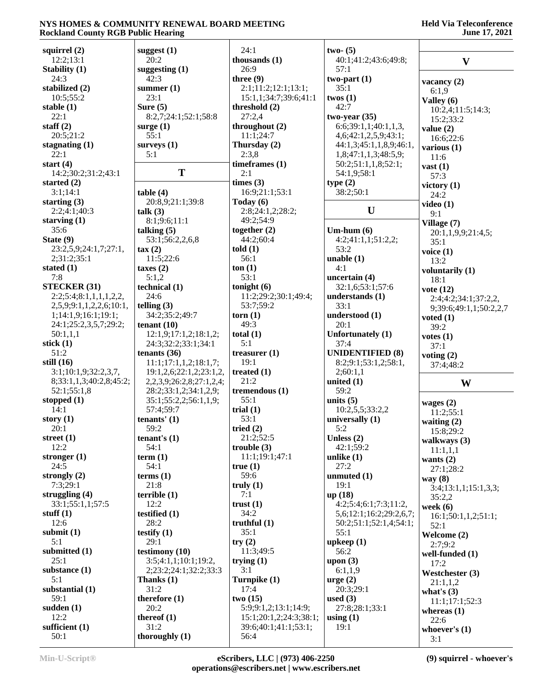| squirrel $(2)$          | suggest $(1)$            | 24:1                         | $two- (5)$              |                            |
|-------------------------|--------------------------|------------------------------|-------------------------|----------------------------|
| 12:2;13:1               | 20:2                     | thousands $(1)$              | 40:1;41:2;43:6;49:8;    | $\mathbf{V}$               |
| Stability (1)           | suggesting $(1)$         | 26:9                         | 57:1                    |                            |
| 24:3                    | 42:3                     | three $(9)$                  | two-part $(1)$          | vacancy $(2)$              |
| stabilized (2)          | summer $(1)$             | 2:1;11:2;12:1;13:1;          | 35:1                    | 6:1,9                      |
| 10:5;55:2               | 23:1                     | 15:1,1;34:7;39:6;41:1        | twos $(1)$              | Valley $(6)$               |
| stable $(1)$            | Sure $(5)$               | threshold (2)                | 42:7                    | 10:2,4;11:5;14:3;          |
| 22:1                    | 8:2,7;24:1;52:1;58:8     | 27:2,4                       | $two-year (35)$         | 15:2;33:2                  |
| staff $(2)$             | surge $(1)$              | throughout $(2)$             | 6:6;39:1,1;40:1,1,3,    | value $(2)$                |
| 20:5;21:2               | 55:1                     | 11:1;24:7                    | 4,6;42:1,2,5,9;43:1;    | 16:6;22:6                  |
| stagnating $(1)$        | surveys $(1)$            | Thursday (2)                 | 44:1,3;45:1,1,8,9;46:1, | various $(1)$              |
| 22:1                    | 5:1                      | 2:3,8                        | 1,8;47:1,1,3;48:5,9;    | 11:6                       |
| start $(4)$             |                          | timeframes (1)               | 50:2;51:1,1,8;52:1;     | $\text{vast}(1)$           |
| 14:2;30:2;31:2;43:1     | T                        | 2:1                          | 54:1,9;58:1             | 57:3                       |
| started (2)             |                          | times (3)                    | type(2)                 | victory $(1)$              |
| 3:1;14:1                | table(4)                 | 16:9;21:1;53:1               | 38:2;50:1               | 24:2                       |
| starting $(3)$          | 20:8,9;21:1;39:8         | Today $(6)$                  |                         | video $(1)$                |
| 2:2;4:1;40:3            | talk (3)                 | 2:8;24:1,2;28:2;             | $\mathbf U$             | 9:1                        |
| starving $(1)$          | 8:1;9:6;11:1             | 49:2;54:9                    |                         | Village (7)                |
| 35:6                    | talking $(5)$            | together $(2)$               | Um-hum $(6)$            | 20:1,1,9,9;21:4,5;         |
| State (9)               | 53:1;56:2,2,6,8          | 44:2;60:4                    | 4:2;41:1,1;51:2,2;      | 35:1                       |
| 23:2,5,9;24:1,7;27:1,   | $\tan(2)$                | told(1)                      | 53:2                    | voice $(1)$                |
| 2;31:2;35:1             | 11:5;22:6                | 56:1                         | unable $(1)$            | 13:2                       |
| stated $(1)$            | taxes $(2)$              | ton(1)                       | 4:1                     | voluntarily (1)            |
| 7:8                     | 5:1,2                    | 53:1                         | uncertain (4)           | 18:1                       |
| <b>STECKER (31)</b>     | technical (1)            | tonight $(6)$                | 32:1,6;53:1;57:6        | vote $(12)$                |
| 2:2;5:4;8:1,1,1,1,2,2,  | 24:6                     | 11:2;29:2;30:1;49:4;         | understands (1)         | 2:4;4:2;34:1;37:2,2,       |
| 2,5,9;9:1,1,2,2,6;10:1, | telling $(3)$            | 53:7;59:2                    | 33:1                    | 9;39:6;49:1,1;50:2,2,7     |
| 1;14:1,9;16:1;19:1;     | 34:2;35:2;49:7           | $\textbf{torn}$ (1)          | understood (1)          | voted $(1)$                |
| 24:1;25:2,3,5,7;29:2;   | tenant $(10)$            | 49:3                         | 20:1                    | 39:2                       |
| 50:1,1,1                | 12:1,9;17:1,2;18:1,2;    | total $(1)$                  | Unfortunately (1)       | votes $(1)$                |
| stick $(1)$             | 24:3;32:2;33:1;34:1      | 5:1                          | 37:4                    | 37:1                       |
| 51:2                    | tenants $(36)$           | treasurer $(1)$              | <b>UNIDENTIFIED (8)</b> | voting $(2)$               |
| still $(16)$            | 11:1;17:1,1,2;18:1,7;    | 19:1                         | 8:2;9:1;53:1,2;58:1,    | 37:4;48:2                  |
| 3:1;10:1,9;32:2,3,7,    | 19:1,2,6;22:1,2;23:1,2,  | treated $(1)$                | 2;60:1,1                |                            |
| 8;33:1,1,3;40:2,8;45:2; | 2,2,3,9;26:2,8;27:1,2,4; | 21:2                         | united $(1)$            | W                          |
| 52:1;55:1,8             | 28:2;33:1,2;34:1,2,9;    | tremendous (1)               | 59:2                    |                            |
| stopped (1)             | 35:1;55:2,2;56:1,1,9;    | 55:1                         | units $(5)$             |                            |
| 14:1                    | 57:4;59:7                | trial $(1)$                  | 10:2,5,5;33:2,2         | wages $(2)$<br>11:2;55:1   |
| story $(1)$             | tenants' $(1)$           | 53:1                         | universally $(1)$       |                            |
| 20:1                    | 59:2                     | tried $(2)$                  | 5:2                     | waiting $(2)$<br>15:8;29:2 |
| street $(1)$            | tenant's $(1)$           | 21:2;52:5                    |                         |                            |
| 12:2                    |                          |                              |                         |                            |
|                         |                          |                              | Unless $(2)$            | walkways $(3)$             |
|                         | 54:1                     | trouble $(3)$                | 42:1;59:2               | 11:1,1,1                   |
| stronger $(1)$          | term $(1)$               | 11:1;19:1;47:1               | unlike $(1)$            | wants $(2)$                |
| 24:5                    | 54:1                     | true(1)                      | 27:2                    | 27:1;28:2                  |
| strongly $(2)$          | terms <sub>(1)</sub>     | 59:6                         | unmuted (1)<br>19:1     | way $(8)$                  |
| 7:3;29:1                | 21:8                     | truly $(1)$                  |                         | 3:4;13:1,1;15:1,3,3;       |
| struggling $(4)$        | terrible(1)              | 7:1                          | up (18)                 | 35:2,2                     |
| 33:1;55:1,1;57:5        | 12:2                     | trust(1)                     | 4:2;5:4;6:1;7:3;11:2,   | week $(6)$                 |
| stuff $(1)$             | testified $(1)$          | 34:2                         | 5,6;12:1;16:2;29:2,6,7; | 16:1;50:1,1,2;51:1;        |
| 12:6                    | 28:2                     | truthful $(1)$               | 50:2;51:1;52:1,4;54:1;  | 52:1                       |
| submit $(1)$            | testify $(1)$            | 35:1                         | 55:1                    | Welcome (2)                |
| 5:1                     | 29:1                     | try(2)                       | upkeep(1)               | 2:7:9:2                    |
| submitted (1)           | testimony (10)           | 11:3;49:5                    | 56:2                    | well-funded (1)            |
| 25:1                    | 3:5;4:1,1;10:1;19:2,     | trying $(1)$                 | upon $(3)$              | 17:2                       |
| substance $(1)$         | 2;23:2;24:1;32:2;33:3    | 3:1                          | 6:1,1,9                 | Westchester (3)            |
| 5:1                     | Thanks $(1)$             | Turnpike (1)                 | $\text{urge} (2)$       | 21:1,1,2                   |
| substantial (1)         | 31:2                     | 17:4                         | 20:3;29:1               | what's $(3)$               |
| 59:1                    | therefore $(1)$          | two(15)                      | used $(3)$              | 11:1;17:1;52:3             |
| sudden $(1)$            | 20:2                     | 5:9;9:1,2;13:1;14:9;         | 27:8;28:1;33:1          | whereas $(1)$              |
| 12:2                    | thereof $(1)$            | 15:1;20:1,2;24:3;38:1;       | using $(1)$             | 22:6                       |
| sufficient (1)<br>50:1  | 31:2<br>thoroughly $(1)$ | 39:6;40:1;41:1;53:1;<br>56:4 | 19:1                    | whoever's $(1)$<br>3:1     |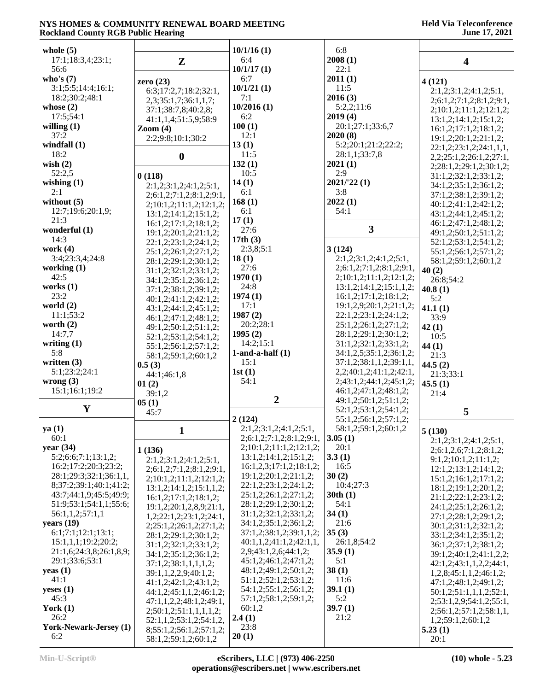| whole $(5)$                                      |                          | 10/1/16(1)                                       | 6:8                      |                                  |
|--------------------------------------------------|--------------------------|--------------------------------------------------|--------------------------|----------------------------------|
| 17:1;18:3,4;23:1;                                |                          | 6:4                                              | 2008(1)                  |                                  |
| 56:6                                             | $\mathbf{Z}$             | 10/1/17(1)                                       | 22:1                     | $\overline{\mathbf{4}}$          |
| who's $(7)$                                      |                          | 6:7                                              | 2011(1)                  |                                  |
| 3:1;5:5;14:4;16:1;                               | zero $(23)$              | 10/1/21(1)                                       | 11:5                     | 4(121)                           |
| 18:2;30:2;48:1                                   | 6:3;17:2,7;18:2;32:1,    | 7:1                                              | 2016(3)                  | 2:1,2;3:1,2;4:1,2;5:1,           |
| whose $(2)$                                      | 2,3;35:1,7;36:1,1,7;     | 10/2016(1)                                       | 5:2,2;11:6               | 2;6:1,2;7:1,2;8:1,2;9:1,         |
| 17:5;54:1                                        | 37:1;38:7,8;40:2,8;      | 6:2                                              | 2019(4)                  | 2;10:1,2;11:1,2;12:1,2;          |
| willing $(1)$                                    | 41:1,1,4;51:5,9;58:9     | 100(1)                                           | 20:1;27:1;33:6,7         | 13:1,2;14:1,2;15:1,2;            |
| 37:2                                             | $\mathrm{Zoom}(4)$       | 12:1                                             | 2020(8)                  | 16:1,2;17:1,2;18:1,2;            |
| windfall $(1)$                                   | 2:2;9:8;10:1;30:2        | 13(1)                                            | 5:2;20:1;21:2;22:2;      | 19:1,2;20:1,2;21:1,2;            |
| 18:2                                             |                          | 11:5                                             | 28:1,1;33:7,8            | 22:1,2;23:1,2;24:1,1,1,          |
| wish $(2)$                                       | $\boldsymbol{0}$         | 132(1)                                           | 2021(1)                  | 2,2;25:1,2;26:1,2;27:1,          |
|                                                  |                          |                                                  | 2:9                      | 2;28:1,2;29:1,2;30:1,2;          |
| 52:2,5                                           | 0(118)                   | 10:5                                             |                          | 31:1,2;32:1,2;33:1,2;            |
| wishing $(1)$<br>2:1                             | 2:1,2;3:1,2;4:1,2;5:1,   | 14(1)<br>6:1                                     | 2021/22(1)<br>3:8        | 34:1,2;35:1,2;36:1,2;            |
| without $(5)$                                    | 2;6:1,2;7:1,2;8:1,2;9:1, | 168(1)                                           | 2022(1)                  | 37:1,2;38:1,2;39:1,2;            |
|                                                  | 2;10:1,2;11:1,2;12:1,2;  |                                                  | 54:1                     | 40:1,2;41:1,2;42:1,2;            |
| 12:7;19:6;20:1,9;<br>21:3                        | 13:1,2;14:1,2;15:1,2;    | 6:1                                              |                          | 43:1,2;44:1,2;45:1,2;            |
|                                                  | 16:1,2;17:1,2;18:1,2;    | 17(1)                                            | $\overline{\mathbf{3}}$  | 46:1,2;47:1,2;48:1,2;            |
| wonderful (1)                                    | 19:1,2;20:1,2;21:1,2;    | 27:6                                             |                          | 49:1,2;50:1,2;51:1,2;            |
| 14:3                                             | 22:1,2;23:1,2;24:1,2;    | 17th $(3)$                                       |                          | 52:1,2;53:1,2;54:1,2;            |
| work $(4)$                                       | 25:1,2;26:1,2;27:1,2;    | 2:3,8;5:1                                        | 3(124)                   | 55:1,2;56:1,2;57:1,2;            |
| 3:4;23:3,4;24:8                                  | 28:1,2;29:1,2;30:1,2;    | 18(1)                                            | 2:1,2;3:1,2;4:1,2;5:1,   | 58:1,2;59:1,2;60:1,2             |
| working $(1)$                                    | 31:1,2;32:1,2;33:1,2;    | 27:6                                             | 2;6:1,2;7:1,2;8:1,2;9:1, | 40(2)                            |
| 42:5                                             | 34:1,2;35:1,2;36:1,2;    | 1970(1)                                          | 2;10:1,2;11:1,2;12:1,2;  | 26:8;54:2                        |
| works $(1)$<br>23:2                              | 37:1,2;38:1,2;39:1,2;    | 24:8                                             | 13:1,2;14:1,2;15:1,1,2;  | 40.8(1)                          |
|                                                  | 40:1,2;41:1,2;42:1,2;    | 1974(1)                                          | 16:1,2;17:1,2;18:1,2;    | 5:2                              |
| world $(2)$<br>11:1;53:2                         | 43:1,2;44:1,2;45:1,2;    | 17:1                                             | 19:1,2,9;20:1,2;21:1,2;  | 41.1(1)                          |
|                                                  | 46:1,2;47:1,2;48:1,2;    | 1987(2)                                          | 22:1,2;23:1,2;24:1,2;    | 33:9                             |
| worth $(2)$                                      | 49:1,2;50:1,2;51:1,2;    | 20:2;28:1<br>1995(2)                             | 25:1,2;26:1,2;27:1,2;    | 42(1)                            |
| 14:7,7                                           | 52:1,2;53:1,2;54:1,2;    |                                                  | 28:1,2;29:1,2;30:1,2;    | 10:5                             |
| writing $(1)$                                    | 55:1,2;56:1,2;57:1,2;    | 14:2;15:1                                        | 31:1,2;32:1,2;33:1,2;    | 44(1)                            |
| 5:8                                              | 58:1,2;59:1,2;60:1,2     | $1$ -and-a-half $(1)$                            | 34:1,2,5;35:1,2;36:1,2;  | 21:3                             |
| written $(3)$                                    | 0.5(3)                   | 15:1                                             | 37:1,2;38:1,1,2;39:1,1,  | 44.5 $(2)$                       |
| 5:1;23:2;24:1                                    | 44:1;46:1,8              | 1st(1)                                           | 2,2;40:1,2;41:1,2;42:1,  | 21:3;33:1                        |
| wrong $(3)$                                      | 01(2)                    | 54:1                                             | 2;43:1,2;44:1,2;45:1,2;  | 45.5(1)                          |
| 15:1;16:1;19:2                                   | 39:1,2                   | $\overline{2}$                                   | 46:1,2;47:1,2;48:1,2;    | 21:4                             |
| Y                                                | 05(1)                    |                                                  | 49:1,2;50:1,2;51:1,2;    |                                  |
|                                                  | 45:7                     |                                                  | 52:1,2;53:1,2;54:1,2;    | 5                                |
|                                                  |                          | 2(124)                                           | 55:1,2;56:1,2;57:1,2;    |                                  |
| ya(1)                                            | 1                        | 2:1,2;3:1,2;4:1,2;5:1,                           | 58:1,2;59:1,2;60:1,2     | 5(130)                           |
| 60:1                                             |                          | 2;6:1,2;7:1,2;8:1,2;9:1,                         | 3.05(1)                  | 2:1,2;3:1,2;4:1,2;5:1,           |
| year $(34)$                                      | 1(136)                   | 2;10:1,2;11:1,2;12:1,2;                          | 20:1                     | 2; 6: 1, 2, 6; 7: 1, 2; 8: 1, 2; |
| 5:2;6:6;7:1;13:1,2;                              | 2:1,2;3:1,2;4:1,2;5:1,   | 13:1,2;14:1,2;15:1,2;                            | 3.3(1)                   | 9:1,2;10:1,2;11:1,2;             |
| 16:2;17:2;20:3;23:2;                             | 2;6:1,2;7:1,2;8:1,2;9:1, | 16:1,2,3;17:1,2;18:1,2;                          | 16:5<br>30(2)            | 12:1,2;13:1,2;14:1,2;            |
| 28:1;29:3;32:1;36:1,1,                           | 2;10:1,2;11:1,2;12:1,2;  | 19:1,2;20:1,2;21:1,2;                            | 10:4;27:3                | 15:1,2;16:1,2;17:1,2;            |
| 8;37:2;39:1;40:1;41:2;<br>43:7;44:1,9;45:5;49:9; | 13:1,2;14:1,2;15:1,1,2;  | 22:1,2;23:1,2;24:1,2;                            |                          | 18:1,2;19:1,2;20:1,2;            |
| 51:9;53:1;54:1,1;55:6;                           | 16:1,2;17:1,2;18:1,2;    | 25:1,2;26:1,2;27:1,2;<br>28:1,2;29:1,2;30:1,2;   | 30th(1)                  | 21:1,2;22:1,2;23:1,2;            |
|                                                  | 19:1,2,20:1,2,8,9,21:1,  | 31:1,2;32:1,2;33:1,2;                            | 54:1                     | 24:1,2;25:1,2;26:1,2;            |
| 56:1,1,2;57:1,1                                  | 1,2;22:1,2;23:1,2;24:1,  |                                                  | 34(1)                    | 27:1,2;28:1,2;29:1,2;            |
| years $(19)$<br>6:1;7:1;12:1;13:1;               | 2;25:1,2;26:1,2;27:1,2;  | 34:1,2;35:1,2;36:1,2;<br>37:1,2;38:1,2;39:1,1,2; | 21:6<br>35(3)            | 30:1,2;31:1,2;32:1,2;            |
|                                                  | 28:1,2;29:1,2;30:1,2;    |                                                  | 26:1,8;54:2              | 33:1,2;34:1,2;35:1,2;            |
| 15:1,1,1;19:2;20:2;                              | 31:1,2;32:1,2;33:1,2;    | 40:1,1,2;41:1,2;42:1,1,                          |                          | 36:1,2;37:1,2;38:1,2;            |
| 21:1,6;24:3,8;26:1,8,9;<br>29:1;33:6;53:1        | 34:1,2;35:1,2;36:1,2;    | 2,9;43:1,2,6;44:1,2;<br>45:1,2;46:1,2;47:1,2;    | 35.9(1)<br>5:1           | 39:1,2;40:1,2;41:1,2,2;          |
| yeas $(1)$                                       | 37:1,2;38:1,1,1,1,2;     | 48:1,2;49:1,2;50:1,2;                            | 38(1)                    | 42:1,2;43:1,1,2,2;44:1,          |
| 41:1                                             | 39:1,1,2,2,9;40:1,2;     |                                                  |                          | 1,2,8;45:1,1,2;46:1,2;           |
|                                                  | 41:1,2;42:1,2;43:1,2;    | 51:1,2;52:1,2;53:1,2;<br>54:1,2;55:1,2;56:1,2;   | 11:6                     | 47:1,2;48:1,2;49:1,2;            |
| $y$ eses $(1)$<br>45:3                           | 44:1,2;45:1,1,2;46:1,2;  | 57:1,2;58:1,2;59:1,2;                            | 39.1(1)<br>5:2           | 50:1,2;51:1,1,1,2;52:1,          |
| York $(1)$                                       | 47:1,1,2,2;48:1,2;49:1,  | 60:1,2                                           | 39.7(1)                  | 2;53:1,2,9;54:1,2;55:1,          |
| 26:2                                             | 2;50:1,2;51:1,1,1,1,2;   |                                                  | 21:2                     | 2;56:1,2;57:1,2;58:1,1,          |
| York-Newark-Jersey (1)                           | 52:1,1,2;53:1,2;54:1,2,  | 2.4(1)<br>23:8                                   |                          | 1,2;59:1,2;60:1,2                |
| 6:2                                              | 8;55:1,2;56:1,2;57:1,2;  | 20(1)                                            |                          | 5.23(1)                          |
|                                                  | 58:1,2;59:1,2;60:1,2     |                                                  |                          | 20:1                             |